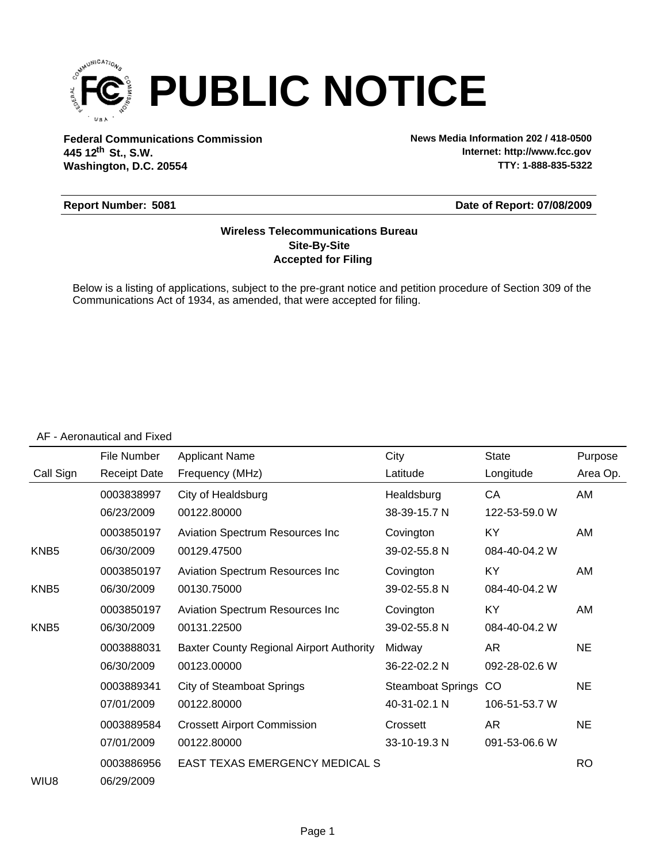

**Federal Communications Commission News Media Information 202 / 418-0500 Washington, D.C. 20554 th 445 12 St., S.W.**

**Internet: http://www.fcc.gov TTY: 1-888-835-5322**

### **Report Number: 5081**

#### **Date of Report: 07/08/2009**

### **Accepted for Filing Site-By-Site Wireless Telecommunications Bureau**

Below is a listing of applications, subject to the pre-grant notice and petition procedure of Section 309 of the Communications Act of 1934, as amended, that were accepted for filing.

#### AF - Aeronautical and Fixed

|                  | File Number         | <b>Applicant Name</b>                           | City                     | <b>State</b>  | Purpose   |
|------------------|---------------------|-------------------------------------------------|--------------------------|---------------|-----------|
| Call Sign        | <b>Receipt Date</b> | Frequency (MHz)                                 | Latitude                 | Longitude     | Area Op.  |
|                  | 0003838997          | City of Healdsburg                              | Healdsburg               | CA            | AM        |
|                  | 06/23/2009          | 00122.80000                                     | 38-39-15.7 N             | 122-53-59.0 W |           |
|                  | 0003850197          | <b>Aviation Spectrum Resources Inc</b>          | Covington                | KY            | AM        |
| KNB <sub>5</sub> | 06/30/2009          | 00129.47500                                     | 39-02-55.8 N             | 084-40-04.2 W |           |
|                  | 0003850197          | Aviation Spectrum Resources Inc                 | Covington                | KY            | AM        |
| KNB <sub>5</sub> | 06/30/2009          | 00130.75000                                     | 39-02-55.8 N             | 084-40-04.2 W |           |
|                  | 0003850197          | Aviation Spectrum Resources Inc                 | Covington                | KY            | AM        |
| KNB <sub>5</sub> | 06/30/2009          | 00131.22500                                     | 39-02-55.8 N             | 084-40-04.2 W |           |
|                  | 0003888031          | <b>Baxter County Regional Airport Authority</b> | Midway                   | AR            | <b>NE</b> |
|                  | 06/30/2009          | 00123.00000                                     | 36-22-02.2 N             | 092-28-02.6 W |           |
|                  | 0003889341          | <b>City of Steamboat Springs</b>                | <b>Steamboat Springs</b> | CO            | <b>NE</b> |
|                  | 07/01/2009          | 00122.80000                                     | 40-31-02.1 N             | 106-51-53.7 W |           |
|                  | 0003889584          | <b>Crossett Airport Commission</b>              | Crossett                 | AR            | <b>NE</b> |
|                  | 07/01/2009          | 00122.80000                                     | 33-10-19.3 N             | 091-53-06.6 W |           |
|                  | 0003886956          | EAST TEXAS EMERGENCY MEDICAL S                  |                          |               | <b>RO</b> |
| WIU8             | 06/29/2009          |                                                 |                          |               |           |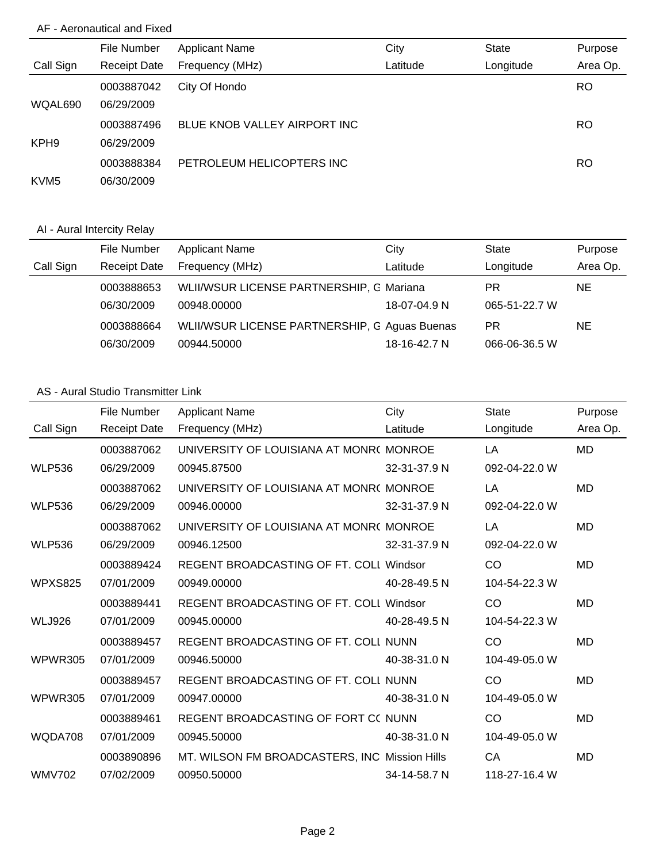## AF - Aeronautical and Fixed

|                  | File Number         | <b>Applicant Name</b>        | City     | <b>State</b> | Purpose   |
|------------------|---------------------|------------------------------|----------|--------------|-----------|
| Call Sign        | <b>Receipt Date</b> | Frequency (MHz)              | Latitude | Longitude    | Area Op.  |
|                  | 0003887042          | City Of Hondo                |          |              | <b>RO</b> |
| WQAL690          | 06/29/2009          |                              |          |              |           |
|                  | 0003887496          | BLUE KNOB VALLEY AIRPORT INC |          |              | RO        |
| KPH <sub>9</sub> | 06/29/2009          |                              |          |              |           |
|                  | 0003888384          | PETROLEUM HELICOPTERS INC    |          |              | RO        |
| KVM <sub>5</sub> | 06/30/2009          |                              |          |              |           |

# AI - Aural Intercity Relay

|           | File Number         | <b>Applicant Name</b>                         | City         | State         | Purpose  |
|-----------|---------------------|-----------------------------------------------|--------------|---------------|----------|
| Call Sign | <b>Receipt Date</b> | Frequency (MHz)                               | Latitude     | Longitude     | Area Op. |
|           | 0003888653          | WLII/WSUR LICENSE PARTNERSHIP, G Mariana      |              | PR            | NE.      |
|           | 06/30/2009          | 00948.00000                                   | 18-07-04.9 N | 065-51-22.7 W |          |
|           | 0003888664          | WLII/WSUR LICENSE PARTNERSHIP, G Aguas Buenas |              | PR            | NE.      |
|           | 06/30/2009          | 00944.50000                                   | 18-16-42.7 N | 066-06-36.5 W |          |

# AS - Aural Studio Transmitter Link

|                | File Number         | <b>Applicant Name</b>                          | City         | <b>State</b>  | Purpose   |
|----------------|---------------------|------------------------------------------------|--------------|---------------|-----------|
| Call Sign      | <b>Receipt Date</b> | Frequency (MHz)                                | Latitude     | Longitude     | Area Op.  |
|                | 0003887062          | UNIVERSITY OF LOUISIANA AT MONR(MONROE         |              | LA            | <b>MD</b> |
| <b>WLP536</b>  | 06/29/2009          | 00945.87500                                    | 32-31-37.9 N | 092-04-22.0 W |           |
|                | 0003887062          | UNIVERSITY OF LOUISIANA AT MONR(MONROE         |              | LA            | <b>MD</b> |
| <b>WLP536</b>  | 06/29/2009          | 00946.00000                                    | 32-31-37.9 N | 092-04-22.0 W |           |
|                | 0003887062          | UNIVERSITY OF LOUISIANA AT MONR(MONROE         |              | LA            | <b>MD</b> |
| <b>WLP536</b>  | 06/29/2009          | 00946.12500                                    | 32-31-37.9 N | 092-04-22.0 W |           |
|                | 0003889424          | <b>REGENT BROADCASTING OF FT. COLL Windsor</b> |              | CO            | <b>MD</b> |
| <b>WPXS825</b> | 07/01/2009          | 00949.00000                                    | 40-28-49.5 N | 104-54-22.3 W |           |
|                | 0003889441          | REGENT BROADCASTING OF FT. COLL Windsor        |              | CO            | <b>MD</b> |
| <b>WLJ926</b>  | 07/01/2009          | 00945.00000                                    | 40-28-49.5 N | 104-54-22.3 W |           |
|                | 0003889457          | REGENT BROADCASTING OF FT. COLL NUNN           |              | CO            | <b>MD</b> |
| <b>WPWR305</b> | 07/01/2009          | 00946.50000                                    | 40-38-31.0 N | 104-49-05.0 W |           |
|                | 0003889457          | REGENT BROADCASTING OF FT. COLL NUNN           |              | CO            | <b>MD</b> |
| <b>WPWR305</b> | 07/01/2009          | 00947.00000                                    | 40-38-31.0 N | 104-49-05.0 W |           |
|                | 0003889461          | REGENT BROADCASTING OF FORT CC NUNN            |              | CO            | <b>MD</b> |
| WQDA708        | 07/01/2009          | 00945.50000                                    | 40-38-31.0 N | 104-49-05.0 W |           |
|                | 0003890896          | MT. WILSON FM BROADCASTERS, INC Mission Hills  |              | CA            | <b>MD</b> |
| <b>WMV702</b>  | 07/02/2009          | 00950.50000                                    | 34-14-58.7 N | 118-27-16.4 W |           |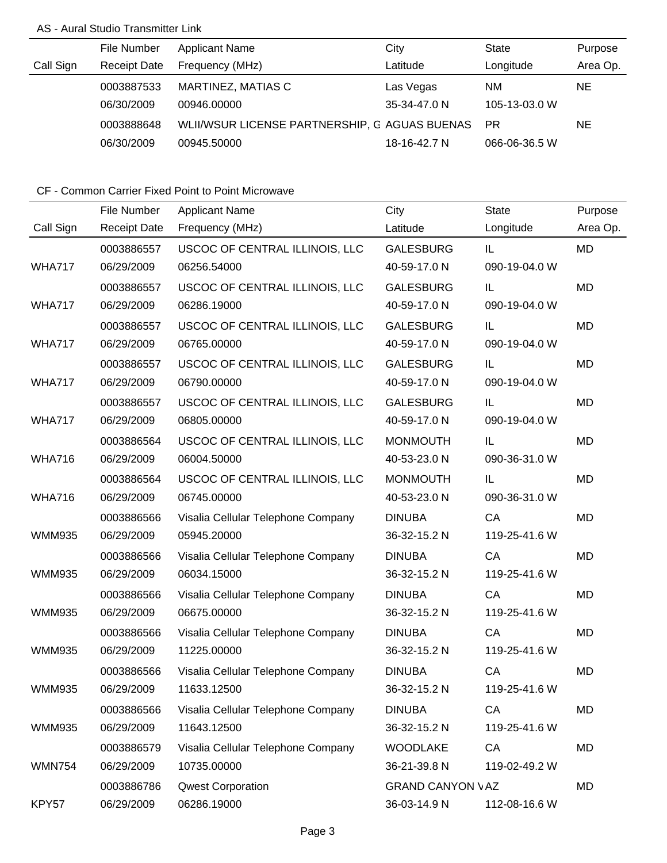## AS - Aural Studio Transmitter Link

|           | File Number         | <b>Applicant Name</b>                         | City         | State         | Purpose  |
|-----------|---------------------|-----------------------------------------------|--------------|---------------|----------|
| Call Sign | <b>Receipt Date</b> | Frequency (MHz)                               | Latitude     | Longitude     | Area Op. |
|           | 0003887533          | MARTINEZ, MATIAS C                            | Las Vegas    | <b>NM</b>     | NE.      |
|           | 06/30/2009          | 00946.00000                                   | 35-34-47.0 N | 105-13-03.0 W |          |
|           | 0003888648          | WLII/WSUR LICENSE PARTNERSHIP, G AGUAS BUENAS |              | <b>PR</b>     | NΕ       |
|           | 06/30/2009          | 00945.50000                                   | 18-16-42.7 N | 066-06-36.5 W |          |

|               | File Number         | <b>Applicant Name</b>              | City                    | <b>State</b>  | Purpose   |
|---------------|---------------------|------------------------------------|-------------------------|---------------|-----------|
| Call Sign     | <b>Receipt Date</b> | Frequency (MHz)                    | Latitude                | Longitude     | Area Op.  |
|               | 0003886557          | USCOC OF CENTRAL ILLINOIS, LLC     | <b>GALESBURG</b>        | IL.           | <b>MD</b> |
| <b>WHA717</b> | 06/29/2009          | 06256.54000                        | 40-59-17.0 N            | 090-19-04.0 W |           |
|               | 0003886557          | USCOC OF CENTRAL ILLINOIS, LLC     | <b>GALESBURG</b>        | IL            | <b>MD</b> |
| <b>WHA717</b> | 06/29/2009          | 06286.19000                        | 40-59-17.0 N            | 090-19-04.0 W |           |
|               | 0003886557          | USCOC OF CENTRAL ILLINOIS, LLC     | <b>GALESBURG</b>        | IL            | <b>MD</b> |
| <b>WHA717</b> | 06/29/2009          | 06765.00000                        | 40-59-17.0 N            | 090-19-04.0 W |           |
|               | 0003886557          | USCOC OF CENTRAL ILLINOIS, LLC     | <b>GALESBURG</b>        | IL            | <b>MD</b> |
| <b>WHA717</b> | 06/29/2009          | 06790.00000                        | 40-59-17.0 N            | 090-19-04.0 W |           |
|               | 0003886557          | USCOC OF CENTRAL ILLINOIS, LLC     | <b>GALESBURG</b>        | IL            | <b>MD</b> |
| <b>WHA717</b> | 06/29/2009          | 06805.00000                        | 40-59-17.0 N            | 090-19-04.0 W |           |
|               | 0003886564          | USCOC OF CENTRAL ILLINOIS, LLC     | <b>MONMOUTH</b>         | IL            | <b>MD</b> |
| <b>WHA716</b> | 06/29/2009          | 06004.50000                        | 40-53-23.0 N            | 090-36-31.0 W |           |
|               | 0003886564          | USCOC OF CENTRAL ILLINOIS, LLC     | <b>MONMOUTH</b>         | IL            | <b>MD</b> |
| <b>WHA716</b> | 06/29/2009          | 06745.00000                        | 40-53-23.0 N            | 090-36-31.0 W |           |
|               | 0003886566          | Visalia Cellular Telephone Company | <b>DINUBA</b>           | CA            | <b>MD</b> |
| <b>WMM935</b> | 06/29/2009          | 05945.20000                        | 36-32-15.2 N            | 119-25-41.6 W |           |
|               | 0003886566          | Visalia Cellular Telephone Company | <b>DINUBA</b>           | CA            | <b>MD</b> |
| <b>WMM935</b> | 06/29/2009          | 06034.15000                        | 36-32-15.2 N            | 119-25-41.6 W |           |
|               | 0003886566          | Visalia Cellular Telephone Company | <b>DINUBA</b>           | CA            | <b>MD</b> |
| <b>WMM935</b> | 06/29/2009          | 06675.00000                        | 36-32-15.2 N            | 119-25-41.6 W |           |
|               | 0003886566          | Visalia Cellular Telephone Company | <b>DINUBA</b>           | CA            | <b>MD</b> |
| <b>WMM935</b> | 06/29/2009          | 11225.00000                        | 36-32-15.2 N            | 119-25-41.6 W |           |
|               | 0003886566          | Visalia Cellular Telephone Company | <b>DINUBA</b>           | CA            | <b>MD</b> |
| WMM935        | 06/29/2009          | 11633.12500                        | 36-32-15.2 N            | 119-25-41.6 W |           |
|               | 0003886566          | Visalia Cellular Telephone Company | <b>DINUBA</b>           | CA            | MD        |
| <b>WMM935</b> | 06/29/2009          | 11643.12500                        | 36-32-15.2 N            | 119-25-41.6 W |           |
|               | 0003886579          | Visalia Cellular Telephone Company | <b>WOODLAKE</b>         | CA            | <b>MD</b> |
| <b>WMN754</b> | 06/29/2009          | 10735.00000                        | 36-21-39.8 N            | 119-02-49.2 W |           |
|               | 0003886786          | <b>Qwest Corporation</b>           | <b>GRAND CANYON VAZ</b> |               | <b>MD</b> |
| KPY57         | 06/29/2009          | 06286.19000                        | 36-03-14.9 N            | 112-08-16.6 W |           |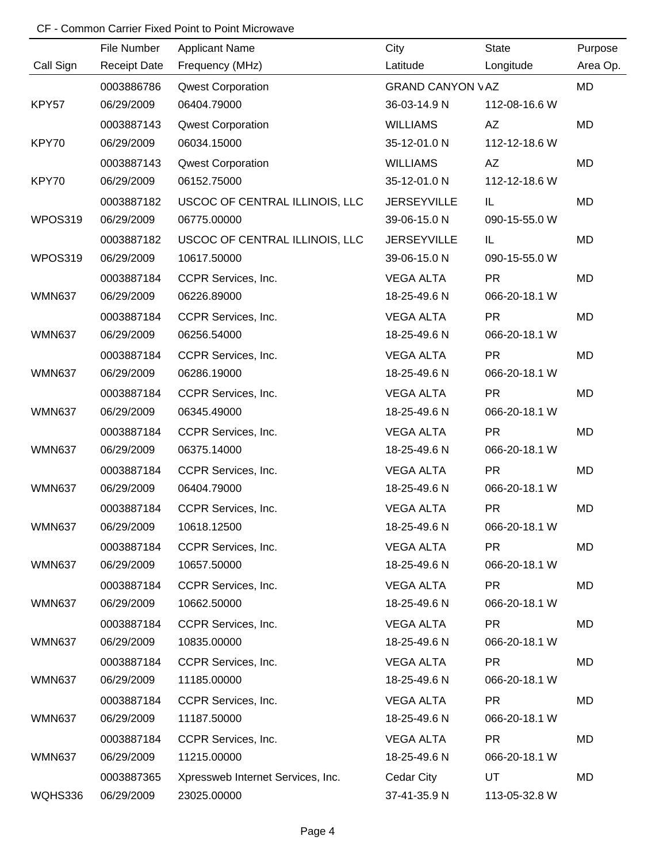|               | File Number         | <b>Applicant Name</b>             | City                    | <b>State</b>  | Purpose   |
|---------------|---------------------|-----------------------------------|-------------------------|---------------|-----------|
| Call Sign     | <b>Receipt Date</b> | Frequency (MHz)                   | Latitude                | Longitude     | Area Op.  |
|               | 0003886786          | <b>Qwest Corporation</b>          | <b>GRAND CANYON VAZ</b> |               | <b>MD</b> |
| KPY57         | 06/29/2009          | 06404.79000                       | 36-03-14.9 N            | 112-08-16.6 W |           |
|               | 0003887143          | <b>Qwest Corporation</b>          | <b>WILLIAMS</b>         | AZ            | <b>MD</b> |
| KPY70         | 06/29/2009          | 06034.15000                       | 35-12-01.0 N            | 112-12-18.6 W |           |
|               | 0003887143          | <b>Qwest Corporation</b>          | <b>WILLIAMS</b>         | AZ            | <b>MD</b> |
| KPY70         | 06/29/2009          | 06152.75000                       | 35-12-01.0 N            | 112-12-18.6 W |           |
|               | 0003887182          | USCOC OF CENTRAL ILLINOIS, LLC    | <b>JERSEYVILLE</b>      | IL.           | MD        |
| WPOS319       | 06/29/2009          | 06775.00000                       | 39-06-15.0 N            | 090-15-55.0 W |           |
|               | 0003887182          | USCOC OF CENTRAL ILLINOIS, LLC    | <b>JERSEYVILLE</b>      | IL.           | <b>MD</b> |
| WPOS319       | 06/29/2009          | 10617.50000                       | 39-06-15.0 N            | 090-15-55.0 W |           |
|               | 0003887184          | CCPR Services, Inc.               | <b>VEGA ALTA</b>        | <b>PR</b>     | MD        |
| <b>WMN637</b> | 06/29/2009          | 06226.89000                       | 18-25-49.6 N            | 066-20-18.1 W |           |
|               | 0003887184          | CCPR Services, Inc.               | <b>VEGA ALTA</b>        | <b>PR</b>     | MD        |
| <b>WMN637</b> | 06/29/2009          | 06256.54000                       | 18-25-49.6 N            | 066-20-18.1 W |           |
|               | 0003887184          | CCPR Services, Inc.               | <b>VEGA ALTA</b>        | <b>PR</b>     | <b>MD</b> |
| <b>WMN637</b> | 06/29/2009          | 06286.19000                       | 18-25-49.6 N            | 066-20-18.1 W |           |
|               | 0003887184          | CCPR Services, Inc.               | <b>VEGA ALTA</b>        | <b>PR</b>     | <b>MD</b> |
| <b>WMN637</b> | 06/29/2009          | 06345.49000                       | 18-25-49.6 N            | 066-20-18.1 W |           |
|               | 0003887184          | CCPR Services, Inc.               | <b>VEGA ALTA</b>        | <b>PR</b>     | MD        |
| <b>WMN637</b> | 06/29/2009          | 06375.14000                       | 18-25-49.6 N            | 066-20-18.1 W |           |
|               | 0003887184          | CCPR Services, Inc.               | <b>VEGA ALTA</b>        | <b>PR</b>     | <b>MD</b> |
| <b>WMN637</b> | 06/29/2009          | 06404.79000                       | 18-25-49.6 N            | 066-20-18.1 W |           |
|               | 0003887184          | CCPR Services, Inc.               | <b>VEGA ALTA</b>        | <b>PR</b>     | MD        |
| <b>WMN637</b> | 06/29/2009          | 10618.12500                       | 18-25-49.6 N            | 066-20-18.1 W |           |
|               | 0003887184          | CCPR Services, Inc.               | <b>VEGA ALTA</b>        | <b>PR</b>     | MD        |
| <b>WMN637</b> | 06/29/2009          | 10657.50000                       | 18-25-49.6 N            | 066-20-18.1 W |           |
|               | 0003887184          | CCPR Services, Inc.               | <b>VEGA ALTA</b>        | <b>PR</b>     | MD        |
| <b>WMN637</b> | 06/29/2009          | 10662.50000                       | 18-25-49.6 N            | 066-20-18.1 W |           |
|               | 0003887184          | CCPR Services, Inc.               | <b>VEGA ALTA</b>        | <b>PR</b>     | MD        |
| <b>WMN637</b> | 06/29/2009          | 10835.00000                       | 18-25-49.6 N            | 066-20-18.1 W |           |
|               | 0003887184          | CCPR Services, Inc.               | <b>VEGA ALTA</b>        | <b>PR</b>     | MD        |
| <b>WMN637</b> | 06/29/2009          | 11185.00000                       | 18-25-49.6 N            | 066-20-18.1 W |           |
|               | 0003887184          | CCPR Services, Inc.               | <b>VEGA ALTA</b>        | PR.           | MD        |
| <b>WMN637</b> | 06/29/2009          | 11187.50000                       | 18-25-49.6 N            | 066-20-18.1 W |           |
|               | 0003887184          | CCPR Services, Inc.               | <b>VEGA ALTA</b>        | <b>PR</b>     | MD        |
| <b>WMN637</b> | 06/29/2009          | 11215.00000                       | 18-25-49.6 N            | 066-20-18.1 W |           |
|               | 0003887365          | Xpressweb Internet Services, Inc. | Cedar City              | UT            | MD        |
| WQHS336       | 06/29/2009          | 23025.00000                       | 37-41-35.9 N            | 113-05-32.8 W |           |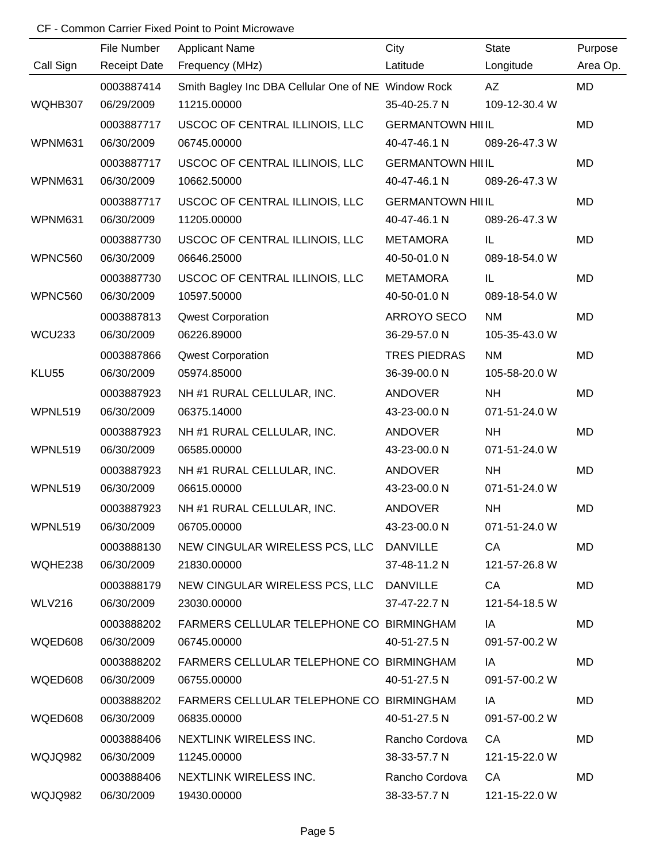|                | File Number         | <b>Applicant Name</b>                               | City                    | <b>State</b>  | Purpose   |
|----------------|---------------------|-----------------------------------------------------|-------------------------|---------------|-----------|
| Call Sign      | <b>Receipt Date</b> | Frequency (MHz)                                     | Latitude                | Longitude     | Area Op.  |
|                | 0003887414          | Smith Bagley Inc DBA Cellular One of NE Window Rock |                         | <b>AZ</b>     | MD        |
| WQHB307        | 06/29/2009          | 11215.00000                                         | 35-40-25.7 N            | 109-12-30.4 W |           |
|                | 0003887717          | USCOC OF CENTRAL ILLINOIS, LLC                      | <b>GERMANTOWN HILIL</b> |               | <b>MD</b> |
| WPNM631        | 06/30/2009          | 06745.00000                                         | 40-47-46.1 N            | 089-26-47.3 W |           |
|                | 0003887717          | USCOC OF CENTRAL ILLINOIS, LLC                      | <b>GERMANTOWN HILIL</b> |               | MD        |
| WPNM631        | 06/30/2009          | 10662.50000                                         | 40-47-46.1 N            | 089-26-47.3 W |           |
|                | 0003887717          | USCOC OF CENTRAL ILLINOIS, LLC                      | <b>GERMANTOWN HILIL</b> |               | MD        |
| WPNM631        | 06/30/2009          | 11205.00000                                         | 40-47-46.1 N            | 089-26-47.3 W |           |
|                | 0003887730          | USCOC OF CENTRAL ILLINOIS, LLC                      | <b>METAMORA</b>         | IL            | MD        |
| <b>WPNC560</b> | 06/30/2009          | 06646.25000                                         | 40-50-01.0 N            | 089-18-54.0 W |           |
|                | 0003887730          | USCOC OF CENTRAL ILLINOIS, LLC                      | <b>METAMORA</b>         | IL            | MD        |
| WPNC560        | 06/30/2009          | 10597.50000                                         | 40-50-01.0 N            | 089-18-54.0 W |           |
|                | 0003887813          | <b>Qwest Corporation</b>                            | ARROYO SECO             | <b>NM</b>     | MD        |
| <b>WCU233</b>  | 06/30/2009          | 06226.89000                                         | 36-29-57.0 N            | 105-35-43.0 W |           |
|                | 0003887866          | <b>Qwest Corporation</b>                            | <b>TRES PIEDRAS</b>     | <b>NM</b>     | MD        |
| KLU55          | 06/30/2009          | 05974.85000                                         | 36-39-00.0 N            | 105-58-20.0 W |           |
|                | 0003887923          | NH #1 RURAL CELLULAR, INC.                          | <b>ANDOVER</b>          | <b>NH</b>     | MD        |
| WPNL519        | 06/30/2009          | 06375.14000                                         | 43-23-00.0 N            | 071-51-24.0 W |           |
|                | 0003887923          | NH #1 RURAL CELLULAR, INC.                          | <b>ANDOVER</b>          | <b>NH</b>     | MD        |
| WPNL519        | 06/30/2009          | 06585.00000                                         | 43-23-00.0 N            | 071-51-24.0 W |           |
|                | 0003887923          | NH #1 RURAL CELLULAR, INC.                          | <b>ANDOVER</b>          | <b>NH</b>     | MD        |
| WPNL519        | 06/30/2009          | 06615.00000                                         | 43-23-00.0 N            | 071-51-24.0 W |           |
|                | 0003887923          | NH #1 RURAL CELLULAR, INC.                          | <b>ANDOVER</b>          | <b>NH</b>     | MD        |
| WPNL519        | 06/30/2009          | 06705.00000                                         | 43-23-00.0 N            | 071-51-24.0 W |           |
|                | 0003888130          | NEW CINGULAR WIRELESS PCS, LLC DANVILLE             |                         | CA            | MD        |
| WQHE238        | 06/30/2009          | 21830.00000                                         | 37-48-11.2 N            | 121-57-26.8 W |           |
|                | 0003888179          | NEW CINGULAR WIRELESS PCS, LLC DANVILLE             |                         | CA            | MD        |
| <b>WLV216</b>  | 06/30/2009          | 23030.00000                                         | 37-47-22.7 N            | 121-54-18.5 W |           |
|                | 0003888202          | FARMERS CELLULAR TELEPHONE CO BIRMINGHAM            |                         | IA            | MD        |
| WQED608        | 06/30/2009          | 06745.00000                                         | 40-51-27.5 N            | 091-57-00.2 W |           |
|                | 0003888202          | FARMERS CELLULAR TELEPHONE CO BIRMINGHAM            |                         | IA            | MD        |
| WQED608        | 06/30/2009          | 06755.00000                                         | 40-51-27.5 N            | 091-57-00.2 W |           |
|                | 0003888202          | FARMERS CELLULAR TELEPHONE CO BIRMINGHAM            |                         | IA            | MD        |
| WQED608        | 06/30/2009          | 06835.00000                                         | 40-51-27.5 N            | 091-57-00.2 W |           |
|                | 0003888406          | NEXTLINK WIRELESS INC.                              | Rancho Cordova          | CA            | MD        |
| WQJQ982        | 06/30/2009          | 11245.00000                                         | 38-33-57.7 N            | 121-15-22.0 W |           |
|                | 0003888406          | NEXTLINK WIRELESS INC.                              | Rancho Cordova          | CA            | MD        |
| WQJQ982        | 06/30/2009          | 19430.00000                                         | 38-33-57.7 N            | 121-15-22.0 W |           |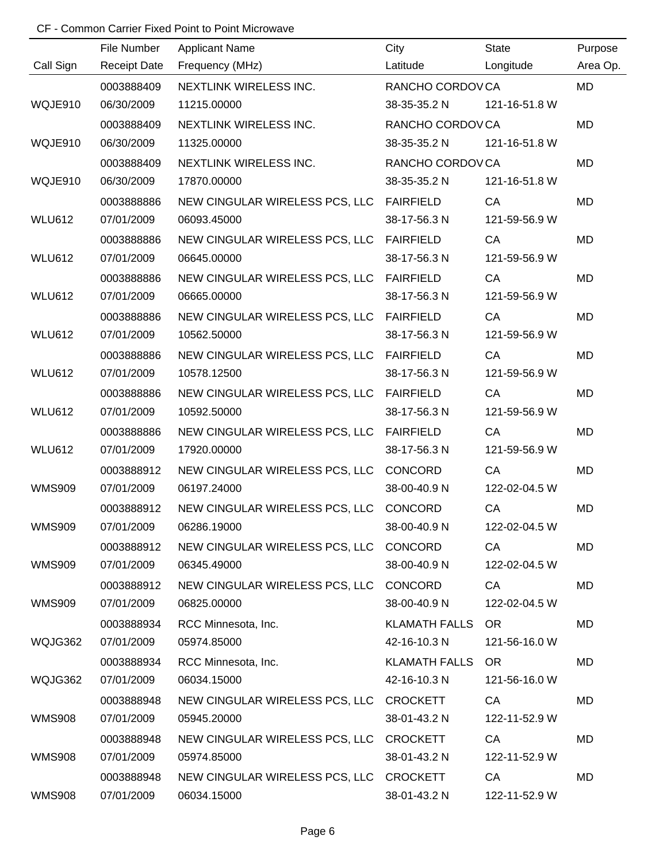|               | File Number         | <b>Applicant Name</b>                    | City             | <b>State</b>  | Purpose   |
|---------------|---------------------|------------------------------------------|------------------|---------------|-----------|
| Call Sign     | <b>Receipt Date</b> | Frequency (MHz)                          | Latitude         | Longitude     | Area Op.  |
|               | 0003888409          | NEXTLINK WIRELESS INC.                   | RANCHO CORDOVCA  |               | <b>MD</b> |
| WQJE910       | 06/30/2009          | 11215.00000                              | 38-35-35.2 N     | 121-16-51.8 W |           |
|               | 0003888409          | NEXTLINK WIRELESS INC.                   | RANCHO CORDOVCA  |               | <b>MD</b> |
| WQJE910       | 06/30/2009          | 11325.00000                              | 38-35-35.2 N     | 121-16-51.8 W |           |
|               | 0003888409          | <b>NEXTLINK WIRELESS INC.</b>            | RANCHO CORDOVCA  |               | <b>MD</b> |
| WQJE910       | 06/30/2009          | 17870.00000                              | 38-35-35.2 N     | 121-16-51.8 W |           |
|               | 0003888886          | NEW CINGULAR WIRELESS PCS, LLC FAIRFIELD |                  | CA            | <b>MD</b> |
| <b>WLU612</b> | 07/01/2009          | 06093.45000                              | 38-17-56.3 N     | 121-59-56.9 W |           |
|               | 0003888886          | NEW CINGULAR WIRELESS PCS, LLC FAIRFIELD |                  | CA            | MD        |
| <b>WLU612</b> | 07/01/2009          | 06645.00000                              | 38-17-56.3 N     | 121-59-56.9 W |           |
|               | 0003888886          | NEW CINGULAR WIRELESS PCS, LLC FAIRFIELD |                  | CA            | MD        |
| <b>WLU612</b> | 07/01/2009          | 06665.00000                              | 38-17-56.3 N     | 121-59-56.9 W |           |
|               | 0003888886          | NEW CINGULAR WIRELESS PCS, LLC FAIRFIELD |                  | CA            | MD        |
| <b>WLU612</b> | 07/01/2009          | 10562.50000                              | 38-17-56.3 N     | 121-59-56.9 W |           |
|               | 0003888886          | NEW CINGULAR WIRELESS PCS, LLC           | <b>FAIRFIELD</b> | CA            | MD        |
| <b>WLU612</b> | 07/01/2009          | 10578.12500                              | 38-17-56.3 N     | 121-59-56.9 W |           |
|               | 0003888886          | NEW CINGULAR WIRELESS PCS, LLC FAIRFIELD |                  | CA            | MD        |
| <b>WLU612</b> | 07/01/2009          | 10592.50000                              | 38-17-56.3 N     | 121-59-56.9 W |           |
|               | 0003888886          | NEW CINGULAR WIRELESS PCS, LLC FAIRFIELD |                  | CA            | MD        |
| <b>WLU612</b> | 07/01/2009          | 17920.00000                              | 38-17-56.3 N     | 121-59-56.9 W |           |
|               | 0003888912          | NEW CINGULAR WIRELESS PCS, LLC           | CONCORD          | CA            | MD        |
| <b>WMS909</b> | 07/01/2009          | 06197.24000                              | 38-00-40.9 N     | 122-02-04.5 W |           |
|               | 0003888912          | NEW CINGULAR WIRELESS PCS, LLC           | CONCORD          | CA            | MD        |
| <b>WMS909</b> | 07/01/2009          | 06286.19000                              | 38-00-40.9 N     | 122-02-04.5 W |           |
|               | 0003888912          | NEW CINGULAR WIRELESS PCS, LLC CONCORD   |                  | CA            | MD        |
| <b>WMS909</b> | 07/01/2009          | 06345.49000                              | 38-00-40.9 N     | 122-02-04.5 W |           |
|               | 0003888912          | NEW CINGULAR WIRELESS PCS, LLC CONCORD   |                  | CA            | MD        |
| <b>WMS909</b> | 07/01/2009          | 06825.00000                              | 38-00-40.9 N     | 122-02-04.5 W |           |
|               | 0003888934          | RCC Minnesota, Inc.                      | KLAMATH FALLS OR |               | MD        |
| WQJG362       | 07/01/2009          | 05974.85000                              | 42-16-10.3 N     | 121-56-16.0 W |           |
|               | 0003888934          | RCC Minnesota, Inc.                      | KLAMATH FALLS OR |               | MD        |
| WQJG362       | 07/01/2009          | 06034.15000                              | 42-16-10.3 N     | 121-56-16.0 W |           |
|               | 0003888948          | NEW CINGULAR WIRELESS PCS, LLC CROCKETT  |                  | CA            | MD        |
| <b>WMS908</b> | 07/01/2009          | 05945.20000                              | 38-01-43.2 N     | 122-11-52.9 W |           |
|               | 0003888948          | NEW CINGULAR WIRELESS PCS, LLC CROCKETT  |                  | CA            | MD        |
| <b>WMS908</b> | 07/01/2009          | 05974.85000                              | 38-01-43.2 N     | 122-11-52.9 W |           |
|               | 0003888948          | NEW CINGULAR WIRELESS PCS, LLC CROCKETT  |                  | CA            | MD        |
| <b>WMS908</b> | 07/01/2009          | 06034.15000                              | 38-01-43.2 N     | 122-11-52.9 W |           |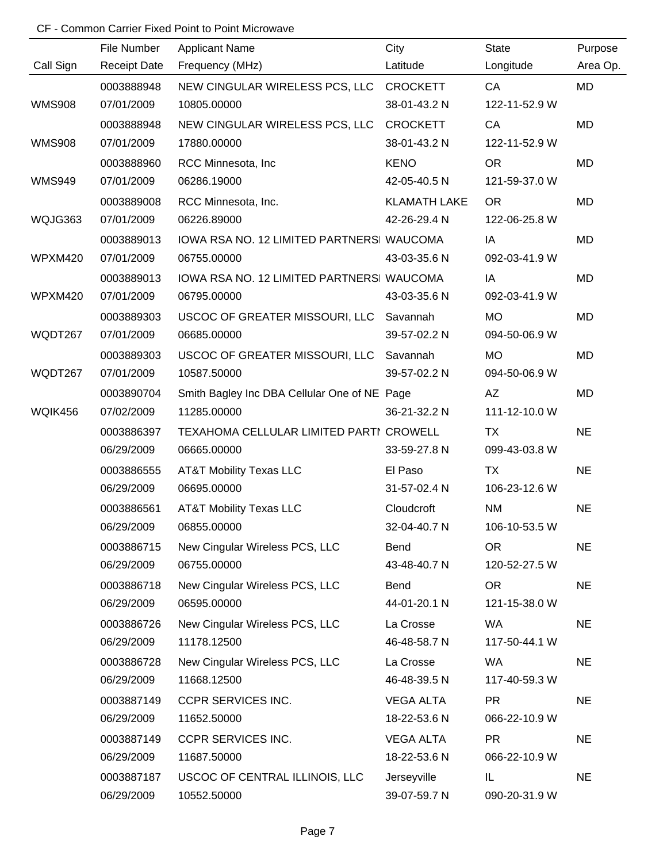|               | File Number         | <b>Applicant Name</b>                        | City                | <b>State</b>  | Purpose   |
|---------------|---------------------|----------------------------------------------|---------------------|---------------|-----------|
| Call Sign     | <b>Receipt Date</b> | Frequency (MHz)                              | Latitude            | Longitude     | Area Op.  |
|               | 0003888948          | NEW CINGULAR WIRELESS PCS, LLC CROCKETT      |                     | CA            | MD        |
| <b>WMS908</b> | 07/01/2009          | 10805.00000                                  | 38-01-43.2 N        | 122-11-52.9 W |           |
|               | 0003888948          | NEW CINGULAR WIRELESS PCS, LLC               | <b>CROCKETT</b>     | CA            | MD        |
| <b>WMS908</b> | 07/01/2009          | 17880.00000                                  | 38-01-43.2 N        | 122-11-52.9 W |           |
|               | 0003888960          | RCC Minnesota, Inc.                          | <b>KENO</b>         | <b>OR</b>     | <b>MD</b> |
| <b>WMS949</b> | 07/01/2009          | 06286.19000                                  | 42-05-40.5 N        | 121-59-37.0 W |           |
|               | 0003889008          | RCC Minnesota, Inc.                          | <b>KLAMATH LAKE</b> | <b>OR</b>     | <b>MD</b> |
| WQJG363       | 07/01/2009          | 06226.89000                                  | 42-26-29.4 N        | 122-06-25.8 W |           |
|               | 0003889013          | IOWA RSA NO. 12 LIMITED PARTNERSI WAUCOMA    |                     | IA            | <b>MD</b> |
| WPXM420       | 07/01/2009          | 06755.00000                                  | 43-03-35.6 N        | 092-03-41.9 W |           |
|               | 0003889013          | IOWA RSA NO. 12 LIMITED PARTNERSI WAUCOMA    |                     | IA            | <b>MD</b> |
| WPXM420       | 07/01/2009          | 06795.00000                                  | 43-03-35.6 N        | 092-03-41.9 W |           |
|               | 0003889303          | USCOC OF GREATER MISSOURI, LLC               | Savannah            | <b>MO</b>     | <b>MD</b> |
| WQDT267       | 07/01/2009          | 06685.00000                                  | 39-57-02.2 N        | 094-50-06.9 W |           |
|               | 0003889303          | USCOC OF GREATER MISSOURI, LLC               | Savannah            | <b>MO</b>     | <b>MD</b> |
| WQDT267       | 07/01/2009          | 10587.50000                                  | 39-57-02.2 N        | 094-50-06.9 W |           |
|               | 0003890704          | Smith Bagley Inc DBA Cellular One of NE Page |                     | AZ            | <b>MD</b> |
| WQIK456       | 07/02/2009          | 11285.00000                                  | 36-21-32.2 N        | 111-12-10.0 W |           |
|               | 0003886397          | TEXAHOMA CELLULAR LIMITED PARTI CROWELL      |                     | <b>TX</b>     | <b>NE</b> |
|               | 06/29/2009          | 06665.00000                                  | 33-59-27.8 N        | 099-43-03.8 W |           |
|               | 0003886555          | <b>AT&amp;T Mobility Texas LLC</b>           | El Paso             | <b>TX</b>     | <b>NE</b> |
|               | 06/29/2009          | 06695.00000                                  | 31-57-02.4 N        | 106-23-12.6 W |           |
|               | 0003886561          | AT&T Mobility Texas LLC                      | Cloudcroft          | <b>NM</b>     | <b>NE</b> |
|               | 06/29/2009          | 06855.00000                                  | 32-04-40.7 N        | 106-10-53.5 W |           |
|               | 0003886715          | New Cingular Wireless PCS, LLC               | Bend                | OR            | <b>NE</b> |
|               | 06/29/2009          | 06755.00000                                  | 43-48-40.7 N        | 120-52-27.5 W |           |
|               | 0003886718          | New Cingular Wireless PCS, LLC               | Bend                | <b>OR</b>     | <b>NE</b> |
|               | 06/29/2009          | 06595.00000                                  | 44-01-20.1 N        | 121-15-38.0 W |           |
|               | 0003886726          | New Cingular Wireless PCS, LLC               | La Crosse           | WA            | <b>NE</b> |
|               | 06/29/2009          | 11178.12500                                  | 46-48-58.7 N        | 117-50-44.1 W |           |
|               | 0003886728          | New Cingular Wireless PCS, LLC               | La Crosse           | <b>WA</b>     | <b>NE</b> |
|               | 06/29/2009          | 11668.12500                                  | 46-48-39.5 N        | 117-40-59.3 W |           |
|               | 0003887149          | CCPR SERVICES INC.                           | <b>VEGA ALTA</b>    | <b>PR</b>     | <b>NE</b> |
|               | 06/29/2009          | 11652.50000                                  | 18-22-53.6 N        | 066-22-10.9 W |           |
|               | 0003887149          | <b>CCPR SERVICES INC.</b>                    | <b>VEGA ALTA</b>    | <b>PR</b>     | <b>NE</b> |
|               | 06/29/2009          | 11687.50000                                  | 18-22-53.6 N        | 066-22-10.9 W |           |
|               | 0003887187          | USCOC OF CENTRAL ILLINOIS, LLC               | Jerseyville         | IL.           | <b>NE</b> |
|               | 06/29/2009          | 10552.50000                                  | 39-07-59.7 N        | 090-20-31.9 W |           |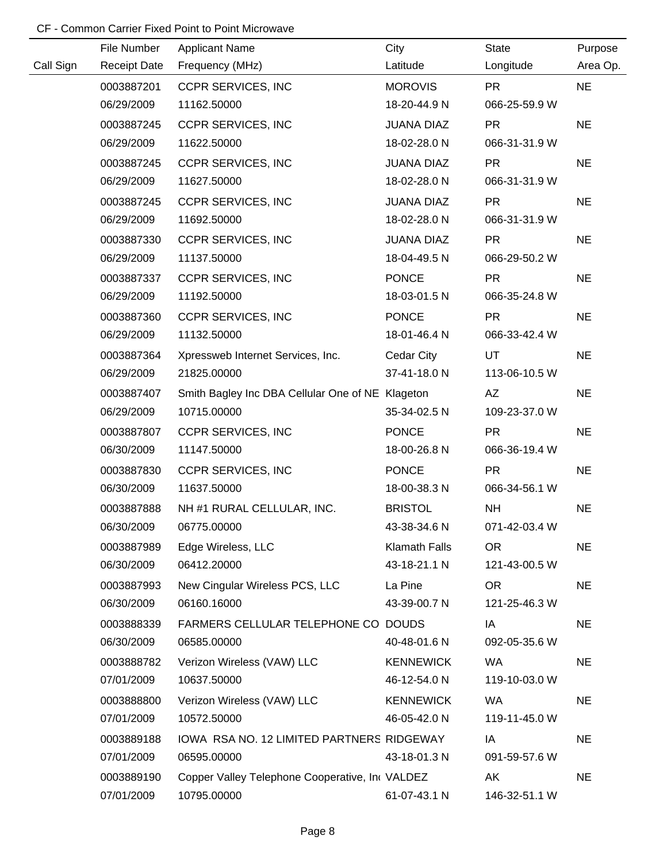|           | File Number         | <b>Applicant Name</b>                            | City                 | <b>State</b>    | Purpose   |
|-----------|---------------------|--------------------------------------------------|----------------------|-----------------|-----------|
| Call Sign | <b>Receipt Date</b> | Frequency (MHz)                                  | Latitude             | Longitude       | Area Op.  |
|           | 0003887201          | <b>CCPR SERVICES, INC</b>                        | <b>MOROVIS</b>       | <b>PR</b>       | <b>NE</b> |
|           | 06/29/2009          | 11162.50000                                      | 18-20-44.9 N         | 066-25-59.9 W   |           |
|           | 0003887245          | <b>CCPR SERVICES, INC</b>                        | <b>JUANA DIAZ</b>    | <b>PR</b>       | <b>NE</b> |
|           | 06/29/2009          | 11622.50000                                      | 18-02-28.0 N         | 066-31-31.9 W   |           |
|           | 0003887245          | <b>CCPR SERVICES, INC</b>                        | <b>JUANA DIAZ</b>    | <b>PR</b>       | <b>NE</b> |
|           | 06/29/2009          | 11627.50000                                      | 18-02-28.0 N         | 066-31-31.9 W   |           |
|           | 0003887245          | <b>CCPR SERVICES, INC</b>                        | <b>JUANA DIAZ</b>    | <b>PR</b>       | <b>NE</b> |
|           | 06/29/2009          | 11692.50000                                      | 18-02-28.0 N         | 066-31-31.9 W   |           |
|           | 0003887330          | <b>CCPR SERVICES, INC</b>                        | <b>JUANA DIAZ</b>    | <b>PR</b>       | <b>NE</b> |
|           | 06/29/2009          | 11137.50000                                      | 18-04-49.5 N         | 066-29-50.2 W   |           |
|           | 0003887337          | <b>CCPR SERVICES, INC</b>                        | <b>PONCE</b>         | <b>PR</b>       | <b>NE</b> |
|           | 06/29/2009          | 11192.50000                                      | 18-03-01.5 N         | 066-35-24.8 W   |           |
|           | 0003887360          | <b>CCPR SERVICES, INC</b>                        | <b>PONCE</b>         | <b>PR</b>       | <b>NE</b> |
|           | 06/29/2009          | 11132.50000                                      | 18-01-46.4 N         | 066-33-42.4 W   |           |
|           | 0003887364          | Xpressweb Internet Services, Inc.                | Cedar City           | UT              | <b>NE</b> |
|           | 06/29/2009          | 21825.00000                                      | 37-41-18.0 N         | 113-06-10.5 W   |           |
|           | 0003887407          | Smith Bagley Inc DBA Cellular One of NE Klageton |                      | AZ              | <b>NE</b> |
|           | 06/29/2009          | 10715.00000                                      | 35-34-02.5 N         | 109-23-37.0 W   |           |
|           | 0003887807          | <b>CCPR SERVICES, INC</b>                        | <b>PONCE</b>         | <b>PR</b>       | <b>NE</b> |
|           | 06/30/2009          | 11147.50000                                      | 18-00-26.8 N         | 066-36-19.4 W   |           |
|           | 0003887830          | <b>CCPR SERVICES, INC</b>                        | <b>PONCE</b>         | <b>PR</b>       | <b>NE</b> |
|           | 06/30/2009          | 11637.50000                                      | 18-00-38.3 N         | 066-34-56.1 W   |           |
|           | 0003887888          | NH #1 RURAL CELLULAR, INC.                       | <b>BRISTOL</b>       | <b>NH</b>       | <b>NE</b> |
|           | 06/30/2009          | 06775.00000                                      | 43-38-34.6 N         | 071-42-03.4 W   |           |
|           | 0003887989          | Edge Wireless, LLC                               | <b>Klamath Falls</b> | <b>OR</b>       | <b>NE</b> |
|           | 06/30/2009          | 06412.20000                                      | 43-18-21.1 N         | 121-43-00.5 W   |           |
|           | 0003887993          | New Cingular Wireless PCS, LLC                   | La Pine              | OR <sub>1</sub> | <b>NE</b> |
|           | 06/30/2009          | 06160.16000                                      | 43-39-00.7 N         | 121-25-46.3 W   |           |
|           | 0003888339          | FARMERS CELLULAR TELEPHONE CO DOUDS              |                      | IA              | <b>NE</b> |
|           | 06/30/2009          | 06585.00000                                      | 40-48-01.6 N         | 092-05-35.6 W   |           |
|           | 0003888782          | Verizon Wireless (VAW) LLC                       | <b>KENNEWICK</b>     | <b>WA</b>       | <b>NE</b> |
|           | 07/01/2009          | 10637.50000                                      | 46-12-54.0 N         | 119-10-03.0 W   |           |
|           | 0003888800          | Verizon Wireless (VAW) LLC                       | <b>KENNEWICK</b>     | <b>WA</b>       | <b>NE</b> |
|           | 07/01/2009          | 10572.50000                                      | 46-05-42.0 N         | 119-11-45.0 W   |           |
|           | 0003889188          | IOWA RSA NO. 12 LIMITED PARTNERS RIDGEWAY        |                      | IA              | <b>NE</b> |
|           | 07/01/2009          | 06595.00000                                      | 43-18-01.3 N         | 091-59-57.6 W   |           |
|           | 0003889190          | Copper Valley Telephone Cooperative, In VALDEZ   |                      | AK              | <b>NE</b> |
|           | 07/01/2009          | 10795.00000                                      | 61-07-43.1 N         | 146-32-51.1 W   |           |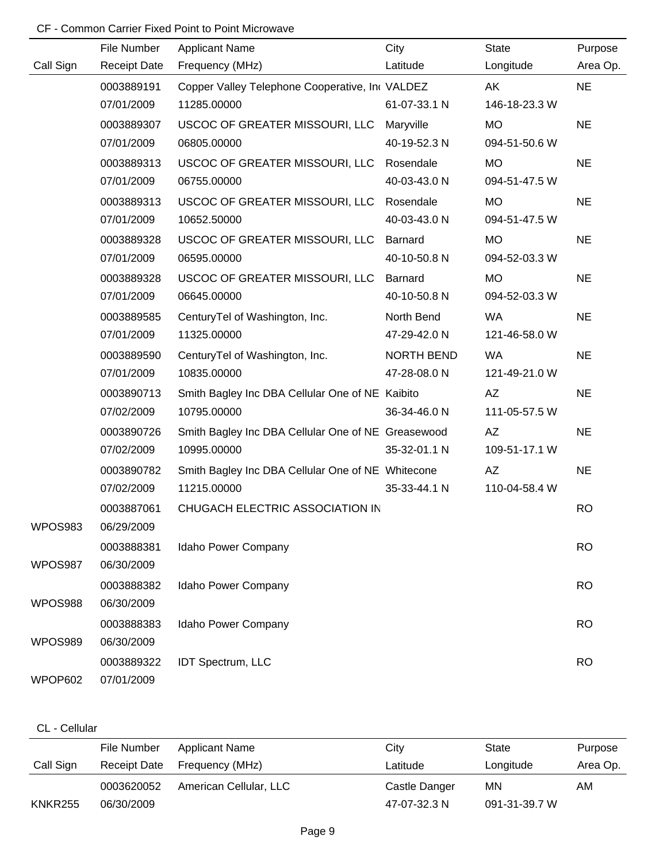|           | File Number         | <b>Applicant Name</b>                              | City         | <b>State</b>  | Purpose   |
|-----------|---------------------|----------------------------------------------------|--------------|---------------|-----------|
| Call Sign | <b>Receipt Date</b> | Frequency (MHz)                                    | Latitude     | Longitude     | Area Op.  |
|           | 0003889191          | Copper Valley Telephone Cooperative, In VALDEZ     |              | AK.           | <b>NE</b> |
|           | 07/01/2009          | 11285.00000                                        | 61-07-33.1 N | 146-18-23.3 W |           |
|           | 0003889307          | USCOC OF GREATER MISSOURI, LLC                     | Maryville    | <b>MO</b>     | <b>NE</b> |
|           | 07/01/2009          | 06805.00000                                        | 40-19-52.3 N | 094-51-50.6 W |           |
|           | 0003889313          | USCOC OF GREATER MISSOURI, LLC                     | Rosendale    | <b>MO</b>     | <b>NE</b> |
|           | 07/01/2009          | 06755.00000                                        | 40-03-43.0 N | 094-51-47.5 W |           |
|           | 0003889313          | USCOC OF GREATER MISSOURI, LLC                     | Rosendale    | <b>MO</b>     | <b>NE</b> |
|           | 07/01/2009          | 10652.50000                                        | 40-03-43.0 N | 094-51-47.5 W |           |
|           | 0003889328          | USCOC OF GREATER MISSOURI, LLC                     | Barnard      | <b>MO</b>     | <b>NE</b> |
|           | 07/01/2009          | 06595.00000                                        | 40-10-50.8 N | 094-52-03.3 W |           |
|           | 0003889328          | USCOC OF GREATER MISSOURI, LLC                     | Barnard      | <b>MO</b>     | <b>NE</b> |
|           | 07/01/2009          | 06645.00000                                        | 40-10-50.8 N | 094-52-03.3 W |           |
|           | 0003889585          | CenturyTel of Washington, Inc.                     | North Bend   | WA            | <b>NE</b> |
|           | 07/01/2009          | 11325.00000                                        | 47-29-42.0 N | 121-46-58.0 W |           |
|           | 0003889590          | CenturyTel of Washington, Inc.                     | NORTH BEND   | WA            | <b>NE</b> |
|           | 07/01/2009          | 10835.00000                                        | 47-28-08.0 N | 121-49-21.0 W |           |
|           | 0003890713          | Smith Bagley Inc DBA Cellular One of NE Kaibito    |              | AZ            | <b>NE</b> |
|           | 07/02/2009          | 10795.00000                                        | 36-34-46.0 N | 111-05-57.5 W |           |
|           | 0003890726          | Smith Bagley Inc DBA Cellular One of NE Greasewood |              | AZ            | <b>NE</b> |
|           | 07/02/2009          | 10995.00000                                        | 35-32-01.1 N | 109-51-17.1 W |           |
|           | 0003890782          | Smith Bagley Inc DBA Cellular One of NE Whitecone  |              | AZ            | <b>NE</b> |
|           | 07/02/2009          | 11215.00000                                        | 35-33-44.1 N | 110-04-58.4 W |           |
|           | 0003887061          | CHUGACH ELECTRIC ASSOCIATION IN                    |              |               | <b>RO</b> |
| WPOS983   | 06/29/2009          |                                                    |              |               |           |
|           | 0003888381          | Idaho Power Company                                |              |               | <b>RO</b> |
| WPOS987   | 06/30/2009          |                                                    |              |               |           |
|           | 0003888382          | Idaho Power Company                                |              |               | <b>RO</b> |
| WPOS988   | 06/30/2009          |                                                    |              |               |           |
|           | 0003888383          | Idaho Power Company                                |              |               | <b>RO</b> |
| WPOS989   | 06/30/2009          |                                                    |              |               |           |
|           | 0003889322          | <b>IDT Spectrum, LLC</b>                           |              |               | <b>RO</b> |
| WPOP602   | 07/01/2009          |                                                    |              |               |           |

### CL - Cellular

|                | File Number         | Applicant Name         | City          | State         | Purpose  |
|----------------|---------------------|------------------------|---------------|---------------|----------|
| Call Sign      | <b>Receipt Date</b> | Frequency (MHz)        | Latitude      | Longitude     | Area Op. |
|                | 0003620052          | American Cellular, LLC | Castle Danger | MN            | AM       |
| <b>KNKR255</b> | 06/30/2009          |                        | 47-07-32.3 N  | 091-31-39.7 W |          |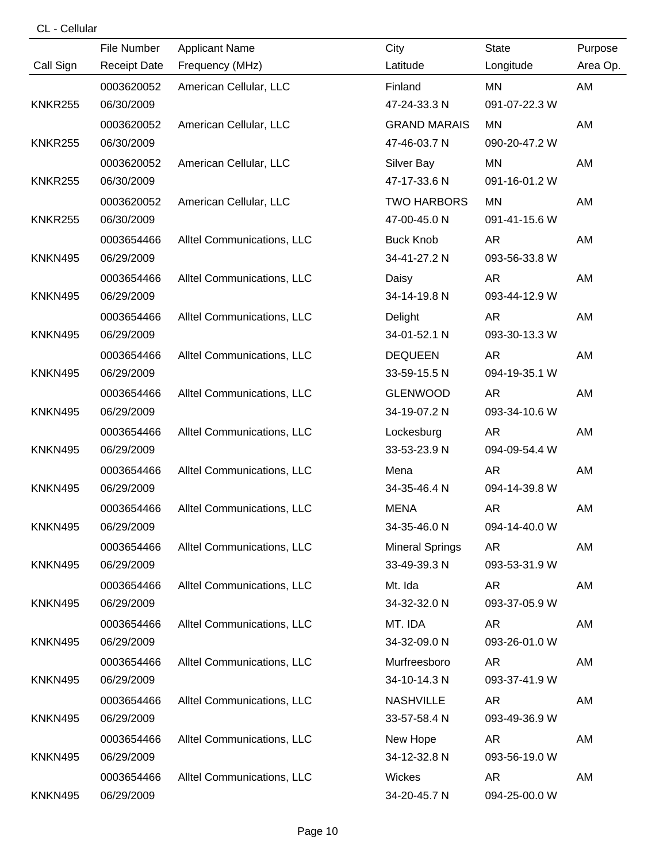## CL - Cellular

|                | File Number         | <b>Applicant Name</b>      | City                   | <b>State</b>  | Purpose  |
|----------------|---------------------|----------------------------|------------------------|---------------|----------|
| Call Sign      | <b>Receipt Date</b> | Frequency (MHz)            | Latitude               | Longitude     | Area Op. |
|                | 0003620052          | American Cellular, LLC     | Finland                | MN            | AM       |
| <b>KNKR255</b> | 06/30/2009          |                            | 47-24-33.3 N           | 091-07-22.3 W |          |
|                | 0003620052          | American Cellular, LLC     | <b>GRAND MARAIS</b>    | <b>MN</b>     | AM       |
| <b>KNKR255</b> | 06/30/2009          |                            | 47-46-03.7 N           | 090-20-47.2 W |          |
|                | 0003620052          | American Cellular, LLC     | Silver Bay             | MN            | AM       |
| <b>KNKR255</b> | 06/30/2009          |                            | 47-17-33.6 N           | 091-16-01.2 W |          |
|                | 0003620052          | American Cellular, LLC     | <b>TWO HARBORS</b>     | <b>MN</b>     | AM       |
| <b>KNKR255</b> | 06/30/2009          |                            | 47-00-45.0 N           | 091-41-15.6 W |          |
|                | 0003654466          | Alltel Communications, LLC | <b>Buck Knob</b>       | <b>AR</b>     | AM       |
| <b>KNKN495</b> | 06/29/2009          |                            | 34-41-27.2 N           | 093-56-33.8 W |          |
|                | 0003654466          | Alltel Communications, LLC | Daisy                  | AR            | AM       |
| <b>KNKN495</b> | 06/29/2009          |                            | 34-14-19.8 N           | 093-44-12.9 W |          |
|                | 0003654466          | Alltel Communications, LLC | Delight                | AR            | AM       |
| <b>KNKN495</b> | 06/29/2009          |                            | 34-01-52.1 N           | 093-30-13.3 W |          |
|                | 0003654466          | Alltel Communications, LLC | <b>DEQUEEN</b>         | <b>AR</b>     | AM       |
| <b>KNKN495</b> | 06/29/2009          |                            | 33-59-15.5 N           | 094-19-35.1 W |          |
|                | 0003654466          | Alltel Communications, LLC | <b>GLENWOOD</b>        | AR            | AM       |
| <b>KNKN495</b> | 06/29/2009          |                            | 34-19-07.2 N           | 093-34-10.6 W |          |
|                | 0003654466          | Alltel Communications, LLC | Lockesburg             | AR            | AM       |
| <b>KNKN495</b> | 06/29/2009          |                            | 33-53-23.9 N           | 094-09-54.4 W |          |
|                | 0003654466          | Alltel Communications, LLC | Mena                   | AR            | AM       |
| <b>KNKN495</b> | 06/29/2009          |                            | 34-35-46.4 N           | 094-14-39.8 W |          |
|                | 0003654466          | Alltel Communications, LLC | <b>MENA</b>            | <b>AR</b>     | AM       |
| <b>KNKN495</b> | 06/29/2009          |                            | 34-35-46.0 N           | 094-14-40.0 W |          |
|                | 0003654466          | Alltel Communications, LLC | <b>Mineral Springs</b> | <b>AR</b>     | AM       |
| <b>KNKN495</b> | 06/29/2009          |                            | 33-49-39.3 N           | 093-53-31.9 W |          |
|                | 0003654466          | Alltel Communications, LLC | Mt. Ida                | AR            | AM       |
| <b>KNKN495</b> | 06/29/2009          |                            | 34-32-32.0 N           | 093-37-05.9 W |          |
|                | 0003654466          | Alltel Communications, LLC | MT. IDA                | AR            | AM       |
| <b>KNKN495</b> | 06/29/2009          |                            | 34-32-09.0 N           | 093-26-01.0 W |          |
|                | 0003654466          | Alltel Communications, LLC | Murfreesboro           | AR            | AM       |
| <b>KNKN495</b> | 06/29/2009          |                            | 34-10-14.3 N           | 093-37-41.9 W |          |
|                | 0003654466          | Alltel Communications, LLC | <b>NASHVILLE</b>       | AR            | AM       |
| <b>KNKN495</b> | 06/29/2009          |                            | 33-57-58.4 N           | 093-49-36.9 W |          |
|                | 0003654466          | Alltel Communications, LLC | New Hope               | AR            | AM       |
| <b>KNKN495</b> | 06/29/2009          |                            | 34-12-32.8 N           | 093-56-19.0 W |          |
|                | 0003654466          | Alltel Communications, LLC | Wickes                 | AR            | AM       |
| <b>KNKN495</b> | 06/29/2009          |                            | 34-20-45.7 N           | 094-25-00.0 W |          |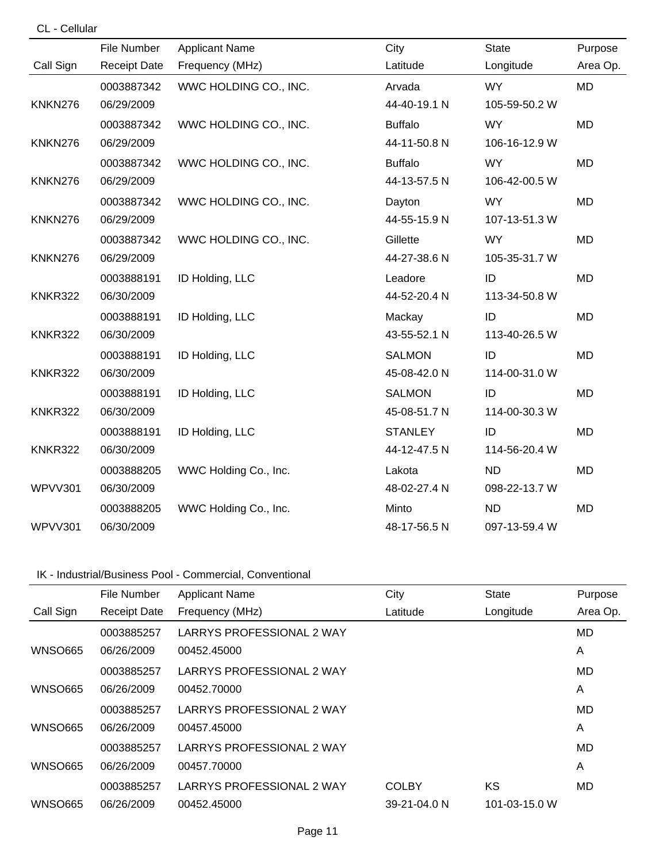| CL - Cellular  |                     |                       |                |               |           |
|----------------|---------------------|-----------------------|----------------|---------------|-----------|
|                | File Number         | <b>Applicant Name</b> | City           | <b>State</b>  | Purpose   |
| Call Sign      | <b>Receipt Date</b> | Frequency (MHz)       | Latitude       | Longitude     | Area Op.  |
|                | 0003887342          | WWC HOLDING CO., INC. | Arvada         | <b>WY</b>     | <b>MD</b> |
| KNKN276        | 06/29/2009          |                       | 44-40-19.1 N   | 105-59-50.2 W |           |
|                | 0003887342          | WWC HOLDING CO., INC. | <b>Buffalo</b> | <b>WY</b>     | <b>MD</b> |
| KNKN276        | 06/29/2009          |                       | 44-11-50.8 N   | 106-16-12.9 W |           |
|                | 0003887342          | WWC HOLDING CO., INC. | <b>Buffalo</b> | <b>WY</b>     | <b>MD</b> |
| KNKN276        | 06/29/2009          |                       | 44-13-57.5 N   | 106-42-00.5 W |           |
|                | 0003887342          | WWC HOLDING CO., INC. | Dayton         | <b>WY</b>     | <b>MD</b> |
| KNKN276        | 06/29/2009          |                       | 44-55-15.9 N   | 107-13-51.3 W |           |
|                | 0003887342          | WWC HOLDING CO., INC. | Gillette       | <b>WY</b>     | <b>MD</b> |
| KNKN276        | 06/29/2009          |                       | 44-27-38.6 N   | 105-35-31.7 W |           |
|                | 0003888191          | ID Holding, LLC       | Leadore        | ID            | <b>MD</b> |
| <b>KNKR322</b> | 06/30/2009          |                       | 44-52-20.4 N   | 113-34-50.8 W |           |
|                | 0003888191          | ID Holding, LLC       | Mackay         | ID            | <b>MD</b> |
| <b>KNKR322</b> | 06/30/2009          |                       | 43-55-52.1 N   | 113-40-26.5 W |           |
|                | 0003888191          | ID Holding, LLC       | <b>SALMON</b>  | ID            | <b>MD</b> |
| <b>KNKR322</b> | 06/30/2009          |                       | 45-08-42.0 N   | 114-00-31.0 W |           |
|                | 0003888191          | ID Holding, LLC       | <b>SALMON</b>  | ID            | <b>MD</b> |
| <b>KNKR322</b> | 06/30/2009          |                       | 45-08-51.7 N   | 114-00-30.3 W |           |
|                | 0003888191          | ID Holding, LLC       | <b>STANLEY</b> | ID            | <b>MD</b> |
| <b>KNKR322</b> | 06/30/2009          |                       | 44-12-47.5 N   | 114-56-20.4 W |           |
|                | 0003888205          | WWC Holding Co., Inc. | Lakota         | <b>ND</b>     | <b>MD</b> |
| <b>WPVV301</b> | 06/30/2009          |                       | 48-02-27.4 N   | 098-22-13.7 W |           |
|                | 0003888205          | WWC Holding Co., Inc. | Minto          | <b>ND</b>     | <b>MD</b> |
| <b>WPVV301</b> | 06/30/2009          |                       | 48-17-56.5 N   | 097-13-59.4 W |           |

# IK - Industrial/Business Pool - Commercial, Conventional

|                | File Number         | <b>Applicant Name</b>     | City         | <b>State</b>  | Purpose  |
|----------------|---------------------|---------------------------|--------------|---------------|----------|
| Call Sign      | <b>Receipt Date</b> | Frequency (MHz)           | Latitude     | Longitude     | Area Op. |
|                | 0003885257          | LARRYS PROFESSIONAL 2 WAY |              |               | MD.      |
| <b>WNSO665</b> | 06/26/2009          | 00452.45000               |              |               | A        |
|                | 0003885257          | LARRYS PROFESSIONAL 2 WAY |              |               | MD       |
| <b>WNSO665</b> | 06/26/2009          | 00452.70000               |              |               | A        |
|                | 0003885257          | LARRYS PROFESSIONAL 2 WAY |              |               | MD       |
| <b>WNSO665</b> | 06/26/2009          | 00457.45000               |              |               | Α        |
|                | 0003885257          | LARRYS PROFESSIONAL 2 WAY |              |               | MD       |
| <b>WNSO665</b> | 06/26/2009          | 00457.70000               |              |               | Α        |
|                | 0003885257          | LARRYS PROFESSIONAL 2 WAY | <b>COLBY</b> | <b>KS</b>     | MD       |
| <b>WNSO665</b> | 06/26/2009          | 00452.45000               | 39-21-04.0 N | 101-03-15.0 W |          |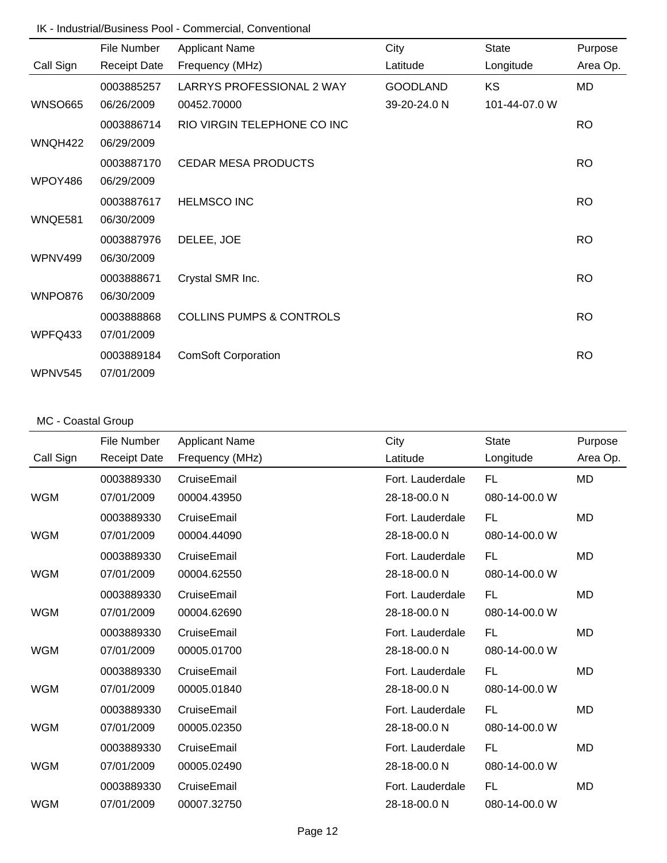### IK - Industrial/Business Pool - Commercial, Conventional

|                | File Number         | <b>Applicant Name</b>               | City            | State         | Purpose   |
|----------------|---------------------|-------------------------------------|-----------------|---------------|-----------|
| Call Sign      | <b>Receipt Date</b> | Frequency (MHz)                     | Latitude        | Longitude     | Area Op.  |
|                | 0003885257          | LARRYS PROFESSIONAL 2 WAY           | <b>GOODLAND</b> | KS            | MD        |
| <b>WNSO665</b> | 06/26/2009          | 00452.70000                         | 39-20-24.0 N    | 101-44-07.0 W |           |
|                | 0003886714          | RIO VIRGIN TELEPHONE CO INC         |                 |               | <b>RO</b> |
| WNQH422        | 06/29/2009          |                                     |                 |               |           |
|                | 0003887170          | <b>CEDAR MESA PRODUCTS</b>          |                 |               | <b>RO</b> |
| WPOY486        | 06/29/2009          |                                     |                 |               |           |
|                | 0003887617          | <b>HELMSCO INC</b>                  |                 |               | <b>RO</b> |
| WNQE581        | 06/30/2009          |                                     |                 |               |           |
|                | 0003887976          | DELEE, JOE                          |                 |               | <b>RO</b> |
| WPNV499        | 06/30/2009          |                                     |                 |               |           |
|                | 0003888671          | Crystal SMR Inc.                    |                 |               | <b>RO</b> |
| WNPO876        | 06/30/2009          |                                     |                 |               |           |
|                | 0003888868          | <b>COLLINS PUMPS &amp; CONTROLS</b> |                 |               | <b>RO</b> |
| WPFQ433        | 07/01/2009          |                                     |                 |               |           |
|                | 0003889184          | <b>ComSoft Corporation</b>          |                 |               | <b>RO</b> |
| WPNV545        | 07/01/2009          |                                     |                 |               |           |

# MC - Coastal Group

|            | <b>File Number</b>  | <b>Applicant Name</b> | City             | <b>State</b>  | Purpose   |
|------------|---------------------|-----------------------|------------------|---------------|-----------|
| Call Sign  | <b>Receipt Date</b> | Frequency (MHz)       | Latitude         | Longitude     | Area Op.  |
|            | 0003889330          | CruiseEmail           | Fort. Lauderdale | FL.           | MD        |
| <b>WGM</b> | 07/01/2009          | 00004.43950           | 28-18-00.0 N     | 080-14-00.0 W |           |
|            | 0003889330          | CruiseEmail           | Fort. Lauderdale | FL.           | <b>MD</b> |
| <b>WGM</b> | 07/01/2009          | 00004.44090           | 28-18-00.0 N     | 080-14-00.0 W |           |
|            | 0003889330          | CruiseEmail           | Fort. Lauderdale | FL            | <b>MD</b> |
| <b>WGM</b> | 07/01/2009          | 00004.62550           | 28-18-00.0 N     | 080-14-00.0 W |           |
|            | 0003889330          | CruiseEmail           | Fort. Lauderdale | FL.           | <b>MD</b> |
| <b>WGM</b> | 07/01/2009          | 00004.62690           | 28-18-00.0 N     | 080-14-00.0 W |           |
|            | 0003889330          | CruiseEmail           | Fort. Lauderdale | FL.           | <b>MD</b> |
| <b>WGM</b> | 07/01/2009          | 00005.01700           | 28-18-00.0 N     | 080-14-00.0 W |           |
|            | 0003889330          | CruiseEmail           | Fort. Lauderdale | FL            | <b>MD</b> |
| <b>WGM</b> | 07/01/2009          | 00005.01840           | 28-18-00.0 N     | 080-14-00.0 W |           |
|            | 0003889330          | CruiseEmail           | Fort. Lauderdale | FL.           | MD        |
| <b>WGM</b> | 07/01/2009          | 00005.02350           | 28-18-00.0 N     | 080-14-00.0 W |           |
|            | 0003889330          | CruiseEmail           | Fort. Lauderdale | FL.           | <b>MD</b> |
| <b>WGM</b> | 07/01/2009          | 00005.02490           | 28-18-00.0 N     | 080-14-00.0 W |           |
|            | 0003889330          | CruiseEmail           | Fort. Lauderdale | FL.           | <b>MD</b> |
| <b>WGM</b> | 07/01/2009          | 00007.32750           | 28-18-00.0 N     | 080-14-00.0 W |           |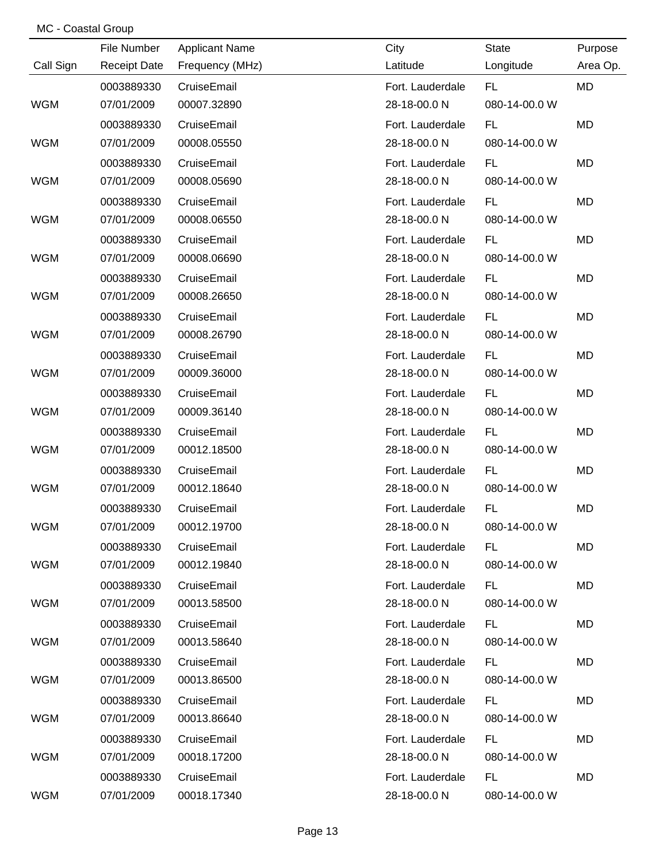## MC - Coastal Group

|            | File Number         | <b>Applicant Name</b> | City             | <b>State</b>  | Purpose   |
|------------|---------------------|-----------------------|------------------|---------------|-----------|
| Call Sign  | <b>Receipt Date</b> | Frequency (MHz)       | Latitude         | Longitude     | Area Op.  |
|            | 0003889330          | CruiseEmail           | Fort. Lauderdale | <b>FL</b>     | <b>MD</b> |
| <b>WGM</b> | 07/01/2009          | 00007.32890           | 28-18-00.0 N     | 080-14-00.0 W |           |
|            | 0003889330          | CruiseEmail           | Fort. Lauderdale | FL.           | <b>MD</b> |
| <b>WGM</b> | 07/01/2009          | 00008.05550           | 28-18-00.0 N     | 080-14-00.0 W |           |
|            | 0003889330          | CruiseEmail           | Fort. Lauderdale | <b>FL</b>     | <b>MD</b> |
| <b>WGM</b> | 07/01/2009          | 00008.05690           | 28-18-00.0 N     | 080-14-00.0 W |           |
|            | 0003889330          | CruiseEmail           | Fort. Lauderdale | FL.           | <b>MD</b> |
| <b>WGM</b> | 07/01/2009          | 00008.06550           | 28-18-00.0 N     | 080-14-00.0 W |           |
|            | 0003889330          | CruiseEmail           | Fort. Lauderdale | <b>FL</b>     | <b>MD</b> |
| <b>WGM</b> | 07/01/2009          | 00008.06690           | 28-18-00.0 N     | 080-14-00.0 W |           |
|            | 0003889330          | CruiseEmail           | Fort. Lauderdale | <b>FL</b>     | <b>MD</b> |
| <b>WGM</b> | 07/01/2009          | 00008.26650           | 28-18-00.0 N     | 080-14-00.0 W |           |
|            | 0003889330          | CruiseEmail           | Fort. Lauderdale | <b>FL</b>     | <b>MD</b> |
| <b>WGM</b> | 07/01/2009          | 00008.26790           | 28-18-00.0 N     | 080-14-00.0 W |           |
|            | 0003889330          | CruiseEmail           | Fort. Lauderdale | FL.           | <b>MD</b> |
| <b>WGM</b> | 07/01/2009          | 00009.36000           | 28-18-00.0 N     | 080-14-00.0 W |           |
|            | 0003889330          | CruiseEmail           | Fort. Lauderdale | <b>FL</b>     | <b>MD</b> |
| <b>WGM</b> | 07/01/2009          | 00009.36140           | 28-18-00.0 N     | 080-14-00.0 W |           |
|            | 0003889330          | CruiseEmail           | Fort. Lauderdale | FL.           | <b>MD</b> |
| <b>WGM</b> | 07/01/2009          | 00012.18500           | 28-18-00.0 N     | 080-14-00.0 W |           |
|            | 0003889330          | CruiseEmail           | Fort. Lauderdale | <b>FL</b>     | <b>MD</b> |
| <b>WGM</b> | 07/01/2009          | 00012.18640           | 28-18-00.0 N     | 080-14-00.0 W |           |
|            | 0003889330          | CruiseEmail           | Fort. Lauderdale | <b>FL</b>     | <b>MD</b> |
| <b>WGM</b> | 07/01/2009          | 00012.19700           | 28-18-00.0 N     | 080-14-00.0 W |           |
|            | 0003889330          | CruiseEmail           | Fort. Lauderdale | FL.           | MD        |
| WGM        | 07/01/2009          | 00012.19840           | 28-18-00.0 N     | 080-14-00.0 W |           |
|            | 0003889330          | CruiseEmail           | Fort. Lauderdale | FL.           | MD        |
| <b>WGM</b> | 07/01/2009          | 00013.58500           | 28-18-00.0 N     | 080-14-00.0 W |           |
|            | 0003889330          | CruiseEmail           | Fort. Lauderdale | FL.           | MD        |
| WGM        | 07/01/2009          | 00013.58640           | 28-18-00.0 N     | 080-14-00.0 W |           |
|            | 0003889330          | CruiseEmail           | Fort. Lauderdale | FL.           | MD        |
| <b>WGM</b> | 07/01/2009          | 00013.86500           | 28-18-00.0 N     | 080-14-00.0 W |           |
|            | 0003889330          | CruiseEmail           | Fort. Lauderdale | FL.           | MD        |
| WGM        | 07/01/2009          | 00013.86640           | 28-18-00.0 N     | 080-14-00.0 W |           |
|            | 0003889330          | CruiseEmail           | Fort. Lauderdale | FL.           | MD        |
| WGM        | 07/01/2009          | 00018.17200           | 28-18-00.0 N     | 080-14-00.0 W |           |
|            | 0003889330          | CruiseEmail           | Fort. Lauderdale | FL.           | <b>MD</b> |
| WGM        | 07/01/2009          | 00018.17340           | 28-18-00.0 N     | 080-14-00.0 W |           |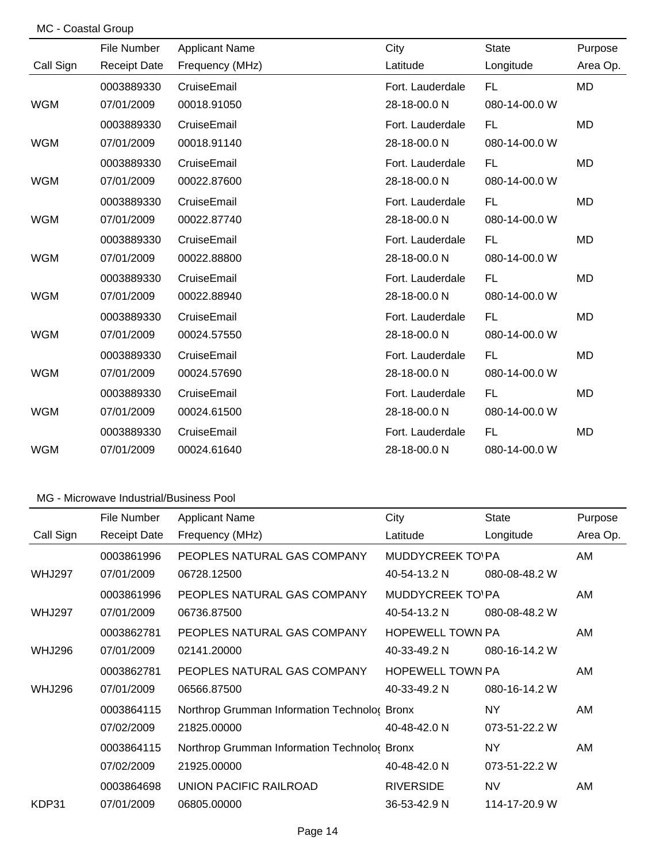|  | MC - Coastal Group |  |
|--|--------------------|--|
|--|--------------------|--|

|            | File Number         | <b>Applicant Name</b> | City             | <b>State</b>  | Purpose   |
|------------|---------------------|-----------------------|------------------|---------------|-----------|
| Call Sign  | <b>Receipt Date</b> | Frequency (MHz)       | Latitude         | Longitude     | Area Op.  |
|            | 0003889330          | CruiseEmail           | Fort. Lauderdale | FL.           | <b>MD</b> |
| <b>WGM</b> | 07/01/2009          | 00018.91050           | 28-18-00.0 N     | 080-14-00.0 W |           |
|            | 0003889330          | CruiseEmail           | Fort. Lauderdale | <b>FL</b>     | MD        |
| WGM        | 07/01/2009          | 00018.91140           | 28-18-00.0 N     | 080-14-00.0 W |           |
|            | 0003889330          | CruiseEmail           | Fort. Lauderdale | <b>FL</b>     | <b>MD</b> |
| <b>WGM</b> | 07/01/2009          | 00022.87600           | 28-18-00.0 N     | 080-14-00.0 W |           |
|            | 0003889330          | CruiseEmail           | Fort. Lauderdale | <b>FL</b>     | <b>MD</b> |
| <b>WGM</b> | 07/01/2009          | 00022.87740           | 28-18-00.0 N     | 080-14-00.0 W |           |
|            | 0003889330          | CruiseEmail           | Fort. Lauderdale | FL            | <b>MD</b> |
| <b>WGM</b> | 07/01/2009          | 00022.88800           | 28-18-00.0 N     | 080-14-00.0 W |           |
|            | 0003889330          | CruiseEmail           | Fort. Lauderdale | <b>FL</b>     | <b>MD</b> |
| <b>WGM</b> | 07/01/2009          | 00022.88940           | 28-18-00.0 N     | 080-14-00.0 W |           |
|            | 0003889330          | CruiseEmail           | Fort. Lauderdale | <b>FL</b>     | MD        |
| <b>WGM</b> | 07/01/2009          | 00024.57550           | 28-18-00.0 N     | 080-14-00.0 W |           |
|            | 0003889330          | CruiseEmail           | Fort. Lauderdale | FL.           | MD        |
| <b>WGM</b> | 07/01/2009          | 00024.57690           | 28-18-00.0 N     | 080-14-00.0 W |           |
|            | 0003889330          | CruiseEmail           | Fort. Lauderdale | <b>FL</b>     | MD        |
| <b>WGM</b> | 07/01/2009          | 00024.61500           | 28-18-00.0 N     | 080-14-00.0 W |           |
|            | 0003889330          | CruiseEmail           | Fort. Lauderdale | <b>FL</b>     | <b>MD</b> |
| <b>WGM</b> | 07/01/2009          | 00024.61640           | 28-18-00.0 N     | 080-14-00.0 W |           |

|               | File Number         | <b>Applicant Name</b>                        | City                     | <b>State</b>  | Purpose  |
|---------------|---------------------|----------------------------------------------|--------------------------|---------------|----------|
| Call Sign     | <b>Receipt Date</b> | Frequency (MHz)                              | Latitude                 | Longitude     | Area Op. |
|               | 0003861996          | PEOPLES NATURAL GAS COMPANY                  | <b>MUDDYCREEK TO' PA</b> |               | AM       |
| <b>WHJ297</b> | 07/01/2009          | 06728.12500                                  | 40-54-13.2 N             | 080-08-48.2 W |          |
|               | 0003861996          | PEOPLES NATURAL GAS COMPANY                  | <b>MUDDYCREEK TO'PA</b>  |               | AM       |
| <b>WHJ297</b> | 07/01/2009          | 06736.87500                                  | 40-54-13.2 N             | 080-08-48.2 W |          |
|               | 0003862781          | PEOPLES NATURAL GAS COMPANY                  | <b>HOPEWELL TOWN PA</b>  |               | AM       |
| <b>WHJ296</b> | 07/01/2009          | 02141.20000                                  | 40-33-49.2 N             | 080-16-14.2 W |          |
|               | 0003862781          | PEOPLES NATURAL GAS COMPANY                  | <b>HOPEWELL TOWN PA</b>  |               | AM       |
| <b>WHJ296</b> | 07/01/2009          | 06566.87500                                  | 40-33-49.2 N             | 080-16-14.2 W |          |
|               | 0003864115          | Northrop Grumman Information Technolog Bronx |                          | NY.           | AM       |
|               | 07/02/2009          | 21825,00000                                  | 40-48-42.0 N             | 073-51-22.2 W |          |
|               | 0003864115          | Northrop Grumman Information Technolog Bronx |                          | NY.           | AM       |
|               | 07/02/2009          | 21925.00000                                  | 40-48-42.0 N             | 073-51-22.2 W |          |
|               | 0003864698          | UNION PACIFIC RAILROAD                       | <b>RIVERSIDE</b>         | <b>NV</b>     | AM       |
| KDP31         | 07/01/2009          | 06805.00000                                  | 36-53-42.9 N             | 114-17-20.9 W |          |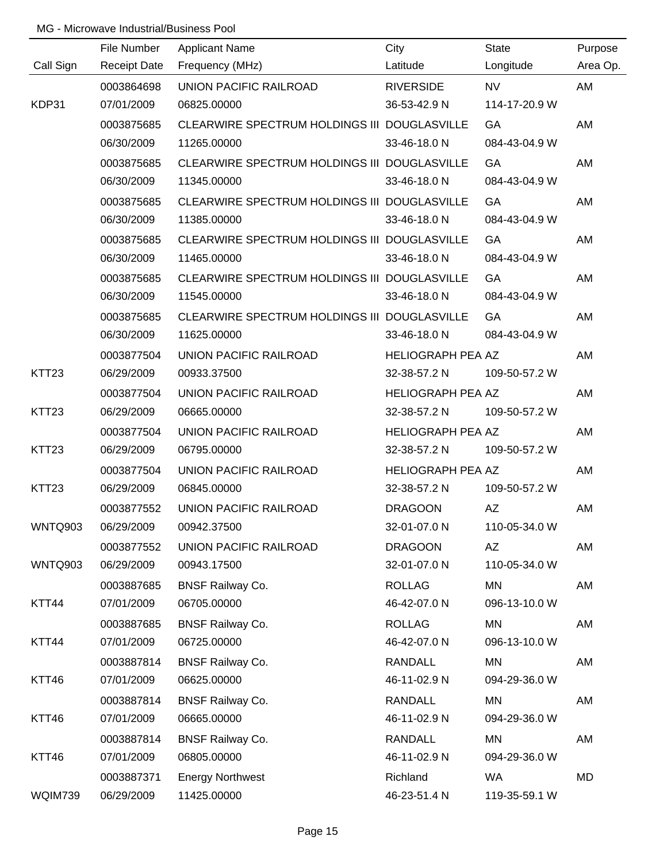|                   | File Number         | <b>Applicant Name</b>                        | City                     | <b>State</b>  | Purpose  |
|-------------------|---------------------|----------------------------------------------|--------------------------|---------------|----------|
| Call Sign         | <b>Receipt Date</b> | Frequency (MHz)                              | Latitude                 | Longitude     | Area Op. |
|                   | 0003864698          | UNION PACIFIC RAILROAD                       | <b>RIVERSIDE</b>         | <b>NV</b>     | AM       |
| KDP31             | 07/01/2009          | 06825.00000                                  | 36-53-42.9 N             | 114-17-20.9 W |          |
|                   | 0003875685          | CLEARWIRE SPECTRUM HOLDINGS III DOUGLASVILLE |                          | GA            | AM       |
|                   | 06/30/2009          | 11265.00000                                  | 33-46-18.0 N             | 084-43-04.9 W |          |
|                   | 0003875685          | CLEARWIRE SPECTRUM HOLDINGS III DOUGLASVILLE |                          | GA            | AM       |
|                   | 06/30/2009          | 11345.00000                                  | 33-46-18.0 N             | 084-43-04.9 W |          |
|                   | 0003875685          | CLEARWIRE SPECTRUM HOLDINGS III DOUGLASVILLE |                          | GA            | AM       |
|                   | 06/30/2009          | 11385.00000                                  | 33-46-18.0 N             | 084-43-04.9 W |          |
|                   | 0003875685          | CLEARWIRE SPECTRUM HOLDINGS III DOUGLASVILLE |                          | GA            | AM       |
|                   | 06/30/2009          | 11465.00000                                  | 33-46-18.0 N             | 084-43-04.9 W |          |
|                   | 0003875685          | CLEARWIRE SPECTRUM HOLDINGS III DOUGLASVILLE |                          | GA            | AM       |
|                   | 06/30/2009          | 11545.00000                                  | 33-46-18.0 N             | 084-43-04.9 W |          |
|                   | 0003875685          | CLEARWIRE SPECTRUM HOLDINGS III DOUGLASVILLE |                          | GA            | AM       |
|                   | 06/30/2009          | 11625.00000                                  | 33-46-18.0 N             | 084-43-04.9 W |          |
|                   | 0003877504          | UNION PACIFIC RAILROAD                       | <b>HELIOGRAPH PEA AZ</b> |               | AM       |
| KTT23             | 06/29/2009          | 00933.37500                                  | 32-38-57.2 N             | 109-50-57.2 W |          |
|                   | 0003877504          | UNION PACIFIC RAILROAD                       | <b>HELIOGRAPH PEA AZ</b> |               | AM       |
| KTT <sub>23</sub> | 06/29/2009          | 06665.00000                                  | 32-38-57.2 N             | 109-50-57.2 W |          |
|                   | 0003877504          | UNION PACIFIC RAILROAD                       | <b>HELIOGRAPH PEA AZ</b> |               | AM       |
| KTT <sub>23</sub> | 06/29/2009          | 06795.00000                                  | 32-38-57.2 N             | 109-50-57.2 W |          |
|                   | 0003877504          | UNION PACIFIC RAILROAD                       | HELIOGRAPH PEA AZ        |               | AM       |
| KTT <sub>23</sub> | 06/29/2009          | 06845.00000                                  | 32-38-57.2 N             | 109-50-57.2 W |          |
|                   | 0003877552          | UNION PACIFIC RAILROAD                       | <b>DRAGOON</b>           | <b>AZ</b>     | AM       |
| WNTQ903           | 06/29/2009          | 00942.37500                                  | 32-01-07.0 N             | 110-05-34.0 W |          |
|                   | 0003877552          | UNION PACIFIC RAILROAD                       | <b>DRAGOON</b>           | AZ            | AM       |
| WNTQ903           | 06/29/2009          | 00943.17500                                  | 32-01-07.0 N             | 110-05-34.0 W |          |
|                   | 0003887685          | <b>BNSF Railway Co.</b>                      | <b>ROLLAG</b>            | MN            | AM       |
| KTT44             | 07/01/2009          | 06705.00000                                  | 46-42-07.0 N             | 096-13-10.0 W |          |
|                   | 0003887685          | <b>BNSF Railway Co.</b>                      | <b>ROLLAG</b>            | MN            | AM       |
| KTT44             | 07/01/2009          | 06725.00000                                  | 46-42-07.0 N             | 096-13-10.0 W |          |
|                   | 0003887814          | <b>BNSF Railway Co.</b>                      | <b>RANDALL</b>           | MN            | AM       |
| KTT46             | 07/01/2009          | 06625.00000                                  | 46-11-02.9 N             | 094-29-36.0 W |          |
|                   | 0003887814          | <b>BNSF Railway Co.</b>                      | <b>RANDALL</b>           | <b>MN</b>     | AM       |
| KTT46             | 07/01/2009          | 06665.00000                                  | 46-11-02.9 N             | 094-29-36.0 W |          |
|                   | 0003887814          | <b>BNSF Railway Co.</b>                      | <b>RANDALL</b>           | <b>MN</b>     | AM       |
| KTT46             | 07/01/2009          | 06805.00000                                  | 46-11-02.9 N             | 094-29-36.0 W |          |
|                   | 0003887371          | <b>Energy Northwest</b>                      | Richland                 | <b>WA</b>     | MD       |
| WQIM739           | 06/29/2009          | 11425.00000                                  | 46-23-51.4 N             | 119-35-59.1 W |          |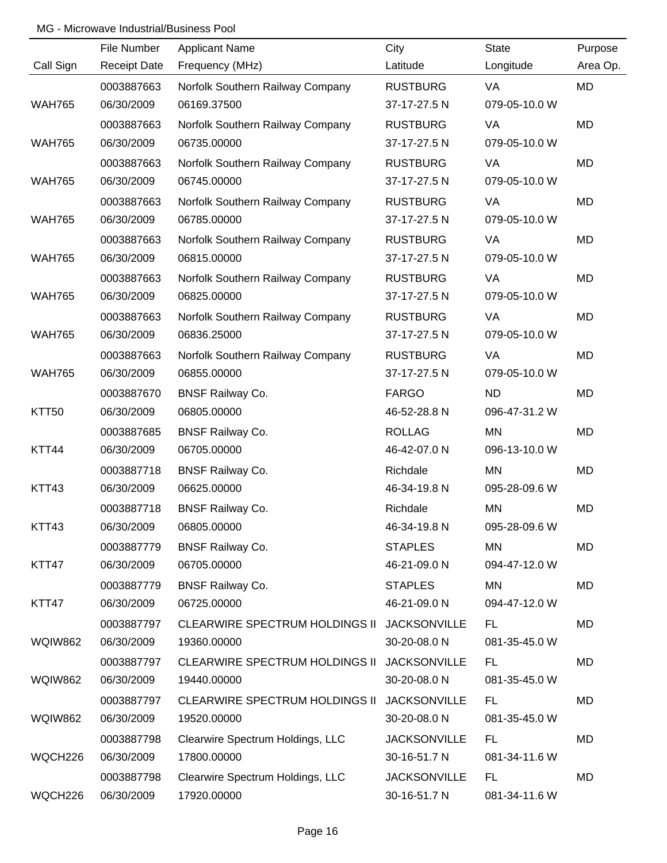|                | File Number         | <b>Applicant Name</b>                 | City                | <b>State</b>  | Purpose   |
|----------------|---------------------|---------------------------------------|---------------------|---------------|-----------|
| Call Sign      | <b>Receipt Date</b> | Frequency (MHz)                       | Latitude            | Longitude     | Area Op.  |
|                | 0003887663          | Norfolk Southern Railway Company      | <b>RUSTBURG</b>     | VA            | MD        |
| <b>WAH765</b>  | 06/30/2009          | 06169.37500                           | 37-17-27.5 N        | 079-05-10.0 W |           |
|                | 0003887663          | Norfolk Southern Railway Company      | <b>RUSTBURG</b>     | VA            | MD        |
| <b>WAH765</b>  | 06/30/2009          | 06735.00000                           | 37-17-27.5 N        | 079-05-10.0 W |           |
|                | 0003887663          | Norfolk Southern Railway Company      | <b>RUSTBURG</b>     | VA            | <b>MD</b> |
| <b>WAH765</b>  | 06/30/2009          | 06745.00000                           | 37-17-27.5 N        | 079-05-10.0 W |           |
|                | 0003887663          | Norfolk Southern Railway Company      | <b>RUSTBURG</b>     | VA            | MD        |
| <b>WAH765</b>  | 06/30/2009          | 06785.00000                           | 37-17-27.5 N        | 079-05-10.0 W |           |
|                | 0003887663          | Norfolk Southern Railway Company      | <b>RUSTBURG</b>     | VA            | MD        |
| <b>WAH765</b>  | 06/30/2009          | 06815.00000                           | 37-17-27.5 N        | 079-05-10.0 W |           |
|                | 0003887663          | Norfolk Southern Railway Company      | <b>RUSTBURG</b>     | VA            | <b>MD</b> |
| <b>WAH765</b>  | 06/30/2009          | 06825.00000                           | 37-17-27.5 N        | 079-05-10.0 W |           |
|                | 0003887663          | Norfolk Southern Railway Company      | <b>RUSTBURG</b>     | VA            | <b>MD</b> |
| <b>WAH765</b>  | 06/30/2009          | 06836.25000                           | 37-17-27.5 N        | 079-05-10.0 W |           |
|                | 0003887663          | Norfolk Southern Railway Company      | <b>RUSTBURG</b>     | VA            | <b>MD</b> |
| <b>WAH765</b>  | 06/30/2009          | 06855.00000                           | 37-17-27.5 N        | 079-05-10.0 W |           |
|                | 0003887670          | <b>BNSF Railway Co.</b>               | <b>FARGO</b>        | <b>ND</b>     | <b>MD</b> |
| KTT50          | 06/30/2009          | 06805.00000                           | 46-52-28.8 N        | 096-47-31.2 W |           |
|                | 0003887685          | <b>BNSF Railway Co.</b>               | <b>ROLLAG</b>       | <b>MN</b>     | <b>MD</b> |
| KTT44          | 06/30/2009          | 06705.00000                           | 46-42-07.0 N        | 096-13-10.0 W |           |
|                | 0003887718          | <b>BNSF Railway Co.</b>               | Richdale            | <b>MN</b>     | <b>MD</b> |
| KTT43          | 06/30/2009          | 06625.00000                           | 46-34-19.8 N        | 095-28-09.6 W |           |
|                | 0003887718          | <b>BNSF Railway Co.</b>               | Richdale            | <b>MN</b>     | <b>MD</b> |
| KTT43          | 06/30/2009          | 06805.00000                           | 46-34-19.8 N        | 095-28-09.6 W |           |
|                | 0003887779          | <b>BNSF Railway Co.</b>               | <b>STAPLES</b>      | <b>MN</b>     | MD        |
| KTT47          | 06/30/2009          | 06705.00000                           | 46-21-09.0 N        | 094-47-12.0 W |           |
|                | 0003887779          | <b>BNSF Railway Co.</b>               | <b>STAPLES</b>      | <b>MN</b>     | MD        |
| KTT47          | 06/30/2009          | 06725.00000                           | 46-21-09.0 N        | 094-47-12.0 W |           |
|                | 0003887797          | <b>CLEARWIRE SPECTRUM HOLDINGS II</b> | <b>JACKSONVILLE</b> | FL.           | MD        |
| <b>WQIW862</b> | 06/30/2009          | 19360.00000                           | 30-20-08.0 N        | 081-35-45.0 W |           |
|                | 0003887797          | <b>CLEARWIRE SPECTRUM HOLDINGS II</b> | <b>JACKSONVILLE</b> | FL            | MD        |
| <b>WQIW862</b> | 06/30/2009          | 19440.00000                           | 30-20-08.0 N        | 081-35-45.0 W |           |
|                | 0003887797          | CLEARWIRE SPECTRUM HOLDINGS II        | <b>JACKSONVILLE</b> | <b>FL</b>     | MD        |
| <b>WQIW862</b> | 06/30/2009          | 19520.00000                           | 30-20-08.0 N        | 081-35-45.0 W |           |
|                | 0003887798          | Clearwire Spectrum Holdings, LLC      | <b>JACKSONVILLE</b> | <b>FL</b>     | MD        |
| WQCH226        | 06/30/2009          | 17800.00000                           | 30-16-51.7 N        | 081-34-11.6 W |           |
|                | 0003887798          | Clearwire Spectrum Holdings, LLC      | <b>JACKSONVILLE</b> | <b>FL</b>     | MD        |
| WQCH226        | 06/30/2009          | 17920.00000                           | 30-16-51.7 N        | 081-34-11.6 W |           |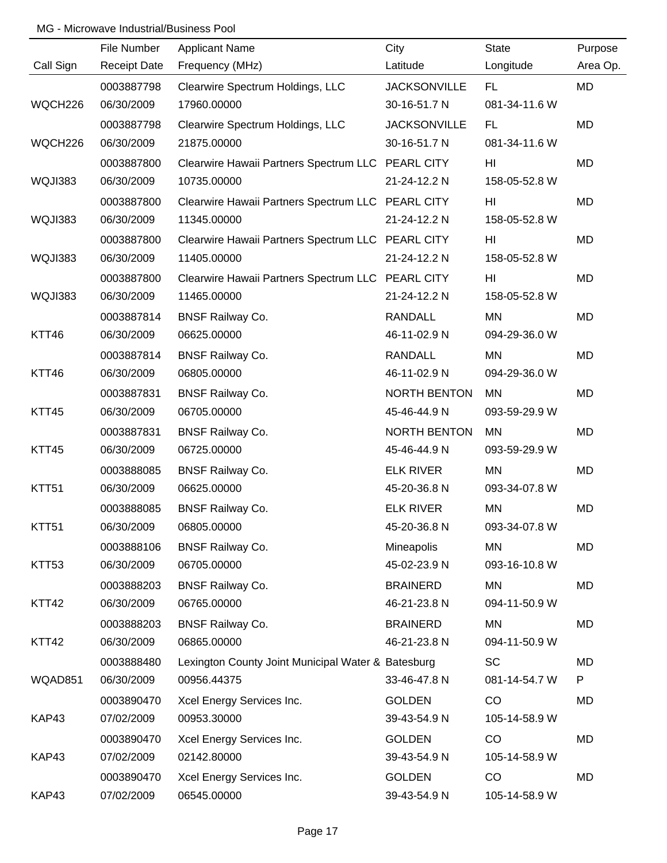|                   | File Number         | <b>Applicant Name</b>                              | City                | <b>State</b>  | Purpose   |
|-------------------|---------------------|----------------------------------------------------|---------------------|---------------|-----------|
| Call Sign         | <b>Receipt Date</b> | Frequency (MHz)                                    | Latitude            | Longitude     | Area Op.  |
|                   | 0003887798          | Clearwire Spectrum Holdings, LLC                   | <b>JACKSONVILLE</b> | FL.           | MD        |
| WQCH226           | 06/30/2009          | 17960.00000                                        | 30-16-51.7 N        | 081-34-11.6 W |           |
|                   | 0003887798          | Clearwire Spectrum Holdings, LLC                   | <b>JACKSONVILLE</b> | <b>FL</b>     | MD        |
| WQCH226           | 06/30/2009          | 21875.00000                                        | 30-16-51.7 N        | 081-34-11.6 W |           |
|                   | 0003887800          | Clearwire Hawaii Partners Spectrum LLC PEARL CITY  |                     | HI            | MD        |
| WQJI383           | 06/30/2009          | 10735.00000                                        | 21-24-12.2 N        | 158-05-52.8 W |           |
|                   | 0003887800          | Clearwire Hawaii Partners Spectrum LLC PEARL CITY  |                     | HI            | MD        |
| WQJI383           | 06/30/2009          | 11345.00000                                        | 21-24-12.2 N        | 158-05-52.8 W |           |
|                   | 0003887800          | Clearwire Hawaii Partners Spectrum LLC PEARL CITY  |                     | HI            | <b>MD</b> |
| WQJI383           | 06/30/2009          | 11405.00000                                        | 21-24-12.2 N        | 158-05-52.8 W |           |
|                   | 0003887800          | Clearwire Hawaii Partners Spectrum LLC PEARL CITY  |                     | HI            | <b>MD</b> |
| WQJI383           | 06/30/2009          | 11465.00000                                        | 21-24-12.2 N        | 158-05-52.8 W |           |
|                   | 0003887814          | <b>BNSF Railway Co.</b>                            | <b>RANDALL</b>      | <b>MN</b>     | <b>MD</b> |
| KTT46             | 06/30/2009          | 06625.00000                                        | 46-11-02.9 N        | 094-29-36.0 W |           |
|                   | 0003887814          | <b>BNSF Railway Co.</b>                            | <b>RANDALL</b>      | <b>MN</b>     | <b>MD</b> |
| KTT46             | 06/30/2009          | 06805.00000                                        | 46-11-02.9 N        | 094-29-36.0 W |           |
|                   | 0003887831          | <b>BNSF Railway Co.</b>                            | NORTH BENTON        | <b>MN</b>     | <b>MD</b> |
| KTT45             | 06/30/2009          | 06705.00000                                        | 45-46-44.9 N        | 093-59-29.9 W |           |
|                   | 0003887831          | <b>BNSF Railway Co.</b>                            | <b>NORTH BENTON</b> | <b>MN</b>     | <b>MD</b> |
| KTT45             | 06/30/2009          | 06725.00000                                        | 45-46-44.9 N        | 093-59-29.9 W |           |
|                   | 0003888085          | <b>BNSF Railway Co.</b>                            | <b>ELK RIVER</b>    | <b>MN</b>     | <b>MD</b> |
| KTT <sub>51</sub> | 06/30/2009          | 06625.00000                                        | 45-20-36.8 N        | 093-34-07.8 W |           |
|                   | 0003888085          | <b>BNSF Railway Co.</b>                            | <b>ELK RIVER</b>    | <b>MN</b>     | <b>MD</b> |
| KTT51             | 06/30/2009          | 06805.00000                                        | 45-20-36.8 N        | 093-34-07.8 W |           |
|                   | 0003888106          | <b>BNSF Railway Co.</b>                            | Mineapolis          | MN            | MD        |
| KTT53             | 06/30/2009          | 06705.00000                                        | 45-02-23.9 N        | 093-16-10.8 W |           |
|                   | 0003888203          | <b>BNSF Railway Co.</b>                            | <b>BRAINERD</b>     | <b>MN</b>     | MD        |
| KTT42             | 06/30/2009          | 06765.00000                                        | 46-21-23.8 N        | 094-11-50.9 W |           |
|                   | 0003888203          | <b>BNSF Railway Co.</b>                            | <b>BRAINERD</b>     | MN            | MD        |
| KTT42             | 06/30/2009          | 06865.00000                                        | 46-21-23.8 N        | 094-11-50.9 W |           |
|                   | 0003888480          | Lexington County Joint Municipal Water & Batesburg |                     | <b>SC</b>     | MD        |
| WQAD851           | 06/30/2009          | 00956.44375                                        | 33-46-47.8 N        | 081-14-54.7 W | P         |
|                   | 0003890470          | Xcel Energy Services Inc.                          | <b>GOLDEN</b>       | CO            | MD        |
| KAP43             | 07/02/2009          | 00953.30000                                        | 39-43-54.9 N        | 105-14-58.9 W |           |
|                   | 0003890470          | Xcel Energy Services Inc.                          | <b>GOLDEN</b>       | CO            | MD        |
| KAP43             | 07/02/2009          | 02142.80000                                        | 39-43-54.9 N        | 105-14-58.9 W |           |
|                   | 0003890470          | Xcel Energy Services Inc.                          | <b>GOLDEN</b>       | CO            | MD        |
| KAP43             | 07/02/2009          | 06545.00000                                        | 39-43-54.9 N        | 105-14-58.9 W |           |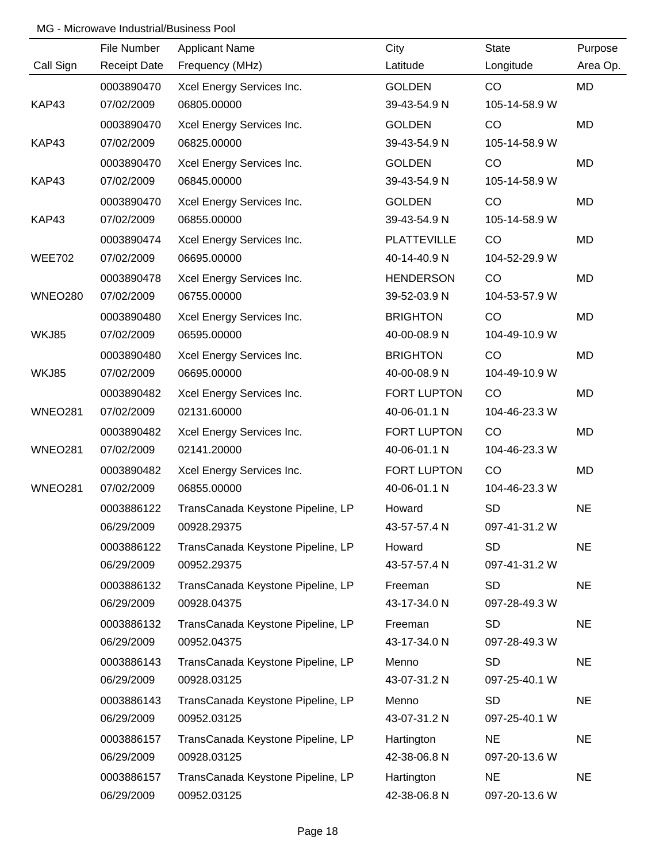|                | File Number         | <b>Applicant Name</b>             | City               | State         | Purpose   |
|----------------|---------------------|-----------------------------------|--------------------|---------------|-----------|
| Call Sign      | <b>Receipt Date</b> | Frequency (MHz)                   | Latitude           | Longitude     | Area Op.  |
|                | 0003890470          | Xcel Energy Services Inc.         | <b>GOLDEN</b>      | CO            | <b>MD</b> |
| KAP43          | 07/02/2009          | 06805.00000                       | 39-43-54.9 N       | 105-14-58.9 W |           |
|                | 0003890470          | Xcel Energy Services Inc.         | <b>GOLDEN</b>      | CO            | MD        |
| KAP43          | 07/02/2009          | 06825.00000                       | 39-43-54.9 N       | 105-14-58.9 W |           |
|                | 0003890470          | Xcel Energy Services Inc.         | <b>GOLDEN</b>      | CO            | MD        |
| KAP43          | 07/02/2009          | 06845.00000                       | 39-43-54.9 N       | 105-14-58.9 W |           |
|                | 0003890470          | Xcel Energy Services Inc.         | <b>GOLDEN</b>      | CO            | MD        |
| KAP43          | 07/02/2009          | 06855.00000                       | 39-43-54.9 N       | 105-14-58.9 W |           |
|                | 0003890474          | Xcel Energy Services Inc.         | <b>PLATTEVILLE</b> | CO            | MD        |
| <b>WEE702</b>  | 07/02/2009          | 06695.00000                       | 40-14-40.9 N       | 104-52-29.9 W |           |
|                | 0003890478          | Xcel Energy Services Inc.         | <b>HENDERSON</b>   | CO            | MD        |
| <b>WNEO280</b> | 07/02/2009          | 06755.00000                       | 39-52-03.9 N       | 104-53-57.9 W |           |
|                | 0003890480          | Xcel Energy Services Inc.         | <b>BRIGHTON</b>    | CO            | MD        |
| WKJ85          | 07/02/2009          | 06595.00000                       | 40-00-08.9 N       | 104-49-10.9 W |           |
|                | 0003890480          | Xcel Energy Services Inc.         | <b>BRIGHTON</b>    | CO            | MD        |
| WKJ85          | 07/02/2009          | 06695.00000                       | 40-00-08.9 N       | 104-49-10.9 W |           |
|                | 0003890482          | Xcel Energy Services Inc.         | FORT LUPTON        | CO            | MD        |
| <b>WNEO281</b> | 07/02/2009          | 02131.60000                       | 40-06-01.1 N       | 104-46-23.3 W |           |
|                | 0003890482          | Xcel Energy Services Inc.         | FORT LUPTON        | CO            | MD        |
| <b>WNEO281</b> | 07/02/2009          | 02141.20000                       | 40-06-01.1 N       | 104-46-23.3 W |           |
|                | 0003890482          | Xcel Energy Services Inc.         | FORT LUPTON        | CO            | MD        |
| <b>WNEO281</b> | 07/02/2009          | 06855.00000                       | 40-06-01.1 N       | 104-46-23.3 W |           |
|                | 0003886122          | TransCanada Keystone Pipeline, LP | Howard             | <b>SD</b>     | <b>NE</b> |
|                | 06/29/2009          | 00928.29375                       | 43-57-57.4 N       | 097-41-31.2 W |           |
|                | 0003886122          | TransCanada Keystone Pipeline, LP | Howard             | <b>SD</b>     | <b>NE</b> |
|                | 06/29/2009          | 00952.29375                       | 43-57-57.4 N       | 097-41-31.2 W |           |
|                | 0003886132          | TransCanada Keystone Pipeline, LP | Freeman            | <b>SD</b>     | <b>NE</b> |
|                | 06/29/2009          | 00928.04375                       | 43-17-34.0 N       | 097-28-49.3 W |           |
|                | 0003886132          | TransCanada Keystone Pipeline, LP | Freeman            | <b>SD</b>     | <b>NE</b> |
|                | 06/29/2009          | 00952.04375                       | 43-17-34.0 N       | 097-28-49.3 W |           |
|                | 0003886143          | TransCanada Keystone Pipeline, LP | Menno              | <b>SD</b>     | <b>NE</b> |
|                | 06/29/2009          | 00928.03125                       | 43-07-31.2 N       | 097-25-40.1 W |           |
|                | 0003886143          | TransCanada Keystone Pipeline, LP | Menno              | <b>SD</b>     | <b>NE</b> |
|                | 06/29/2009          | 00952.03125                       | 43-07-31.2 N       | 097-25-40.1 W |           |
|                | 0003886157          | TransCanada Keystone Pipeline, LP | Hartington         | <b>NE</b>     | <b>NE</b> |
|                | 06/29/2009          | 00928.03125                       | 42-38-06.8 N       | 097-20-13.6 W |           |
|                | 0003886157          | TransCanada Keystone Pipeline, LP | Hartington         | <b>NE</b>     | <b>NE</b> |
|                | 06/29/2009          | 00952.03125                       | 42-38-06.8 N       | 097-20-13.6 W |           |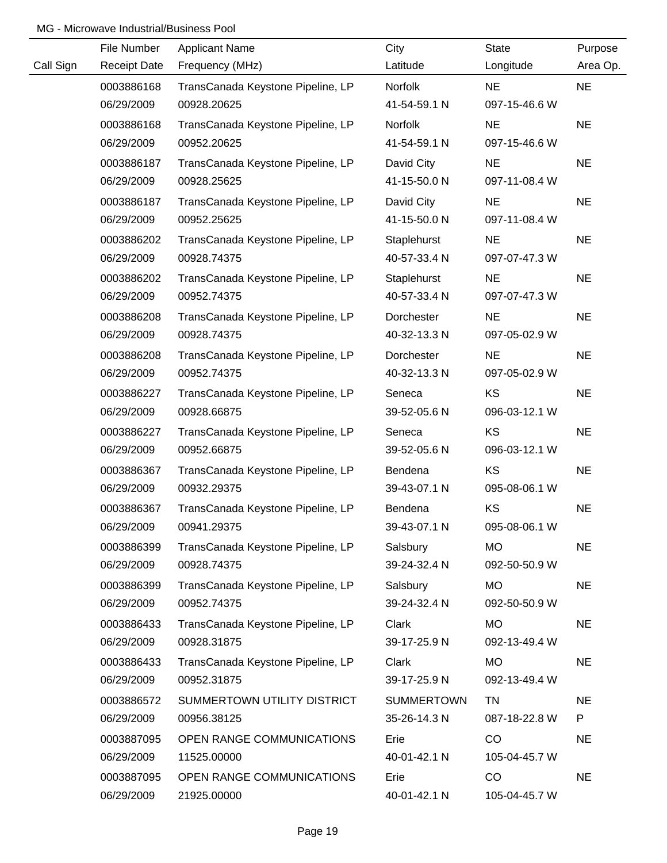|           | File Number              | <b>Applicant Name</b>                    | City                 | <b>State</b>        | Purpose        |
|-----------|--------------------------|------------------------------------------|----------------------|---------------------|----------------|
| Call Sign | <b>Receipt Date</b>      | Frequency (MHz)                          | Latitude             | Longitude           | Area Op.       |
|           | 0003886168               | TransCanada Keystone Pipeline, LP        | Norfolk              | <b>NE</b>           | <b>NE</b>      |
|           | 06/29/2009               | 00928.20625                              | 41-54-59.1 N         | 097-15-46.6 W       |                |
|           | 0003886168               | TransCanada Keystone Pipeline, LP        | Norfolk              | <b>NE</b>           | <b>NE</b>      |
|           | 06/29/2009               | 00952.20625                              | 41-54-59.1 N         | 097-15-46.6 W       |                |
|           | 0003886187               | TransCanada Keystone Pipeline, LP        | David City           | <b>NE</b>           | <b>NE</b>      |
|           | 06/29/2009               | 00928.25625                              | 41-15-50.0 N         | 097-11-08.4 W       |                |
|           | 0003886187               | TransCanada Keystone Pipeline, LP        | David City           | <b>NE</b>           | <b>NE</b>      |
|           | 06/29/2009               | 00952.25625                              | 41-15-50.0 N         | 097-11-08.4 W       |                |
|           | 0003886202               | TransCanada Keystone Pipeline, LP        | Staplehurst          | <b>NE</b>           | <b>NE</b>      |
|           | 06/29/2009               | 00928.74375                              | 40-57-33.4 N         | 097-07-47.3 W       |                |
|           | 0003886202               | TransCanada Keystone Pipeline, LP        | Staplehurst          | <b>NE</b>           | <b>NE</b>      |
|           | 06/29/2009               | 00952.74375                              | 40-57-33.4 N         | 097-07-47.3 W       |                |
|           | 0003886208               | TransCanada Keystone Pipeline, LP        | Dorchester           | <b>NE</b>           | <b>NE</b>      |
|           | 06/29/2009               | 00928.74375                              | 40-32-13.3 N         | 097-05-02.9 W       |                |
|           | 0003886208               | TransCanada Keystone Pipeline, LP        | Dorchester           | <b>NE</b>           | <b>NE</b>      |
|           | 06/29/2009               | 00952.74375                              | 40-32-13.3 N         | 097-05-02.9 W       |                |
|           | 0003886227               | TransCanada Keystone Pipeline, LP        | Seneca               | KS                  | <b>NE</b>      |
|           | 06/29/2009               | 00928.66875                              | 39-52-05.6 N         | 096-03-12.1 W       |                |
|           | 0003886227               | TransCanada Keystone Pipeline, LP        | Seneca               | KS                  | <b>NE</b>      |
|           | 06/29/2009               | 00952.66875                              | 39-52-05.6 N         | 096-03-12.1 W       |                |
|           | 0003886367               | TransCanada Keystone Pipeline, LP        | Bendena              | KS                  | <b>NE</b>      |
|           | 06/29/2009               | 00932.29375                              | 39-43-07.1 N         | 095-08-06.1 W       |                |
|           | 0003886367               | TransCanada Keystone Pipeline, LP        | Bendena              | KS                  | <b>NE</b>      |
|           | 06/29/2009               | 00941.29375                              | 39-43-07.1 N         | 095-08-06.1 W       |                |
|           | 0003886399               | TransCanada Keystone Pipeline, LP        | Salsbury             | <b>MO</b>           | <b>NE</b>      |
|           | 06/29/2009               | 00928.74375                              | 39-24-32.4 N         | 092-50-50.9 W       |                |
|           | 0003886399               | TransCanada Keystone Pipeline, LP        | Salsbury             | <b>MO</b>           | <b>NE</b>      |
|           | 06/29/2009               | 00952.74375                              | 39-24-32.4 N         | 092-50-50.9 W       |                |
|           | 0003886433               | TransCanada Keystone Pipeline, LP        | Clark                | <b>MO</b>           | <b>NE</b>      |
|           | 06/29/2009               | 00928.31875                              | 39-17-25.9 N         | 092-13-49.4 W       |                |
|           | 0003886433               | TransCanada Keystone Pipeline, LP        | Clark                | <b>MO</b>           | <b>NE</b>      |
|           | 06/29/2009               | 00952.31875                              | 39-17-25.9 N         | 092-13-49.4 W       |                |
|           | 0003886572               | SUMMERTOWN UTILITY DISTRICT              | <b>SUMMERTOWN</b>    | TN<br>087-18-22.8 W | <b>NE</b><br>P |
|           | 06/29/2009               | 00956.38125                              | 35-26-14.3 N         |                     |                |
|           | 0003887095<br>06/29/2009 | OPEN RANGE COMMUNICATIONS<br>11525.00000 | Erie<br>40-01-42.1 N | CO<br>105-04-45.7 W | <b>NE</b>      |
|           |                          |                                          |                      |                     |                |
|           | 0003887095<br>06/29/2009 | OPEN RANGE COMMUNICATIONS<br>21925.00000 | Erie<br>40-01-42.1 N | CO<br>105-04-45.7 W | <b>NE</b>      |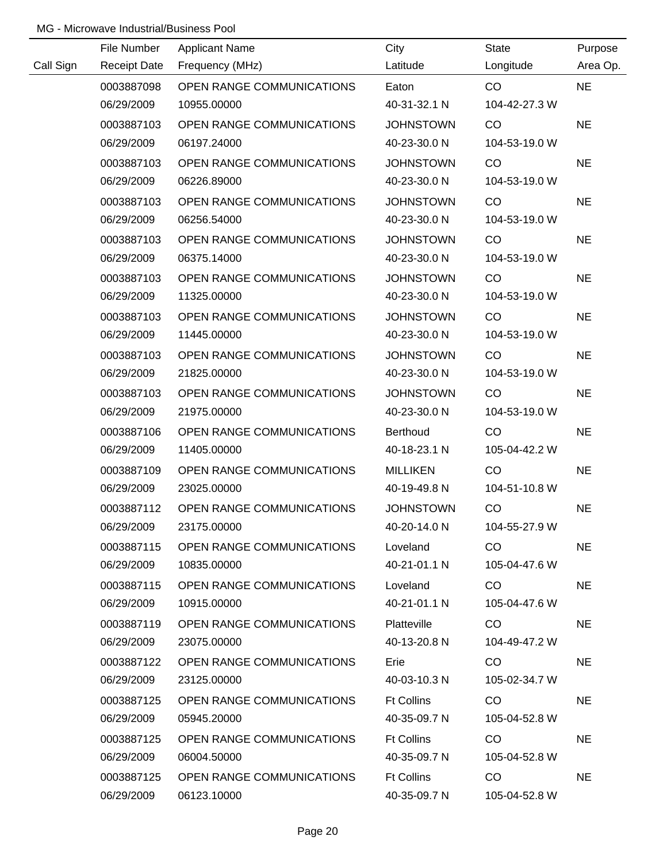|           | File Number         | <b>Applicant Name</b>            | City              | State         | Purpose   |
|-----------|---------------------|----------------------------------|-------------------|---------------|-----------|
| Call Sign | <b>Receipt Date</b> | Frequency (MHz)                  | Latitude          | Longitude     | Area Op.  |
|           | 0003887098          | OPEN RANGE COMMUNICATIONS        | Eaton             | CO            | <b>NE</b> |
|           | 06/29/2009          | 10955.00000                      | 40-31-32.1 N      | 104-42-27.3 W |           |
|           | 0003887103          | OPEN RANGE COMMUNICATIONS        | <b>JOHNSTOWN</b>  | CO            | <b>NE</b> |
|           | 06/29/2009          | 06197.24000                      | 40-23-30.0 N      | 104-53-19.0 W |           |
|           | 0003887103          | OPEN RANGE COMMUNICATIONS        | <b>JOHNSTOWN</b>  | CO            | <b>NE</b> |
|           | 06/29/2009          | 06226.89000                      | 40-23-30.0 N      | 104-53-19.0 W |           |
|           | 0003887103          | OPEN RANGE COMMUNICATIONS        | <b>JOHNSTOWN</b>  | CO            | <b>NE</b> |
|           | 06/29/2009          | 06256.54000                      | 40-23-30.0 N      | 104-53-19.0 W |           |
|           | 0003887103          | OPEN RANGE COMMUNICATIONS        | <b>JOHNSTOWN</b>  | CO            | <b>NE</b> |
|           | 06/29/2009          | 06375.14000                      | 40-23-30.0 N      | 104-53-19.0 W |           |
|           | 0003887103          | OPEN RANGE COMMUNICATIONS        | <b>JOHNSTOWN</b>  | CO            | <b>NE</b> |
|           | 06/29/2009          | 11325.00000                      | 40-23-30.0 N      | 104-53-19.0 W |           |
|           | 0003887103          | OPEN RANGE COMMUNICATIONS        | <b>JOHNSTOWN</b>  | CO            | <b>NE</b> |
|           | 06/29/2009          | 11445.00000                      | 40-23-30.0 N      | 104-53-19.0 W |           |
|           | 0003887103          | OPEN RANGE COMMUNICATIONS        | <b>JOHNSTOWN</b>  | CO            | <b>NE</b> |
|           | 06/29/2009          | 21825.00000                      | 40-23-30.0 N      | 104-53-19.0 W |           |
|           | 0003887103          | OPEN RANGE COMMUNICATIONS        | <b>JOHNSTOWN</b>  | CO            | <b>NE</b> |
|           | 06/29/2009          | 21975.00000                      | 40-23-30.0 N      | 104-53-19.0 W |           |
|           | 0003887106          | OPEN RANGE COMMUNICATIONS        | <b>Berthoud</b>   | CO            | <b>NE</b> |
|           | 06/29/2009          | 11405.00000                      | 40-18-23.1 N      | 105-04-42.2 W |           |
|           | 0003887109          | OPEN RANGE COMMUNICATIONS        | <b>MILLIKEN</b>   | CO            | <b>NE</b> |
|           | 06/29/2009          | 23025.00000                      | 40-19-49.8 N      | 104-51-10.8 W |           |
|           | 0003887112          | OPEN RANGE COMMUNICATIONS        | <b>JOHNSTOWN</b>  | CO            | <b>NE</b> |
|           | 06/29/2009          | 23175.00000                      | 40-20-14.0 N      | 104-55-27.9 W |           |
|           | 0003887115          | OPEN RANGE COMMUNICATIONS        | Loveland          | <b>CO</b>     | <b>NE</b> |
|           | 06/29/2009          | 10835.00000                      | 40-21-01.1 N      | 105-04-47.6 W |           |
|           | 0003887115          | OPEN RANGE COMMUNICATIONS        | Loveland          | CO.           | <b>NE</b> |
|           | 06/29/2009          | 10915.00000                      | 40-21-01.1 N      | 105-04-47.6 W |           |
|           | 0003887119          | OPEN RANGE COMMUNICATIONS        | Platteville       | CO.           | <b>NE</b> |
|           | 06/29/2009          | 23075.00000                      | 40-13-20.8 N      | 104-49-47.2 W |           |
|           | 0003887122          | <b>OPEN RANGE COMMUNICATIONS</b> | Erie              | CO.           | <b>NE</b> |
|           | 06/29/2009          | 23125.00000                      | 40-03-10.3 N      | 105-02-34.7 W |           |
|           | 0003887125          | OPEN RANGE COMMUNICATIONS        | <b>Ft Collins</b> | CO            | <b>NE</b> |
|           | 06/29/2009          | 05945.20000                      | 40-35-09.7 N      | 105-04-52.8 W |           |
|           | 0003887125          | OPEN RANGE COMMUNICATIONS        | <b>Ft Collins</b> | CO            | <b>NE</b> |
|           | 06/29/2009          | 06004.50000                      | 40-35-09.7 N      | 105-04-52.8 W |           |
|           | 0003887125          | OPEN RANGE COMMUNICATIONS        | <b>Ft Collins</b> | CO            | <b>NE</b> |
|           | 06/29/2009          | 06123.10000                      | 40-35-09.7 N      | 105-04-52.8 W |           |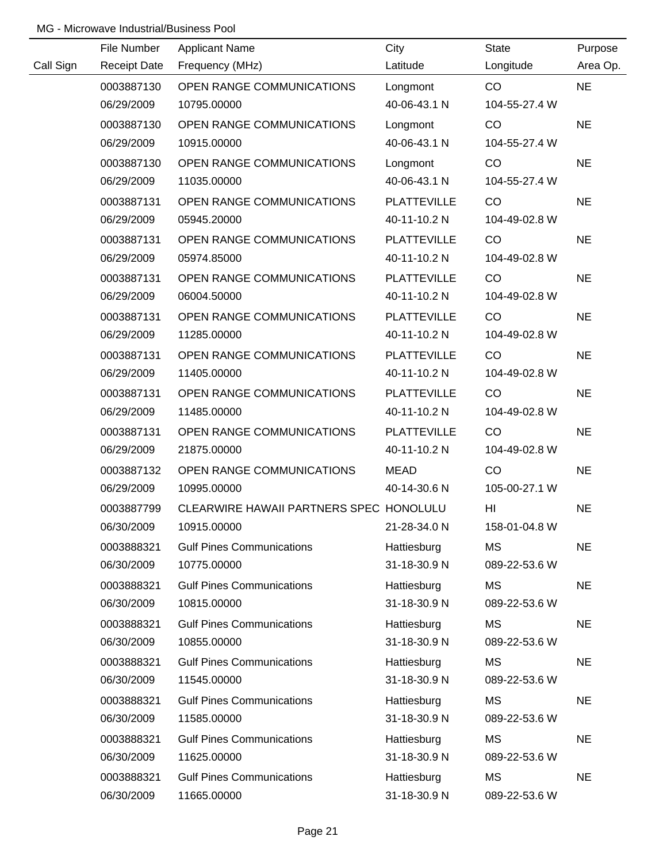|           | File Number         | <b>Applicant Name</b>                   | City               | State          | Purpose   |
|-----------|---------------------|-----------------------------------------|--------------------|----------------|-----------|
| Call Sign | <b>Receipt Date</b> | Frequency (MHz)                         | Latitude           | Longitude      | Area Op.  |
|           | 0003887130          | OPEN RANGE COMMUNICATIONS               | Longmont           | CO             | <b>NE</b> |
|           | 06/29/2009          | 10795.00000                             | 40-06-43.1 N       | 104-55-27.4 W  |           |
|           | 0003887130          | OPEN RANGE COMMUNICATIONS               | Longmont           | CO             | <b>NE</b> |
|           | 06/29/2009          | 10915.00000                             | 40-06-43.1 N       | 104-55-27.4 W  |           |
|           | 0003887130          | OPEN RANGE COMMUNICATIONS               | Longmont           | CO             | <b>NE</b> |
|           | 06/29/2009          | 11035.00000                             | 40-06-43.1 N       | 104-55-27.4 W  |           |
|           | 0003887131          | OPEN RANGE COMMUNICATIONS               | <b>PLATTEVILLE</b> | CO             | <b>NE</b> |
|           | 06/29/2009          | 05945.20000                             | 40-11-10.2 N       | 104-49-02.8 W  |           |
|           | 0003887131          | OPEN RANGE COMMUNICATIONS               | <b>PLATTEVILLE</b> | CO             | <b>NE</b> |
|           | 06/29/2009          | 05974.85000                             | 40-11-10.2 N       | 104-49-02.8 W  |           |
|           | 0003887131          | OPEN RANGE COMMUNICATIONS               | <b>PLATTEVILLE</b> | CO             | <b>NE</b> |
|           | 06/29/2009          | 06004.50000                             | 40-11-10.2 N       | 104-49-02.8 W  |           |
|           | 0003887131          | OPEN RANGE COMMUNICATIONS               | <b>PLATTEVILLE</b> | CO             | <b>NE</b> |
|           | 06/29/2009          | 11285.00000                             | 40-11-10.2 N       | 104-49-02.8 W  |           |
|           | 0003887131          | OPEN RANGE COMMUNICATIONS               | <b>PLATTEVILLE</b> | CO             | <b>NE</b> |
|           | 06/29/2009          | 11405.00000                             | 40-11-10.2 N       | 104-49-02.8 W  |           |
|           | 0003887131          | OPEN RANGE COMMUNICATIONS               | <b>PLATTEVILLE</b> | CO             | <b>NE</b> |
|           | 06/29/2009          | 11485.00000                             | 40-11-10.2 N       | 104-49-02.8 W  |           |
|           | 0003887131          | OPEN RANGE COMMUNICATIONS               | <b>PLATTEVILLE</b> | CO             | <b>NE</b> |
|           | 06/29/2009          | 21875.00000                             | 40-11-10.2 N       | 104-49-02.8 W  |           |
|           | 0003887132          | OPEN RANGE COMMUNICATIONS               | <b>MEAD</b>        | CO             | <b>NE</b> |
|           | 06/29/2009          | 10995.00000                             | 40-14-30.6 N       | 105-00-27.1 W  |           |
|           | 0003887799          | CLEARWIRE HAWAII PARTNERS SPEC HONOLULU |                    | H <sub>l</sub> | <b>NE</b> |
|           | 06/30/2009          | 10915.00000                             | 21-28-34.0 N       | 158-01-04.8 W  |           |
|           | 0003888321          | <b>Gulf Pines Communications</b>        | Hattiesburg        | <b>MS</b>      | <b>NE</b> |
|           | 06/30/2009          | 10775.00000                             | 31-18-30.9 N       | 089-22-53.6 W  |           |
|           | 0003888321          | <b>Gulf Pines Communications</b>        | Hattiesburg        | MS             | <b>NE</b> |
|           | 06/30/2009          | 10815.00000                             | 31-18-30.9 N       | 089-22-53.6 W  |           |
|           | 0003888321          | <b>Gulf Pines Communications</b>        | Hattiesburg        | <b>MS</b>      | <b>NE</b> |
|           | 06/30/2009          | 10855.00000                             | 31-18-30.9 N       | 089-22-53.6 W  |           |
|           | 0003888321          | <b>Gulf Pines Communications</b>        | Hattiesburg        | MS             | <b>NE</b> |
|           | 06/30/2009          | 11545.00000                             | 31-18-30.9 N       | 089-22-53.6 W  |           |
|           | 0003888321          | <b>Gulf Pines Communications</b>        | Hattiesburg        | <b>MS</b>      | <b>NE</b> |
|           | 06/30/2009          | 11585.00000                             | 31-18-30.9 N       | 089-22-53.6 W  |           |
|           | 0003888321          | <b>Gulf Pines Communications</b>        | Hattiesburg        | <b>MS</b>      | <b>NE</b> |
|           | 06/30/2009          | 11625.00000                             | 31-18-30.9 N       | 089-22-53.6 W  |           |
|           | 0003888321          | <b>Gulf Pines Communications</b>        | Hattiesburg        | <b>MS</b>      | <b>NE</b> |
|           | 06/30/2009          | 11665.00000                             | 31-18-30.9 N       | 089-22-53.6 W  |           |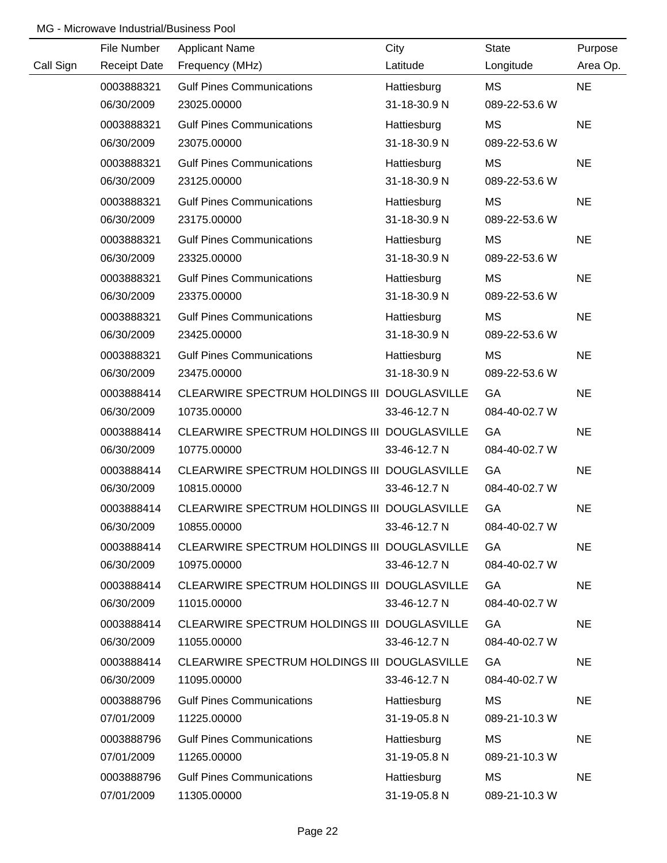|           | File Number         | <b>Applicant Name</b>                        | City         | <b>State</b>  | Purpose   |
|-----------|---------------------|----------------------------------------------|--------------|---------------|-----------|
| Call Sign | <b>Receipt Date</b> | Frequency (MHz)                              | Latitude     | Longitude     | Area Op.  |
|           | 0003888321          | <b>Gulf Pines Communications</b>             | Hattiesburg  | MS            | <b>NE</b> |
|           | 06/30/2009          | 23025.00000                                  | 31-18-30.9 N | 089-22-53.6 W |           |
|           | 0003888321          | <b>Gulf Pines Communications</b>             | Hattiesburg  | <b>MS</b>     | <b>NE</b> |
|           | 06/30/2009          | 23075.00000                                  | 31-18-30.9 N | 089-22-53.6 W |           |
|           | 0003888321          | <b>Gulf Pines Communications</b>             | Hattiesburg  | MS            | <b>NE</b> |
|           | 06/30/2009          | 23125.00000                                  | 31-18-30.9 N | 089-22-53.6 W |           |
|           | 0003888321          | <b>Gulf Pines Communications</b>             | Hattiesburg  | MS            | <b>NE</b> |
|           | 06/30/2009          | 23175.00000                                  | 31-18-30.9 N | 089-22-53.6 W |           |
|           | 0003888321          | <b>Gulf Pines Communications</b>             | Hattiesburg  | МS            | <b>NE</b> |
|           | 06/30/2009          | 23325.00000                                  | 31-18-30.9 N | 089-22-53.6 W |           |
|           | 0003888321          | <b>Gulf Pines Communications</b>             | Hattiesburg  | MS            | <b>NE</b> |
|           | 06/30/2009          | 23375.00000                                  | 31-18-30.9 N | 089-22-53.6 W |           |
|           | 0003888321          | <b>Gulf Pines Communications</b>             | Hattiesburg  | MS            | <b>NE</b> |
|           | 06/30/2009          | 23425.00000                                  | 31-18-30.9 N | 089-22-53.6 W |           |
|           | 0003888321          | <b>Gulf Pines Communications</b>             | Hattiesburg  | <b>MS</b>     | <b>NE</b> |
|           | 06/30/2009          | 23475.00000                                  | 31-18-30.9 N | 089-22-53.6 W |           |
|           | 0003888414          | CLEARWIRE SPECTRUM HOLDINGS III DOUGLASVILLE |              | GA            | <b>NE</b> |
|           | 06/30/2009          | 10735.00000                                  | 33-46-12.7 N | 084-40-02.7 W |           |
|           | 0003888414          | CLEARWIRE SPECTRUM HOLDINGS III DOUGLASVILLE |              | GA            | <b>NE</b> |
|           | 06/30/2009          | 10775.00000                                  | 33-46-12.7 N | 084-40-02.7 W |           |
|           | 0003888414          | CLEARWIRE SPECTRUM HOLDINGS III DOUGLASVILLE |              | GA            | <b>NE</b> |
|           | 06/30/2009          | 10815.00000                                  | 33-46-12.7 N | 084-40-02.7 W |           |
|           | 0003888414          | CLEARWIRE SPECTRUM HOLDINGS III DOUGLASVILLE |              | GA            | <b>NE</b> |
|           | 06/30/2009          | 10855.00000                                  | 33-46-12.7 N | 084-40-02.7 W |           |
|           | 0003888414          | CLEARWIRE SPECTRUM HOLDINGS III DOUGLASVILLE |              | GA            | <b>NE</b> |
|           | 06/30/2009          | 10975.00000                                  | 33-46-12.7 N | 084-40-02.7 W |           |
|           | 0003888414          | CLEARWIRE SPECTRUM HOLDINGS III DOUGLASVILLE |              | GA            | <b>NE</b> |
|           | 06/30/2009          | 11015.00000                                  | 33-46-12.7 N | 084-40-02.7 W |           |
|           | 0003888414          | CLEARWIRE SPECTRUM HOLDINGS III DOUGLASVILLE |              | GA            | <b>NE</b> |
|           | 06/30/2009          | 11055.00000                                  | 33-46-12.7 N | 084-40-02.7 W |           |
|           | 0003888414          | CLEARWIRE SPECTRUM HOLDINGS III DOUGLASVILLE |              | GA            | <b>NE</b> |
|           | 06/30/2009          | 11095.00000                                  | 33-46-12.7 N | 084-40-02.7 W |           |
|           | 0003888796          | <b>Gulf Pines Communications</b>             | Hattiesburg  | MS            | <b>NE</b> |
|           | 07/01/2009          | 11225.00000                                  | 31-19-05.8 N | 089-21-10.3 W |           |
|           | 0003888796          | <b>Gulf Pines Communications</b>             | Hattiesburg  | MS            | <b>NE</b> |
|           | 07/01/2009          | 11265.00000                                  | 31-19-05.8 N | 089-21-10.3 W |           |
|           | 0003888796          | <b>Gulf Pines Communications</b>             | Hattiesburg  | <b>MS</b>     | <b>NE</b> |
|           | 07/01/2009          | 11305.00000                                  | 31-19-05.8 N | 089-21-10.3 W |           |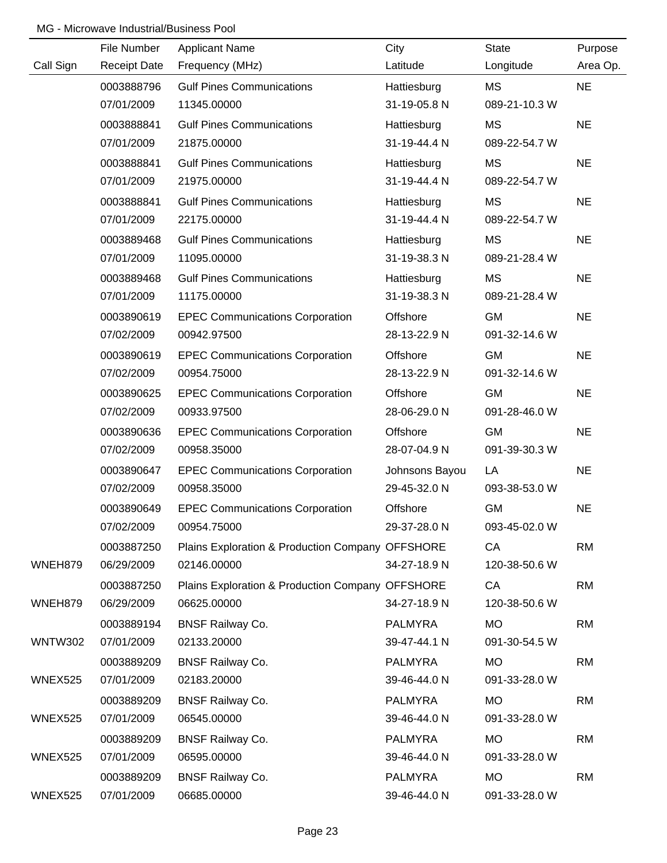|                | File Number         | <b>Applicant Name</b>                            | City           | State         | Purpose   |
|----------------|---------------------|--------------------------------------------------|----------------|---------------|-----------|
| Call Sign      | <b>Receipt Date</b> | Frequency (MHz)                                  | Latitude       | Longitude     | Area Op.  |
|                | 0003888796          | <b>Gulf Pines Communications</b>                 | Hattiesburg    | MS            | <b>NE</b> |
|                | 07/01/2009          | 11345.00000                                      | 31-19-05.8 N   | 089-21-10.3 W |           |
|                | 0003888841          | <b>Gulf Pines Communications</b>                 | Hattiesburg    | <b>MS</b>     | <b>NE</b> |
|                | 07/01/2009          | 21875.00000                                      | 31-19-44.4 N   | 089-22-54.7 W |           |
|                | 0003888841          | <b>Gulf Pines Communications</b>                 | Hattiesburg    | <b>MS</b>     | <b>NE</b> |
|                | 07/01/2009          | 21975.00000                                      | 31-19-44.4 N   | 089-22-54.7 W |           |
|                | 0003888841          | <b>Gulf Pines Communications</b>                 | Hattiesburg    | <b>MS</b>     | <b>NE</b> |
|                | 07/01/2009          | 22175.00000                                      | 31-19-44.4 N   | 089-22-54.7 W |           |
|                | 0003889468          | <b>Gulf Pines Communications</b>                 | Hattiesburg    | <b>MS</b>     | <b>NE</b> |
|                | 07/01/2009          | 11095.00000                                      | 31-19-38.3 N   | 089-21-28.4 W |           |
|                | 0003889468          | <b>Gulf Pines Communications</b>                 | Hattiesburg    | <b>MS</b>     | <b>NE</b> |
|                | 07/01/2009          | 11175.00000                                      | 31-19-38.3 N   | 089-21-28.4 W |           |
|                | 0003890619          | <b>EPEC Communications Corporation</b>           | Offshore       | <b>GM</b>     | <b>NE</b> |
|                | 07/02/2009          | 00942.97500                                      | 28-13-22.9 N   | 091-32-14.6 W |           |
|                | 0003890619          | <b>EPEC Communications Corporation</b>           | Offshore       | <b>GM</b>     | <b>NE</b> |
|                | 07/02/2009          | 00954.75000                                      | 28-13-22.9 N   | 091-32-14.6 W |           |
|                | 0003890625          | <b>EPEC Communications Corporation</b>           | Offshore       | <b>GM</b>     | <b>NE</b> |
|                | 07/02/2009          | 00933.97500                                      | 28-06-29.0 N   | 091-28-46.0 W |           |
|                | 0003890636          | <b>EPEC Communications Corporation</b>           | Offshore       | <b>GM</b>     | <b>NE</b> |
|                | 07/02/2009          | 00958.35000                                      | 28-07-04.9 N   | 091-39-30.3 W |           |
|                | 0003890647          | <b>EPEC Communications Corporation</b>           | Johnsons Bayou | LA            | <b>NE</b> |
|                | 07/02/2009          | 00958.35000                                      | 29-45-32.0 N   | 093-38-53.0 W |           |
|                | 0003890649          | <b>EPEC Communications Corporation</b>           | Offshore       | <b>GM</b>     | <b>NE</b> |
|                | 07/02/2009          | 00954.75000                                      | 29-37-28.0 N   | 093-45-02.0 W |           |
|                | 0003887250          | Plains Exploration & Production Company OFFSHORE |                | CA            | <b>RM</b> |
| WNEH879        | 06/29/2009          | 02146.00000                                      | 34-27-18.9 N   | 120-38-50.6 W |           |
|                | 0003887250          | Plains Exploration & Production Company OFFSHORE |                | CA            | <b>RM</b> |
| WNEH879        | 06/29/2009          | 06625.00000                                      | 34-27-18.9 N   | 120-38-50.6 W |           |
|                | 0003889194          | <b>BNSF Railway Co.</b>                          | <b>PALMYRA</b> | <b>MO</b>     | <b>RM</b> |
| <b>WNTW302</b> | 07/01/2009          | 02133.20000                                      | 39-47-44.1 N   | 091-30-54.5 W |           |
|                | 0003889209          | <b>BNSF Railway Co.</b>                          | <b>PALMYRA</b> | <b>MO</b>     | <b>RM</b> |
| <b>WNEX525</b> | 07/01/2009          | 02183.20000                                      | 39-46-44.0 N   | 091-33-28.0 W |           |
|                | 0003889209          | <b>BNSF Railway Co.</b>                          | <b>PALMYRA</b> | <b>MO</b>     | <b>RM</b> |
| WNEX525        | 07/01/2009          | 06545.00000                                      | 39-46-44.0 N   | 091-33-28.0 W |           |
|                | 0003889209          | <b>BNSF Railway Co.</b>                          | <b>PALMYRA</b> | <b>MO</b>     | <b>RM</b> |
| WNEX525        | 07/01/2009          | 06595.00000                                      | 39-46-44.0 N   | 091-33-28.0 W |           |
|                | 0003889209          | <b>BNSF Railway Co.</b>                          | <b>PALMYRA</b> | <b>MO</b>     | <b>RM</b> |
| WNEX525        | 07/01/2009          | 06685.00000                                      | 39-46-44.0 N   | 091-33-28.0 W |           |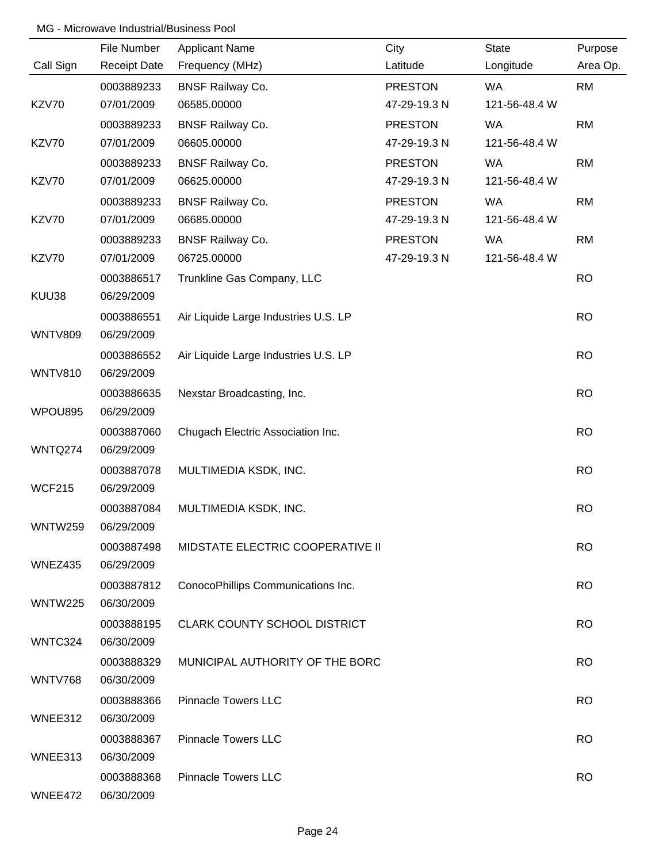|                | File Number         | <b>Applicant Name</b>                | City           | <b>State</b>  | Purpose   |
|----------------|---------------------|--------------------------------------|----------------|---------------|-----------|
| Call Sign      | <b>Receipt Date</b> | Frequency (MHz)                      | Latitude       | Longitude     | Area Op.  |
|                | 0003889233          | <b>BNSF Railway Co.</b>              | <b>PRESTON</b> | <b>WA</b>     | <b>RM</b> |
| KZV70          | 07/01/2009          | 06585.00000                          | 47-29-19.3 N   | 121-56-48.4 W |           |
|                | 0003889233          | <b>BNSF Railway Co.</b>              | <b>PRESTON</b> | WA            | <b>RM</b> |
| KZV70          | 07/01/2009          | 06605.00000                          | 47-29-19.3 N   | 121-56-48.4 W |           |
|                | 0003889233          | <b>BNSF Railway Co.</b>              | <b>PRESTON</b> | <b>WA</b>     | <b>RM</b> |
| KZV70          | 07/01/2009          | 06625.00000                          | 47-29-19.3 N   | 121-56-48.4 W |           |
|                | 0003889233          | <b>BNSF Railway Co.</b>              | <b>PRESTON</b> | WA            | <b>RM</b> |
| KZV70          | 07/01/2009          | 06685.00000                          | 47-29-19.3 N   | 121-56-48.4 W |           |
|                | 0003889233          | <b>BNSF Railway Co.</b>              | <b>PRESTON</b> | WA            | <b>RM</b> |
| KZV70          | 07/01/2009          | 06725.00000                          | 47-29-19.3 N   | 121-56-48.4 W |           |
|                | 0003886517          | Trunkline Gas Company, LLC           |                |               | <b>RO</b> |
| KUU38          | 06/29/2009          |                                      |                |               |           |
|                | 0003886551          | Air Liquide Large Industries U.S. LP |                |               | <b>RO</b> |
| <b>WNTV809</b> | 06/29/2009          |                                      |                |               |           |
|                | 0003886552          | Air Liquide Large Industries U.S. LP |                |               | <b>RO</b> |
| <b>WNTV810</b> | 06/29/2009          |                                      |                |               |           |
|                | 0003886635          | Nexstar Broadcasting, Inc.           |                |               | <b>RO</b> |
| WPOU895        | 06/29/2009          |                                      |                |               |           |
|                | 0003887060          | Chugach Electric Association Inc.    |                |               | <b>RO</b> |
| WNTQ274        | 06/29/2009          |                                      |                |               |           |
|                | 0003887078          | MULTIMEDIA KSDK, INC.                |                |               | <b>RO</b> |
| <b>WCF215</b>  | 06/29/2009          |                                      |                |               |           |
|                | 0003887084          | MULTIMEDIA KSDK, INC.                |                |               | <b>RO</b> |
| WNTW259        | 06/29/2009          |                                      |                |               |           |
|                | 0003887498          | MIDSTATE ELECTRIC COOPERATIVE II     |                |               | <b>RO</b> |
| WNEZ435        | 06/29/2009          |                                      |                |               |           |
|                | 0003887812          | ConocoPhillips Communications Inc.   |                |               | <b>RO</b> |
| <b>WNTW225</b> | 06/30/2009          |                                      |                |               |           |
|                | 0003888195          | <b>CLARK COUNTY SCHOOL DISTRICT</b>  |                |               | <b>RO</b> |
| WNTC324        | 06/30/2009          |                                      |                |               |           |
|                | 0003888329          | MUNICIPAL AUTHORITY OF THE BORC      |                |               | <b>RO</b> |
| <b>WNTV768</b> | 06/30/2009          |                                      |                |               |           |
|                | 0003888366          | <b>Pinnacle Towers LLC</b>           |                |               | <b>RO</b> |
| WNEE312        | 06/30/2009          |                                      |                |               |           |
|                | 0003888367          | <b>Pinnacle Towers LLC</b>           |                |               | <b>RO</b> |
| WNEE313        | 06/30/2009          |                                      |                |               |           |
|                | 0003888368          | <b>Pinnacle Towers LLC</b>           |                |               | <b>RO</b> |
| WNEE472        | 06/30/2009          |                                      |                |               |           |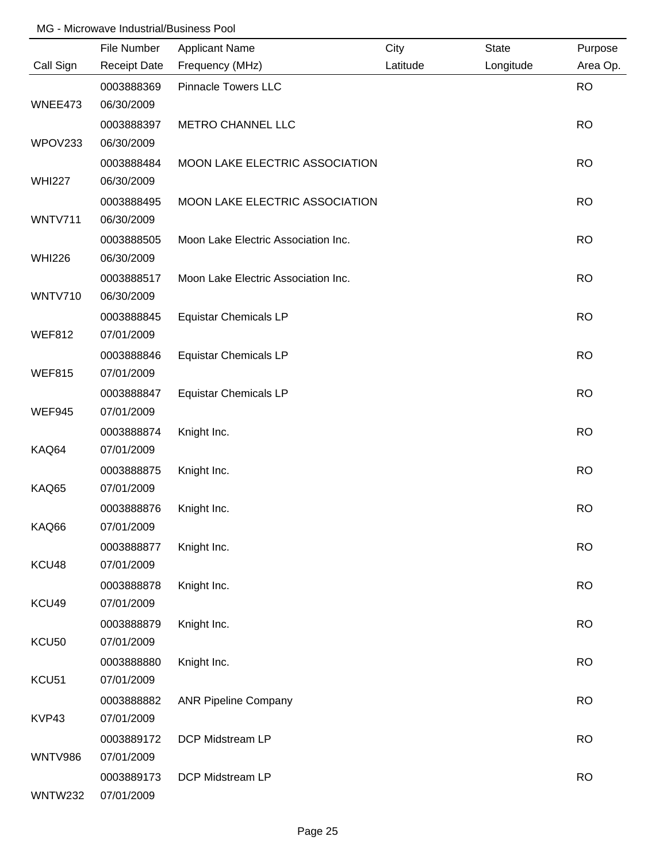|                   | File Number         | <b>Applicant Name</b>               | City     | <b>State</b> | Purpose   |
|-------------------|---------------------|-------------------------------------|----------|--------------|-----------|
| Call Sign         | <b>Receipt Date</b> | Frequency (MHz)                     | Latitude | Longitude    | Area Op.  |
|                   | 0003888369          | <b>Pinnacle Towers LLC</b>          |          |              | <b>RO</b> |
| WNEE473           | 06/30/2009          |                                     |          |              |           |
|                   | 0003888397          | <b>METRO CHANNEL LLC</b>            |          |              | <b>RO</b> |
| WPOV233           | 06/30/2009          |                                     |          |              |           |
|                   | 0003888484          | MOON LAKE ELECTRIC ASSOCIATION      |          |              | <b>RO</b> |
| <b>WHI227</b>     | 06/30/2009          |                                     |          |              |           |
|                   | 0003888495          | MOON LAKE ELECTRIC ASSOCIATION      |          |              | <b>RO</b> |
| WNTV711           | 06/30/2009          |                                     |          |              |           |
|                   | 0003888505          | Moon Lake Electric Association Inc. |          |              | <b>RO</b> |
| <b>WHI226</b>     | 06/30/2009          |                                     |          |              |           |
|                   | 0003888517          | Moon Lake Electric Association Inc. |          |              | <b>RO</b> |
| <b>WNTV710</b>    | 06/30/2009          |                                     |          |              |           |
|                   | 0003888845          | <b>Equistar Chemicals LP</b>        |          |              | <b>RO</b> |
| <b>WEF812</b>     | 07/01/2009          |                                     |          |              |           |
|                   | 0003888846          | <b>Equistar Chemicals LP</b>        |          |              | <b>RO</b> |
| <b>WEF815</b>     | 07/01/2009          |                                     |          |              |           |
|                   | 0003888847          | <b>Equistar Chemicals LP</b>        |          |              | <b>RO</b> |
| <b>WEF945</b>     | 07/01/2009          |                                     |          |              |           |
|                   | 0003888874          | Knight Inc.                         |          |              | <b>RO</b> |
| KAQ64             | 07/01/2009          |                                     |          |              |           |
|                   | 0003888875          | Knight Inc.                         |          |              | <b>RO</b> |
| KAQ65             | 07/01/2009          |                                     |          |              |           |
|                   | 0003888876          | Knight Inc.                         |          |              | <b>RO</b> |
| KAQ66             | 07/01/2009          |                                     |          |              |           |
|                   | 0003888877          | Knight Inc.                         |          |              | <b>RO</b> |
| KCU48             | 07/01/2009          |                                     |          |              |           |
|                   | 0003888878          | Knight Inc.                         |          |              | <b>RO</b> |
| KCU49             | 07/01/2009          |                                     |          |              |           |
|                   | 0003888879          | Knight Inc.                         |          |              | <b>RO</b> |
| KCU <sub>50</sub> | 07/01/2009          |                                     |          |              |           |
|                   | 0003888880          | Knight Inc.                         |          |              | <b>RO</b> |
| KCU <sub>51</sub> | 07/01/2009          |                                     |          |              |           |
|                   | 0003888882          | <b>ANR Pipeline Company</b>         |          |              | <b>RO</b> |
| KVP43             | 07/01/2009          |                                     |          |              |           |
|                   | 0003889172          | DCP Midstream LP                    |          |              | <b>RO</b> |
| <b>WNTV986</b>    | 07/01/2009          |                                     |          |              |           |
|                   | 0003889173          | DCP Midstream LP                    |          |              | <b>RO</b> |
| <b>WNTW232</b>    | 07/01/2009          |                                     |          |              |           |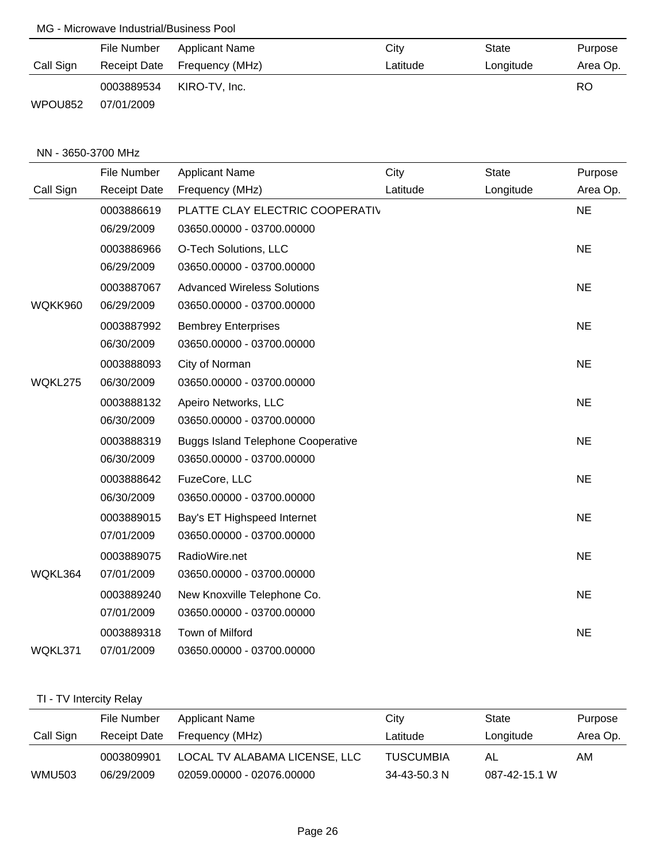|           | File Number | Applicant Name               | City     | State     | Purpose  |
|-----------|-------------|------------------------------|----------|-----------|----------|
| Call Sign |             | Receipt Date Frequency (MHz) | Latitude | Longitude | Area Op. |
|           | 0003889534  | KIRO-TV, Inc.                |          |           | RO       |
| WPOU852   | 07/01/2009  |                              |          |           |          |

#### NN - 3650-3700 MHz

|           | <b>File Number</b>  | <b>Applicant Name</b>                     | City     | <b>State</b> | Purpose   |
|-----------|---------------------|-------------------------------------------|----------|--------------|-----------|
| Call Sign | <b>Receipt Date</b> | Frequency (MHz)                           | Latitude | Longitude    | Area Op.  |
|           | 0003886619          | PLATTE CLAY ELECTRIC COOPERATIV           |          |              | <b>NE</b> |
|           | 06/29/2009          | 03650.00000 - 03700.00000                 |          |              |           |
|           | 0003886966          | O-Tech Solutions, LLC                     |          |              | <b>NE</b> |
|           | 06/29/2009          | 03650.00000 - 03700.00000                 |          |              |           |
|           | 0003887067          | <b>Advanced Wireless Solutions</b>        |          |              | <b>NE</b> |
| WQKK960   | 06/29/2009          | 03650.00000 - 03700.00000                 |          |              |           |
|           | 0003887992          | <b>Bembrey Enterprises</b>                |          |              | <b>NE</b> |
|           | 06/30/2009          | 03650.00000 - 03700.00000                 |          |              |           |
|           | 0003888093          | City of Norman                            |          |              | <b>NE</b> |
| WQKL275   | 06/30/2009          | 03650.00000 - 03700.00000                 |          |              |           |
|           | 0003888132          | Apeiro Networks, LLC                      |          |              | <b>NE</b> |
|           | 06/30/2009          | 03650.00000 - 03700.00000                 |          |              |           |
|           | 0003888319          | <b>Buggs Island Telephone Cooperative</b> |          |              | <b>NE</b> |
|           | 06/30/2009          | 03650.00000 - 03700.00000                 |          |              |           |
|           | 0003888642          | FuzeCore, LLC                             |          |              | <b>NE</b> |
|           | 06/30/2009          | 03650.00000 - 03700.00000                 |          |              |           |
|           | 0003889015          | Bay's ET Highspeed Internet               |          |              | <b>NE</b> |
|           | 07/01/2009          | 03650.00000 - 03700.00000                 |          |              |           |
|           | 0003889075          | RadioWire.net                             |          |              | <b>NE</b> |
| WQKL364   | 07/01/2009          | 03650.00000 - 03700.00000                 |          |              |           |
|           | 0003889240          | New Knoxville Telephone Co.               |          |              | <b>NE</b> |
|           | 07/01/2009          | 03650.00000 - 03700.00000                 |          |              |           |
|           | 0003889318          | Town of Milford                           |          |              | <b>NE</b> |
| WQKL371   | 07/01/2009          | 03650.00000 - 03700.00000                 |          |              |           |

# TI - TV Intercity Relay

|               | File Number  | <b>Applicant Name</b>         | City               | State         | Purpose  |
|---------------|--------------|-------------------------------|--------------------|---------------|----------|
| Call Sign     | Receipt Date | Frequency (MHz)               | Latitude           | Longitude     | Area Op. |
|               | 0003809901   | LOCAL TV ALABAMA LICENSE, LLC | <b>TUSCUMBIA</b>   | AL            | AM.      |
| <b>WMU503</b> | 06/29/2009   | 02059.00000 - 02076.00000     | $34 - 43 - 50.3$ N | 087-42-15.1 W |          |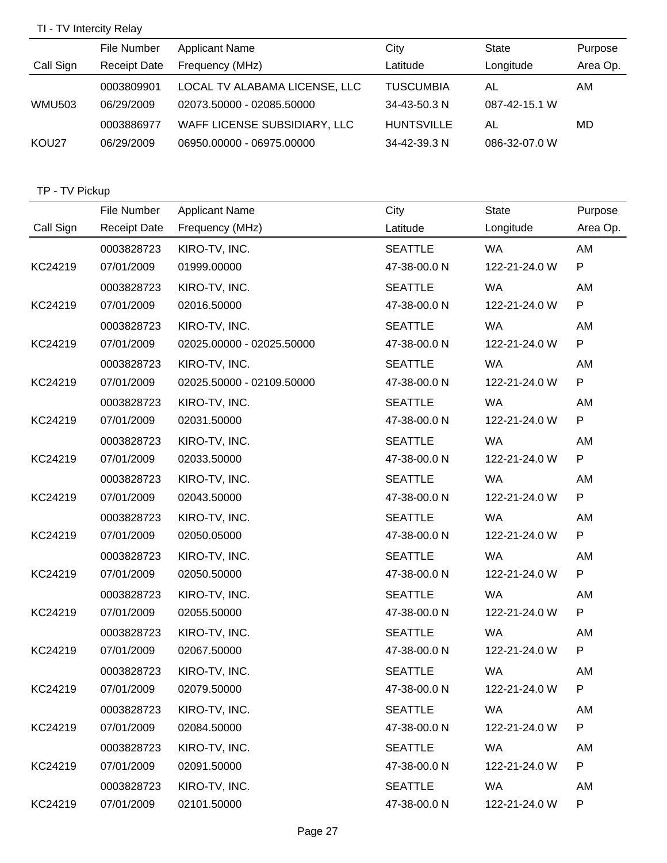# TI - TV Intercity Relay

|               | File Number         | <b>Applicant Name</b>         | City              | State         | Purpose  |
|---------------|---------------------|-------------------------------|-------------------|---------------|----------|
| Call Sign     | <b>Receipt Date</b> | Frequency (MHz)               | Latitude          | Longitude     | Area Op. |
|               | 0003809901          | LOCAL TV ALABAMA LICENSE, LLC | <b>TUSCUMBIA</b>  | AL            | AM       |
| <b>WMU503</b> | 06/29/2009          | 02073.50000 - 02085.50000     | 34-43-50.3 N      | 087-42-15.1 W |          |
|               | 0003886977          | WAFF LICENSE SUBSIDIARY, LLC  | <b>HUNTSVILLE</b> | AL            | MD       |
| KOU27         | 06/29/2009          | 06950.00000 - 06975.00000     | 34-42-39.3 N      | 086-32-07.0 W |          |

## TP - TV Pickup

|           | File Number         | <b>Applicant Name</b>     | City           | State         | Purpose  |
|-----------|---------------------|---------------------------|----------------|---------------|----------|
| Call Sign | <b>Receipt Date</b> | Frequency (MHz)           | Latitude       | Longitude     | Area Op. |
|           | 0003828723          | KIRO-TV, INC.             | <b>SEATTLE</b> | <b>WA</b>     | AM       |
| KC24219   | 07/01/2009          | 01999.00000               | 47-38-00.0 N   | 122-21-24.0 W | P        |
|           | 0003828723          | KIRO-TV, INC.             | <b>SEATTLE</b> | <b>WA</b>     | AM       |
| KC24219   | 07/01/2009          | 02016.50000               | 47-38-00.0 N   | 122-21-24.0 W | P        |
|           | 0003828723          | KIRO-TV, INC.             | <b>SEATTLE</b> | <b>WA</b>     | AM       |
| KC24219   | 07/01/2009          | 02025.00000 - 02025.50000 | 47-38-00.0 N   | 122-21-24.0 W | P        |
|           | 0003828723          | KIRO-TV, INC.             | <b>SEATTLE</b> | <b>WA</b>     | AM       |
| KC24219   | 07/01/2009          | 02025.50000 - 02109.50000 | 47-38-00.0 N   | 122-21-24.0 W | P        |
|           | 0003828723          | KIRO-TV, INC.             | <b>SEATTLE</b> | <b>WA</b>     | AM       |
| KC24219   | 07/01/2009          | 02031.50000               | 47-38-00.0 N   | 122-21-24.0 W | P        |
|           | 0003828723          | KIRO-TV, INC.             | <b>SEATTLE</b> | <b>WA</b>     | AM       |
| KC24219   | 07/01/2009          | 02033.50000               | 47-38-00.0 N   | 122-21-24.0 W | P        |
|           | 0003828723          | KIRO-TV, INC.             | <b>SEATTLE</b> | <b>WA</b>     | AM       |
| KC24219   | 07/01/2009          | 02043.50000               | 47-38-00.0 N   | 122-21-24.0 W | P        |
|           | 0003828723          | KIRO-TV, INC.             | <b>SEATTLE</b> | <b>WA</b>     | AM       |
| KC24219   | 07/01/2009          | 02050.05000               | 47-38-00.0 N   | 122-21-24.0 W | P        |
|           | 0003828723          | KIRO-TV, INC.             | <b>SEATTLE</b> | <b>WA</b>     | AM       |
| KC24219   | 07/01/2009          | 02050.50000               | 47-38-00.0 N   | 122-21-24.0 W | P        |
|           | 0003828723          | KIRO-TV, INC.             | <b>SEATTLE</b> | <b>WA</b>     | AM       |
| KC24219   | 07/01/2009          | 02055.50000               | 47-38-00.0 N   | 122-21-24.0 W | P        |
|           | 0003828723          | KIRO-TV, INC.             | <b>SEATTLE</b> | <b>WA</b>     | AM       |
| KC24219   | 07/01/2009          | 02067.50000               | 47-38-00.0 N   | 122-21-24.0 W | P        |
|           | 0003828723          | KIRO-TV, INC.             | <b>SEATTLE</b> | WA            | AM       |
| KC24219   | 07/01/2009          | 02079.50000               | 47-38-00.0 N   | 122-21-24.0 W | P        |
|           | 0003828723          | KIRO-TV, INC.             | <b>SEATTLE</b> | WA            | AM       |
| KC24219   | 07/01/2009          | 02084.50000               | 47-38-00.0 N   | 122-21-24.0 W | P        |
|           | 0003828723          | KIRO-TV, INC.             | <b>SEATTLE</b> | WA            | AM       |
| KC24219   | 07/01/2009          | 02091.50000               | 47-38-00.0 N   | 122-21-24.0 W | P        |
|           | 0003828723          | KIRO-TV, INC.             | <b>SEATTLE</b> | WA            | AM       |
| KC24219   | 07/01/2009          | 02101.50000               | 47-38-00.0 N   | 122-21-24.0 W | P        |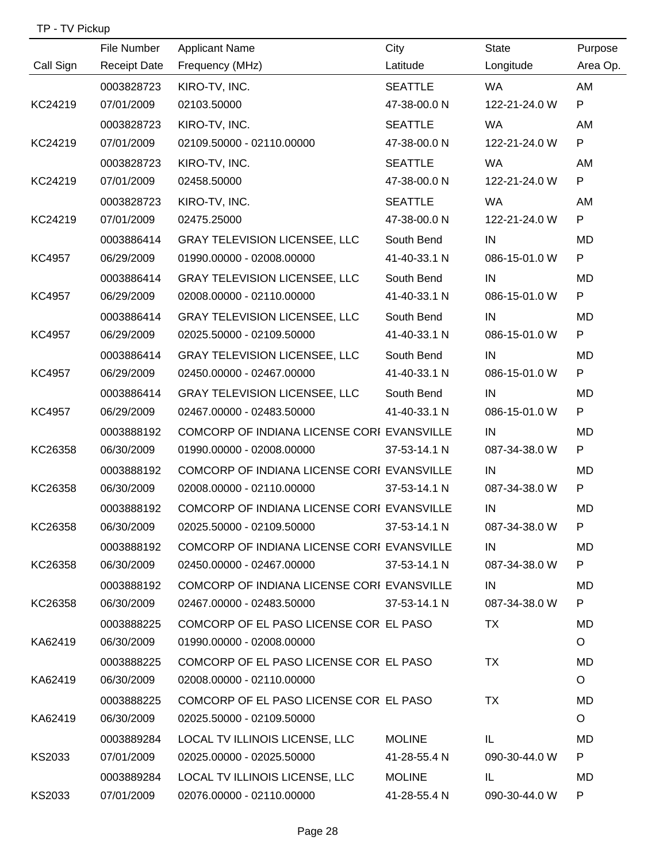|               | File Number         | <b>Applicant Name</b>                      | City           | <b>State</b>  | Purpose  |
|---------------|---------------------|--------------------------------------------|----------------|---------------|----------|
| Call Sign     | <b>Receipt Date</b> | Frequency (MHz)                            | Latitude       | Longitude     | Area Op. |
|               | 0003828723          | KIRO-TV, INC.                              | <b>SEATTLE</b> | <b>WA</b>     | AM       |
| KC24219       | 07/01/2009          | 02103.50000                                | 47-38-00.0 N   | 122-21-24.0 W | P        |
|               | 0003828723          | KIRO-TV, INC.                              | <b>SEATTLE</b> | <b>WA</b>     | AM       |
| KC24219       | 07/01/2009          | 02109.50000 - 02110.00000                  | 47-38-00.0 N   | 122-21-24.0 W | P        |
|               | 0003828723          | KIRO-TV, INC.                              | <b>SEATTLE</b> | <b>WA</b>     | AM       |
| KC24219       | 07/01/2009          | 02458.50000                                | 47-38-00.0 N   | 122-21-24.0 W | P        |
|               | 0003828723          | KIRO-TV, INC.                              | <b>SEATTLE</b> | <b>WA</b>     | AM       |
| KC24219       | 07/01/2009          | 02475.25000                                | 47-38-00.0 N   | 122-21-24.0 W | P        |
|               | 0003886414          | <b>GRAY TELEVISION LICENSEE, LLC</b>       | South Bend     | IN            | MD       |
| KC4957        | 06/29/2009          | 01990.00000 - 02008.00000                  | 41-40-33.1 N   | 086-15-01.0 W | P        |
|               | 0003886414          | <b>GRAY TELEVISION LICENSEE, LLC</b>       | South Bend     | IN            | MD       |
| <b>KC4957</b> | 06/29/2009          | 02008.00000 - 02110.00000                  | 41-40-33.1 N   | 086-15-01.0 W | P        |
|               | 0003886414          | <b>GRAY TELEVISION LICENSEE, LLC</b>       | South Bend     | IN            | MD       |
| <b>KC4957</b> | 06/29/2009          | 02025.50000 - 02109.50000                  | 41-40-33.1 N   | 086-15-01.0 W | P        |
|               | 0003886414          | <b>GRAY TELEVISION LICENSEE, LLC</b>       | South Bend     | IN            | MD       |
| <b>KC4957</b> | 06/29/2009          | 02450.00000 - 02467.00000                  | 41-40-33.1 N   | 086-15-01.0 W | P        |
|               | 0003886414          | <b>GRAY TELEVISION LICENSEE, LLC</b>       | South Bend     | IN            | MD       |
| KC4957        | 06/29/2009          | 02467.00000 - 02483.50000                  | 41-40-33.1 N   | 086-15-01.0 W | P        |
|               | 0003888192          | COMCORP OF INDIANA LICENSE CORI EVANSVILLE |                | IN            | MD       |
| KC26358       | 06/30/2009          | 01990.00000 - 02008.00000                  | 37-53-14.1 N   | 087-34-38.0 W | P        |
|               | 0003888192          | COMCORP OF INDIANA LICENSE CORI EVANSVILLE |                | IN            | MD       |
| KC26358       | 06/30/2009          | 02008.00000 - 02110.00000                  | 37-53-14.1 N   | 087-34-38.0 W | P        |
|               | 0003888192          | COMCORP OF INDIANA LICENSE CORI EVANSVILLE |                | IN            | MD       |
| KC26358       | 06/30/2009          | 02025.50000 - 02109.50000                  | 37-53-14.1 N   | 087-34-38.0 W | P.       |
|               | 0003888192          | COMCORP OF INDIANA LICENSE CORI EVANSVILLE |                | IN            | MD       |
| KC26358       | 06/30/2009          | 02450.00000 - 02467.00000                  | 37-53-14.1 N   | 087-34-38.0 W | P        |
|               | 0003888192          | COMCORP OF INDIANA LICENSE CORI EVANSVILLE |                | IN            | MD       |
| KC26358       | 06/30/2009          | 02467.00000 - 02483.50000                  | 37-53-14.1 N   | 087-34-38.0 W | P        |
|               | 0003888225          | COMCORP OF EL PASO LICENSE COR EL PASO     |                | TX            | MD       |
| KA62419       | 06/30/2009          | 01990.00000 - 02008.00000                  |                |               | $\circ$  |
|               | 0003888225          | COMCORP OF EL PASO LICENSE COR EL PASO     |                | TX            | MD       |
| KA62419       | 06/30/2009          | 02008.00000 - 02110.00000                  |                |               | $\circ$  |
|               | 0003888225          | COMCORP OF EL PASO LICENSE COR EL PASO     |                | TX            | MD       |
| KA62419       | 06/30/2009          | 02025.50000 - 02109.50000                  |                |               | $\circ$  |
|               | 0003889284          | LOCAL TV ILLINOIS LICENSE, LLC             | <b>MOLINE</b>  | IL.           | MD.      |
| KS2033        | 07/01/2009          | 02025.00000 - 02025.50000                  | 41-28-55.4 N   | 090-30-44.0 W | P        |
|               | 0003889284          | LOCAL TV ILLINOIS LICENSE, LLC             | <b>MOLINE</b>  | IL.           | MD       |
| KS2033        | 07/01/2009          | 02076.00000 - 02110.00000                  | 41-28-55.4 N   | 090-30-44.0 W | P        |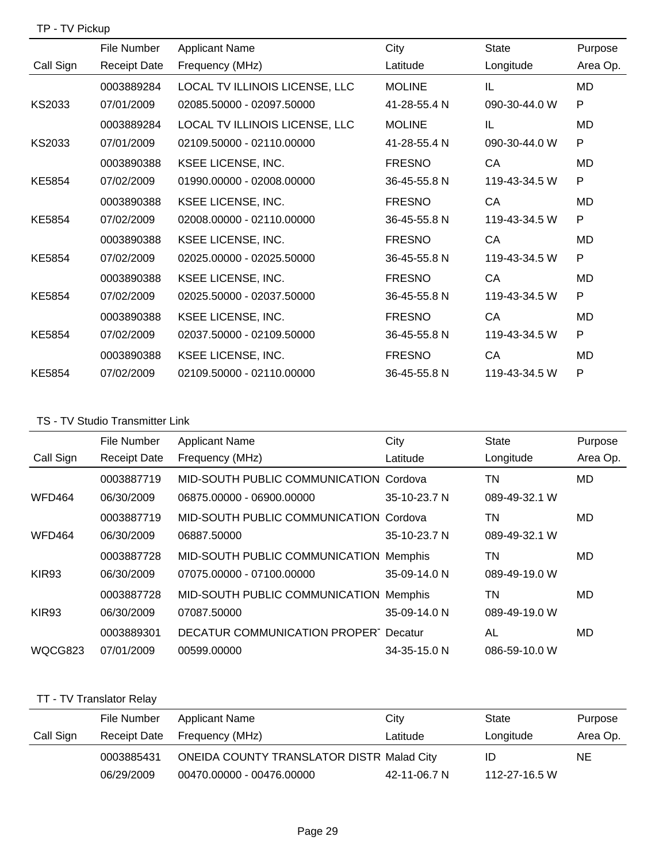## TP - TV Pickup

|           | File Number         | <b>Applicant Name</b>          | City          | <b>State</b>  | Purpose   |
|-----------|---------------------|--------------------------------|---------------|---------------|-----------|
| Call Sign | <b>Receipt Date</b> | Frequency (MHz)                | Latitude      | Longitude     | Area Op.  |
|           | 0003889284          | LOCAL TV ILLINOIS LICENSE, LLC | <b>MOLINE</b> | IL            | MD        |
| KS2033    | 07/01/2009          | 02085.50000 - 02097.50000      | 41-28-55.4 N  | 090-30-44.0 W | P         |
|           | 0003889284          | LOCAL TV ILLINOIS LICENSE, LLC | <b>MOLINE</b> | IL            | <b>MD</b> |
| KS2033    | 07/01/2009          | 02109.50000 - 02110.00000      | 41-28-55.4 N  | 090-30-44.0 W | P         |
|           | 0003890388          | KSEE LICENSE, INC.             | <b>FRESNO</b> | CA            | <b>MD</b> |
| KE5854    | 07/02/2009          | 01990.00000 - 02008.00000      | 36-45-55.8 N  | 119-43-34.5 W | P         |
|           | 0003890388          | <b>KSEE LICENSE, INC.</b>      | <b>FRESNO</b> | CA            | MD        |
| KE5854    | 07/02/2009          | 02008.00000 - 02110.00000      | 36-45-55.8 N  | 119-43-34.5 W | P         |
|           | 0003890388          | KSEE LICENSE, INC.             | <b>FRESNO</b> | CA            | <b>MD</b> |
| KE5854    | 07/02/2009          | 02025.00000 - 02025.50000      | 36-45-55.8 N  | 119-43-34.5 W | P         |
|           | 0003890388          | KSEE LICENSE, INC.             | <b>FRESNO</b> | CA            | MD        |
| KE5854    | 07/02/2009          | 02025.50000 - 02037.50000      | 36-45-55.8 N  | 119-43-34.5 W | P         |
|           | 0003890388          | KSEE LICENSE, INC.             | <b>FRESNO</b> | CA            | <b>MD</b> |
| KE5854    | 07/02/2009          | 02037.50000 - 02109.50000      | 36-45-55.8 N  | 119-43-34.5 W | P         |
|           | 0003890388          | KSEE LICENSE, INC.             | <b>FRESNO</b> | CA            | MD        |
| KE5854    | 07/02/2009          | 02109.50000 - 02110.00000      | 36-45-55.8 N  | 119-43-34.5 W | P         |

# TS - TV Studio Transmitter Link

|                   | File Number         | <b>Applicant Name</b>                       | City         | <b>State</b>  | Purpose  |
|-------------------|---------------------|---------------------------------------------|--------------|---------------|----------|
| Call Sign         | <b>Receipt Date</b> | Frequency (MHz)                             | Latitude     | Longitude     | Area Op. |
|                   | 0003887719          | MID-SOUTH PUBLIC COMMUNICATION Cordova      |              | TN            | MD.      |
| <b>WFD464</b>     | 06/30/2009          | 06875.00000 - 06900.00000                   | 35-10-23.7 N | 089-49-32.1 W |          |
|                   | 0003887719          | MID-SOUTH PUBLIC COMMUNICATION Cordova      |              | TN            | MD       |
| <b>WFD464</b>     | 06/30/2009          | 06887.50000                                 | 35-10-23.7 N | 089-49-32.1 W |          |
|                   | 0003887728          | MID-SOUTH PUBLIC COMMUNICATION Memphis      |              | TN            | MD       |
| KIR <sub>93</sub> | 06/30/2009          | 07075.00000 - 07100.00000                   | 35-09-14.0 N | 089-49-19.0 W |          |
|                   | 0003887728          | MID-SOUTH PUBLIC COMMUNICATION Memphis      |              | TN            | MD       |
| KIR <sub>93</sub> | 06/30/2009          | 07087.50000                                 | 35-09-14.0 N | 089-49-19.0 W |          |
|                   | 0003889301          | <b>DECATUR COMMUNICATION PROPER Decatur</b> |              | AL            | MD       |
| WQCG823           | 07/01/2009          | 00599.00000                                 | 34-35-15.0 N | 086-59-10.0 W |          |

# TT - TV Translator Relay

|           | File Number  | <b>Applicant Name</b>                            | Citv         | State         | Purpose  |
|-----------|--------------|--------------------------------------------------|--------------|---------------|----------|
| Call Sign | Receipt Date | Frequency (MHz)                                  | Latitude     | Longitude     | Area Op. |
|           | 0003885431   | <b>ONEIDA COUNTY TRANSLATOR DISTR Malad City</b> |              | ID            | NE.      |
|           | 06/29/2009   | 00470.00000 - 00476.00000                        | 42-11-06.7 N | 112-27-16.5 W |          |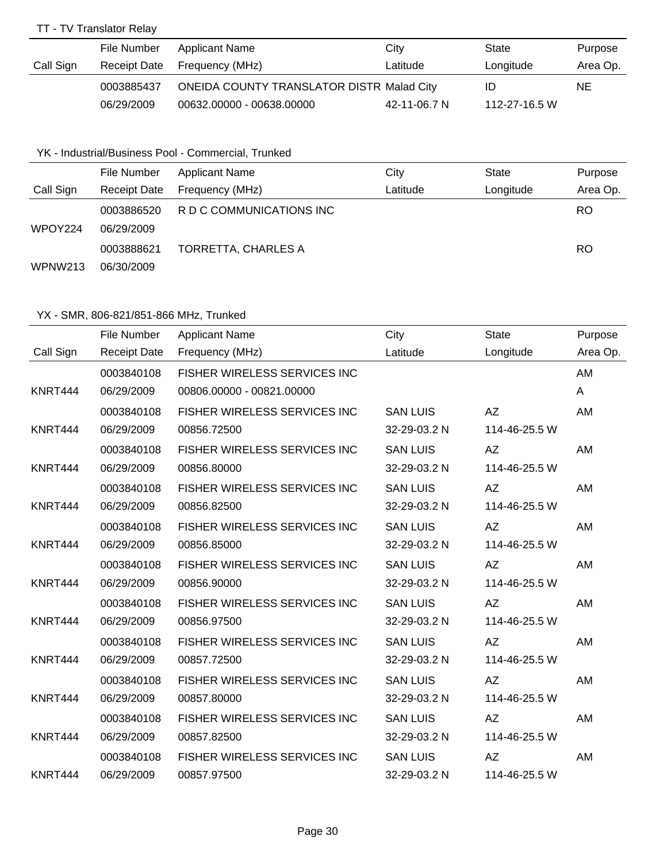## TT - TV Translator Relay

|           | File Number  | Applicant Name                                   | City         | State         | Purpose  |
|-----------|--------------|--------------------------------------------------|--------------|---------------|----------|
| Call Sign | Receipt Date | Frequency (MHz)                                  | Latitude     | Longitude     | Area Op. |
|           | 0003885437   | <b>ONEIDA COUNTY TRANSLATOR DISTR Malad City</b> |              | ID            | NE.      |
|           | 06/29/2009   | 00632.00000 - 00638.00000                        | 42-11-06.7 N | 112-27-16.5 W |          |

## YK - Industrial/Business Pool - Commercial, Trunked

|           | File Number              | <b>Applicant Name</b>      | City     | State     | Purpose   |
|-----------|--------------------------|----------------------------|----------|-----------|-----------|
| Call Sign | Receipt Date             | Frequency (MHz)            | Latitude | Longitude | Area Op.  |
| WPOY224   | 0003886520<br>06/29/2009 | R D C COMMUNICATIONS INC   |          |           | RO.       |
|           | 0003888621               | <b>TORRETTA, CHARLES A</b> |          |           | <b>RO</b> |
| WPNW213   | 06/30/2009               |                            |          |           |           |

|           | File Number         | <b>Applicant Name</b>                | City            | <b>State</b>  | Purpose  |
|-----------|---------------------|--------------------------------------|-----------------|---------------|----------|
| Call Sign | <b>Receipt Date</b> | Frequency (MHz)                      | Latitude        | Longitude     | Area Op. |
|           | 0003840108          | <b>FISHER WIRELESS SERVICES INC</b>  |                 |               | AM       |
| KNRT444   | 06/29/2009          | 00806.00000 - 00821.00000            |                 |               | A        |
|           | 0003840108          | FISHER WIRELESS SERVICES INC         | <b>SAN LUIS</b> | <b>AZ</b>     | AM       |
| KNRT444   | 06/29/2009          | 00856.72500                          | 32-29-03.2 N    | 114-46-25.5 W |          |
|           | 0003840108          | FISHER WIRELESS SERVICES INC         | <b>SAN LUIS</b> | AZ            | AM       |
| KNRT444   | 06/29/2009          | 00856.80000                          | 32-29-03.2 N    | 114-46-25.5 W |          |
|           | 0003840108          | FISHER WIRELESS SERVICES INC         | <b>SAN LUIS</b> | <b>AZ</b>     | AM       |
| KNRT444   | 06/29/2009          | 00856.82500                          | 32-29-03.2 N    | 114-46-25.5 W |          |
|           | 0003840108          | <b>FISHER WIRELESS SERVICES INC.</b> | <b>SAN LUIS</b> | <b>AZ</b>     | AM       |
| KNRT444   | 06/29/2009          | 00856.85000                          | 32-29-03.2 N    | 114-46-25.5 W |          |
|           | 0003840108          | FISHER WIRELESS SERVICES INC         | <b>SAN LUIS</b> | AΖ            | AM       |
| KNRT444   | 06/29/2009          | 00856.90000                          | 32-29-03.2 N    | 114-46-25.5 W |          |
|           | 0003840108          | FISHER WIRELESS SERVICES INC         | <b>SAN LUIS</b> | AZ            | AM       |
| KNRT444   | 06/29/2009          | 00856.97500                          | 32-29-03.2 N    | 114-46-25.5 W |          |
|           | 0003840108          | FISHER WIRELESS SERVICES INC         | <b>SAN LUIS</b> | <b>AZ</b>     | AM       |
| KNRT444   | 06/29/2009          | 00857.72500                          | 32-29-03.2 N    | 114-46-25.5 W |          |
|           | 0003840108          | <b>FISHER WIRELESS SERVICES INC</b>  | <b>SAN LUIS</b> | <b>AZ</b>     | AM       |
| KNRT444   | 06/29/2009          | 00857.80000                          | 32-29-03.2 N    | 114-46-25.5 W |          |
|           | 0003840108          | FISHER WIRELESS SERVICES INC         | <b>SAN LUIS</b> | <b>AZ</b>     | AM       |
| KNRT444   | 06/29/2009          | 00857.82500                          | 32-29-03.2 N    | 114-46-25.5 W |          |
|           | 0003840108          | FISHER WIRELESS SERVICES INC         | <b>SAN LUIS</b> | <b>AZ</b>     | AM       |
| KNRT444   | 06/29/2009          | 00857.97500                          | 32-29-03.2 N    | 114-46-25.5 W |          |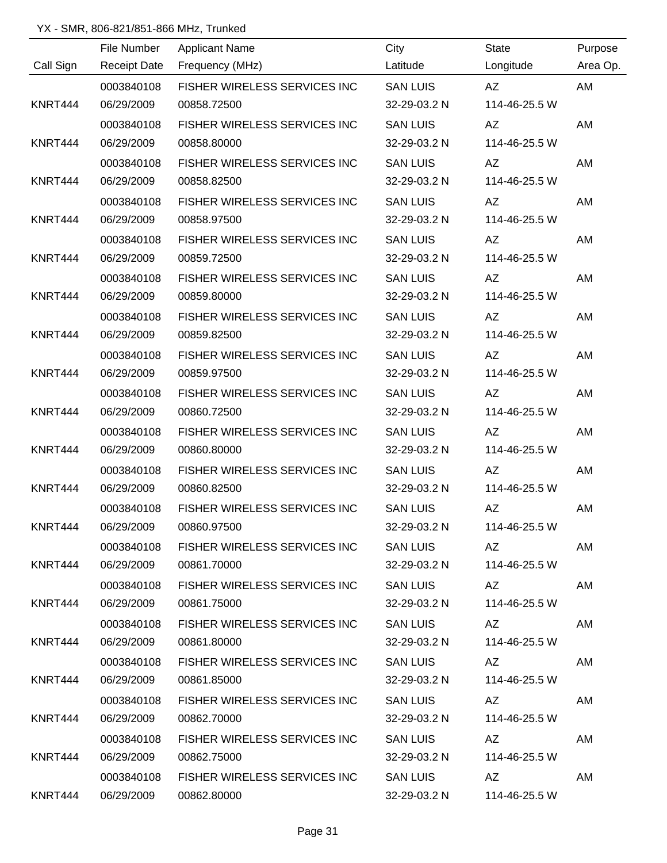|           | File Number | <b>Applicant Name</b>                 | City            | State         | Purpose  |
|-----------|-------------|---------------------------------------|-----------------|---------------|----------|
| Call Sign |             | Receipt Date Frequency (MHz)          | Latitude        | Longitude     | Area Op. |
|           | 0003840108  | FISHER WIRELESS SERVICES INC          | <b>SAN LUIS</b> | AZ            | AM       |
| KNRT444   | 06/29/2009  | 00858.72500                           | 32-29-03.2 N    | 114-46-25.5 W |          |
|           | 0003840108  | FISHER WIRELESS SERVICES INC          | <b>SAN LUIS</b> | AZ            | AM       |
| KNRT444   | 06/29/2009  | 00858.80000                           | 32-29-03.2 N    | 114-46-25.5 W |          |
|           | 0003840108  | FISHER WIRELESS SERVICES INC          | <b>SAN LUIS</b> | AZ            | AM       |
| KNRT444   | 06/29/2009  | 00858.82500                           | 32-29-03.2 N    | 114-46-25.5 W |          |
|           | 0003840108  | FISHER WIRELESS SERVICES INC          | <b>SAN LUIS</b> | AZ            | AM       |
| KNRT444   | 06/29/2009  | 00858.97500                           | 32-29-03.2 N    | 114-46-25.5 W |          |
|           | 0003840108  | FISHER WIRELESS SERVICES INC          | <b>SAN LUIS</b> | AZ            | AM       |
| KNRT444   | 06/29/2009  | 00859.72500                           | 32-29-03.2 N    | 114-46-25.5 W |          |
|           | 0003840108  | FISHER WIRELESS SERVICES INC          | <b>SAN LUIS</b> | AZ            | AM       |
| KNRT444   | 06/29/2009  | 00859.80000                           | 32-29-03.2 N    | 114-46-25.5 W |          |
|           | 0003840108  | FISHER WIRELESS SERVICES INC          | <b>SAN LUIS</b> | AZ            | AM       |
| KNRT444   | 06/29/2009  | 00859.82500                           | 32-29-03.2 N    | 114-46-25.5 W |          |
|           | 0003840108  | FISHER WIRELESS SERVICES INC          | <b>SAN LUIS</b> | AZ            | AM       |
| KNRT444   | 06/29/2009  | 00859.97500                           | 32-29-03.2 N    | 114-46-25.5 W |          |
|           | 0003840108  | FISHER WIRELESS SERVICES INC          | <b>SAN LUIS</b> | AZ            | AM       |
| KNRT444   | 06/29/2009  | 00860.72500                           | 32-29-03.2 N    | 114-46-25.5 W |          |
|           | 0003840108  | FISHER WIRELESS SERVICES INC          | <b>SAN LUIS</b> | AZ            | AM       |
| KNRT444   | 06/29/2009  | 00860.80000                           | 32-29-03.2 N    | 114-46-25.5 W |          |
|           | 0003840108  | FISHER WIRELESS SERVICES INC          | <b>SAN LUIS</b> | AZ            | AM       |
| KNRT444   | 06/29/2009  | 00860.82500                           | 32-29-03.2 N    | 114-46-25.5 W |          |
|           | 0003840108  | FISHER WIRELESS SERVICES INC          | <b>SAN LUIS</b> | AZ            | AM       |
| KNRT444   | 06/29/2009  | 00860.97500                           | 32-29-03.2 N    | 114-46-25.5 W |          |
|           | 0003840108  | FISHER WIRELESS SERVICES INC SAN LUIS |                 | AZ            | AM       |
| KNRT444   | 06/29/2009  | 00861.70000                           | 32-29-03.2 N    | 114-46-25.5 W |          |
|           | 0003840108  | FISHER WIRELESS SERVICES INC          | SAN LUIS        | AZ            | AM       |
| KNRT444   | 06/29/2009  | 00861.75000                           | 32-29-03.2 N    | 114-46-25.5 W |          |
|           | 0003840108  | FISHER WIRELESS SERVICES INC          | SAN LUIS        |               | AM       |
| KNRT444   | 06/29/2009  | 00861.80000                           | 32-29-03.2 N    | 114-46-25.5 W |          |
|           | 0003840108  | FISHER WIRELESS SERVICES INC          | <b>SAN LUIS</b> | AZ            | AM       |
| KNRT444   | 06/29/2009  | 00861.85000                           | 32-29-03.2 N    | 114-46-25.5 W |          |
|           | 0003840108  | FISHER WIRELESS SERVICES INC          | <b>SAN LUIS</b> | AZ            | AM       |
| KNRT444   | 06/29/2009  | 00862.70000                           | 32-29-03.2 N    | 114-46-25.5 W |          |
|           | 0003840108  | FISHER WIRELESS SERVICES INC          | <b>SAN LUIS</b> | AZ            | AM       |
| KNRT444   | 06/29/2009  | 00862.75000                           | 32-29-03.2 N    | 114-46-25.5 W |          |
|           | 0003840108  | FISHER WIRELESS SERVICES INC          | <b>SAN LUIS</b> | AZ            | AM       |
| KNRT444   | 06/29/2009  | 00862.80000                           | 32-29-03.2 N    | 114-46-25.5 W |          |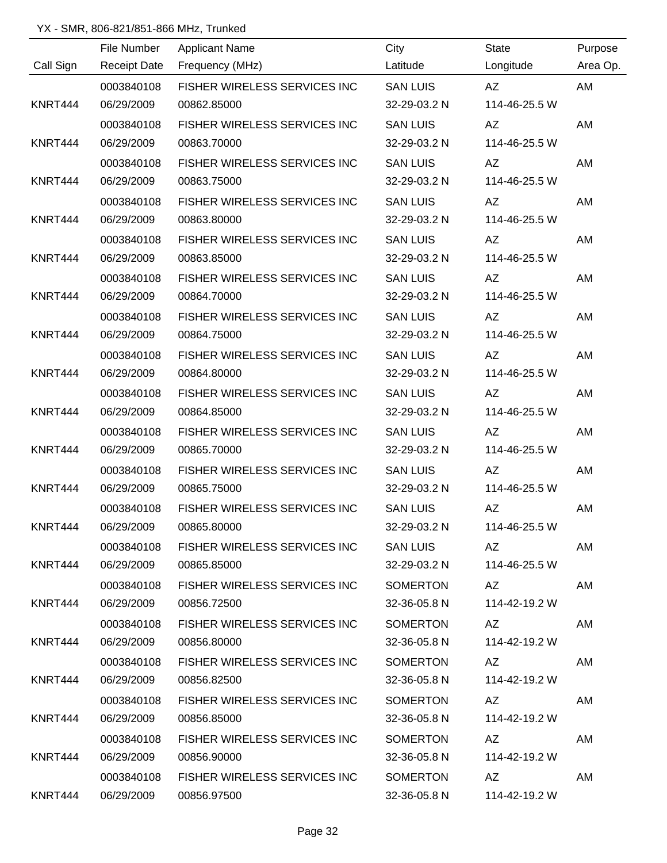|           | File Number | <b>Applicant Name</b>        | City            | State         | Purpose  |
|-----------|-------------|------------------------------|-----------------|---------------|----------|
| Call Sign |             | Receipt Date Frequency (MHz) | Latitude        | Longitude     | Area Op. |
|           | 0003840108  | FISHER WIRELESS SERVICES INC | <b>SAN LUIS</b> | AZ            | AM       |
| KNRT444   | 06/29/2009  | 00862.85000                  | 32-29-03.2 N    | 114-46-25.5 W |          |
|           | 0003840108  | FISHER WIRELESS SERVICES INC | <b>SAN LUIS</b> | AZ            | AM       |
| KNRT444   | 06/29/2009  | 00863.70000                  | 32-29-03.2 N    | 114-46-25.5 W |          |
|           | 0003840108  | FISHER WIRELESS SERVICES INC | <b>SAN LUIS</b> | AZ            | AM       |
| KNRT444   | 06/29/2009  | 00863.75000                  | 32-29-03.2 N    | 114-46-25.5 W |          |
|           | 0003840108  | FISHER WIRELESS SERVICES INC | <b>SAN LUIS</b> | AZ            | AM       |
| KNRT444   | 06/29/2009  | 00863.80000                  | 32-29-03.2 N    | 114-46-25.5 W |          |
|           | 0003840108  | FISHER WIRELESS SERVICES INC | <b>SAN LUIS</b> | AZ            | AM       |
| KNRT444   | 06/29/2009  | 00863.85000                  | 32-29-03.2 N    | 114-46-25.5 W |          |
|           | 0003840108  | FISHER WIRELESS SERVICES INC | <b>SAN LUIS</b> | AZ            | AM       |
| KNRT444   | 06/29/2009  | 00864.70000                  | 32-29-03.2 N    | 114-46-25.5 W |          |
|           | 0003840108  | FISHER WIRELESS SERVICES INC | <b>SAN LUIS</b> | AZ            | AM       |
| KNRT444   | 06/29/2009  | 00864.75000                  | 32-29-03.2 N    | 114-46-25.5 W |          |
|           | 0003840108  | FISHER WIRELESS SERVICES INC | <b>SAN LUIS</b> | AZ            | AM       |
| KNRT444   | 06/29/2009  | 00864.80000                  | 32-29-03.2 N    | 114-46-25.5 W |          |
|           | 0003840108  | FISHER WIRELESS SERVICES INC | <b>SAN LUIS</b> | AZ            | AM       |
| KNRT444   | 06/29/2009  | 00864.85000                  | 32-29-03.2 N    | 114-46-25.5 W |          |
|           | 0003840108  | FISHER WIRELESS SERVICES INC | <b>SAN LUIS</b> | AZ            | AM       |
| KNRT444   | 06/29/2009  | 00865.70000                  | 32-29-03.2 N    | 114-46-25.5 W |          |
|           | 0003840108  | FISHER WIRELESS SERVICES INC | <b>SAN LUIS</b> | AZ            | AM       |
| KNRT444   | 06/29/2009  | 00865.75000                  | 32-29-03.2 N    | 114-46-25.5 W |          |
|           | 0003840108  | FISHER WIRELESS SERVICES INC | <b>SAN LUIS</b> | AZ            | AM       |
| KNRT444   | 06/29/2009  | 00865.80000                  | 32-29-03.2 N    | 114-46-25.5 W |          |
|           | 0003840108  | FISHER WIRELESS SERVICES INC | <b>SAN LUIS</b> | AZ            | AM       |
| KNRT444   | 06/29/2009  | 00865.85000                  | 32-29-03.2 N    | 114-46-25.5 W |          |
|           | 0003840108  | FISHER WIRELESS SERVICES INC | SOMERTON        |               | AM       |
| KNRT444   | 06/29/2009  | 00856.72500                  | 32-36-05.8 N    | 114-42-19.2 W |          |
|           | 0003840108  | FISHER WIRELESS SERVICES INC | SOMERTON        | AZ            | AM       |
| KNRT444   | 06/29/2009  | 00856.80000                  | 32-36-05.8 N    | 114-42-19.2 W |          |
|           | 0003840108  | FISHER WIRELESS SERVICES INC | SOMERTON        | AZ            | AM       |
| KNRT444   | 06/29/2009  | 00856.82500                  | 32-36-05.8 N    | 114-42-19.2 W |          |
|           | 0003840108  | FISHER WIRELESS SERVICES INC | SOMERTON        | AZ            | AM       |
| KNRT444   | 06/29/2009  | 00856.85000                  | 32-36-05.8 N    | 114-42-19.2 W |          |
|           | 0003840108  | FISHER WIRELESS SERVICES INC | SOMERTON        | AZ            | AM       |
| KNRT444   | 06/29/2009  | 00856.90000                  | 32-36-05.8 N    | 114-42-19.2 W |          |
|           | 0003840108  | FISHER WIRELESS SERVICES INC | SOMERTON        | AZ            | AM       |
| KNRT444   | 06/29/2009  | 00856.97500                  | 32-36-05.8 N    | 114-42-19.2 W |          |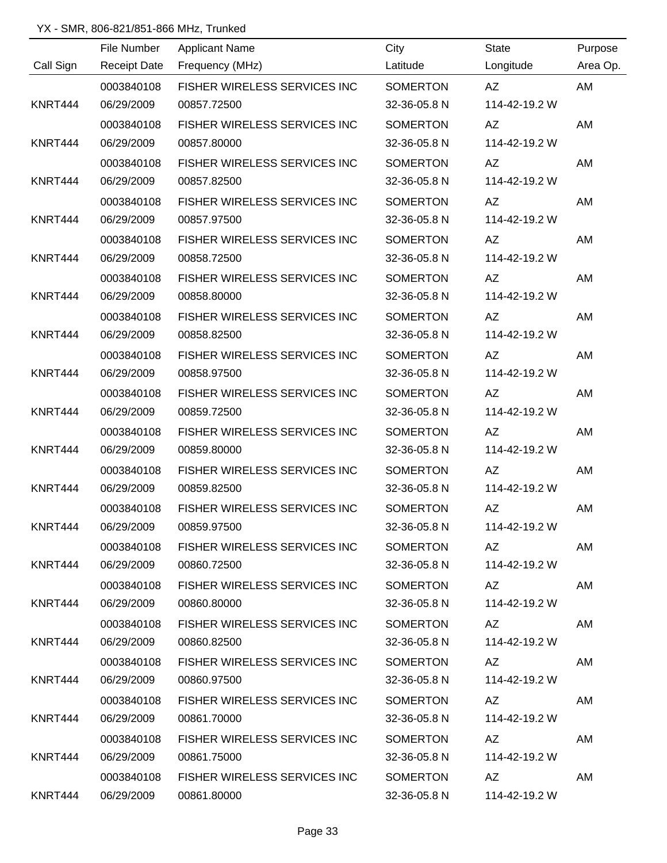|           | File Number         | <b>Applicant Name</b>        | City            | State         | Purpose  |
|-----------|---------------------|------------------------------|-----------------|---------------|----------|
| Call Sign | <b>Receipt Date</b> | Frequency (MHz)              | Latitude        | Longitude     | Area Op. |
|           | 0003840108          | FISHER WIRELESS SERVICES INC | SOMERTON        | AZ            | AM       |
| KNRT444   | 06/29/2009          | 00857.72500                  | 32-36-05.8 N    | 114-42-19.2 W |          |
|           | 0003840108          | FISHER WIRELESS SERVICES INC | <b>SOMERTON</b> | AZ            | AM       |
| KNRT444   | 06/29/2009          | 00857.80000                  | 32-36-05.8 N    | 114-42-19.2 W |          |
|           | 0003840108          | FISHER WIRELESS SERVICES INC | <b>SOMERTON</b> | AZ            | AM       |
| KNRT444   | 06/29/2009          | 00857.82500                  | 32-36-05.8 N    | 114-42-19.2 W |          |
|           | 0003840108          | FISHER WIRELESS SERVICES INC | <b>SOMERTON</b> | AZ            | AM       |
| KNRT444   | 06/29/2009          | 00857.97500                  | 32-36-05.8 N    | 114-42-19.2 W |          |
|           | 0003840108          | FISHER WIRELESS SERVICES INC | SOMERTON        | AZ            | AM       |
| KNRT444   | 06/29/2009          | 00858.72500                  | 32-36-05.8 N    | 114-42-19.2 W |          |
|           | 0003840108          | FISHER WIRELESS SERVICES INC | <b>SOMERTON</b> | AZ            | AM       |
| KNRT444   | 06/29/2009          | 00858.80000                  | 32-36-05.8 N    | 114-42-19.2 W |          |
|           | 0003840108          | FISHER WIRELESS SERVICES INC | <b>SOMERTON</b> | AZ            | AM       |
| KNRT444   | 06/29/2009          | 00858.82500                  | 32-36-05.8 N    | 114-42-19.2 W |          |
|           | 0003840108          | FISHER WIRELESS SERVICES INC | <b>SOMERTON</b> | AZ            | AM       |
| KNRT444   | 06/29/2009          | 00858.97500                  | 32-36-05.8 N    | 114-42-19.2 W |          |
|           | 0003840108          | FISHER WIRELESS SERVICES INC | <b>SOMERTON</b> | AZ            | AM       |
| KNRT444   | 06/29/2009          | 00859.72500                  | 32-36-05.8 N    | 114-42-19.2 W |          |
|           | 0003840108          | FISHER WIRELESS SERVICES INC | <b>SOMERTON</b> | AZ            | AM       |
| KNRT444   | 06/29/2009          | 00859.80000                  | 32-36-05.8 N    | 114-42-19.2 W |          |
|           | 0003840108          | FISHER WIRELESS SERVICES INC | SOMERTON        | AZ            | AM       |
| KNRT444   | 06/29/2009          | 00859.82500                  | 32-36-05.8 N    | 114-42-19.2 W |          |
|           | 0003840108          | FISHER WIRELESS SERVICES INC | <b>SOMERTON</b> | AZ            | AM       |
| KNRT444   | 06/29/2009          | 00859.97500                  | 32-36-05.8 N    | 114-42-19.2 W |          |
|           | 0003840108          | FISHER WIRELESS SERVICES INC | SOMERTON        | AZ            | AM       |
| KNRT444   | 06/29/2009          | 00860.72500                  | 32-36-05.8 N    | 114-42-19.2 W |          |
|           | 0003840108          | FISHER WIRELESS SERVICES INC | SOMERTON        | AZ MARI       | AM       |
| KNRT444   | 06/29/2009          | 00860.80000                  | 32-36-05.8 N    | 114-42-19.2 W |          |
|           | 0003840108          | FISHER WIRELESS SERVICES INC | SOMERTON        | AZ            | AM       |
| KNRT444   | 06/29/2009          | 00860.82500                  | 32-36-05.8 N    | 114-42-19.2 W |          |
|           | 0003840108          | FISHER WIRELESS SERVICES INC | SOMERTON        | AZ            | AM       |
| KNRT444   | 06/29/2009          | 00860.97500                  | 32-36-05.8 N    | 114-42-19.2 W |          |
|           | 0003840108          | FISHER WIRELESS SERVICES INC | SOMERTON        | AZ            | AM       |
| KNRT444   | 06/29/2009          | 00861.70000                  | 32-36-05.8 N    | 114-42-19.2 W |          |
|           | 0003840108          | FISHER WIRELESS SERVICES INC | SOMERTON        | AZ            | AM       |
| KNRT444   | 06/29/2009          | 00861.75000                  | 32-36-05.8 N    | 114-42-19.2 W |          |
|           | 0003840108          | FISHER WIRELESS SERVICES INC | SOMERTON        | AZ            | AM       |
| KNRT444   | 06/29/2009          | 00861.80000                  | 32-36-05.8 N    | 114-42-19.2 W |          |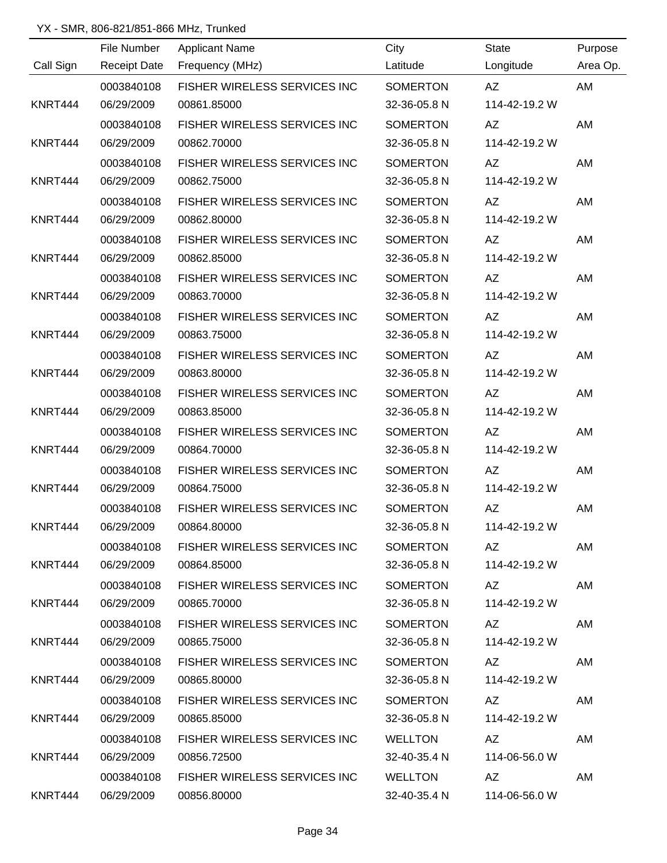|           |                     | <u> 1989 - Johann Barn, amerikansk politiker (</u> |                 |                    |          |
|-----------|---------------------|----------------------------------------------------|-----------------|--------------------|----------|
|           | File Number         | <b>Applicant Name</b>                              | City            | State              | Purpose  |
| Call Sign | <b>Receipt Date</b> | Frequency (MHz)                                    | Latitude        | Longitude          | Area Op. |
|           | 0003840108          | FISHER WIRELESS SERVICES INC                       | SOMERTON        | AZ                 | AM       |
| KNRT444   | 06/29/2009          | 00861.85000                                        | 32-36-05.8 N    | 114-42-19.2 W      |          |
|           | 0003840108          | FISHER WIRELESS SERVICES INC                       | <b>SOMERTON</b> | AZ                 | AM       |
| KNRT444   | 06/29/2009          | 00862.70000                                        | 32-36-05.8 N    | 114-42-19.2 W      |          |
|           | 0003840108          | FISHER WIRELESS SERVICES INC                       | <b>SOMERTON</b> | AZ                 | AM       |
| KNRT444   | 06/29/2009          | 00862.75000                                        | 32-36-05.8 N    | 114-42-19.2 W      |          |
|           | 0003840108          | FISHER WIRELESS SERVICES INC                       | <b>SOMERTON</b> | AZ                 | AM       |
| KNRT444   | 06/29/2009          | 00862.80000                                        | 32-36-05.8 N    | 114-42-19.2 W      |          |
|           | 0003840108          | FISHER WIRELESS SERVICES INC                       | <b>SOMERTON</b> | AZ                 | AM       |
| KNRT444   | 06/29/2009          | 00862.85000                                        | 32-36-05.8 N    | 114-42-19.2 W      |          |
|           | 0003840108          | FISHER WIRELESS SERVICES INC                       | <b>SOMERTON</b> | AZ                 | AM       |
| KNRT444   | 06/29/2009          | 00863.70000                                        | 32-36-05.8 N    | 114-42-19.2 W      |          |
|           | 0003840108          | FISHER WIRELESS SERVICES INC                       | <b>SOMERTON</b> | AZ                 | AM       |
| KNRT444   | 06/29/2009          | 00863.75000                                        | 32-36-05.8 N    | 114-42-19.2 W      |          |
|           | 0003840108          | FISHER WIRELESS SERVICES INC                       | <b>SOMERTON</b> | AZ                 | AM       |
| KNRT444   | 06/29/2009          | 00863.80000                                        | 32-36-05.8 N    | 114-42-19.2 W      |          |
|           | 0003840108          | FISHER WIRELESS SERVICES INC                       | <b>SOMERTON</b> | AZ                 | AM       |
| KNRT444   | 06/29/2009          | 00863.85000                                        | 32-36-05.8 N    | 114-42-19.2 W      |          |
|           | 0003840108          | FISHER WIRELESS SERVICES INC                       | <b>SOMERTON</b> | AZ                 | AM       |
| KNRT444   | 06/29/2009          | 00864.70000                                        | 32-36-05.8 N    | 114-42-19.2 W      |          |
|           | 0003840108          | FISHER WIRELESS SERVICES INC                       | <b>SOMERTON</b> | AZ                 | AM       |
| KNRT444   | 06/29/2009          | 00864.75000                                        | 32-36-05.8 N    | 114-42-19.2 W      |          |
|           | 0003840108          | FISHER WIRELESS SERVICES INC                       | <b>SOMERTON</b> | AZ                 | AM       |
| KNRT444   | 06/29/2009          | 00864.80000                                        | 32-36-05.8 N    | 114-42-19.2 W      |          |
|           | 0003840108          | FISHER WIRELESS SERVICES INC SOMERTON              |                 | AZ                 | AM       |
| KNRT444   | 06/29/2009          | 00864.85000                                        | 32-36-05.8 N    | 114-42-19.2 W      |          |
|           | 0003840108          | FISHER WIRELESS SERVICES INC                       | SOMERTON        | AZ                 | AM       |
| KNRT444   | 06/29/2009          | 00865.70000                                        | 32-36-05.8 N    | 114-42-19.2 W      |          |
|           | 0003840108          | FISHER WIRELESS SERVICES INC                       | SOMERTON        | AZ                 | AM       |
| KNRT444   | 06/29/2009          | 00865.75000                                        | 32-36-05.8 N    | 114-42-19.2 W      |          |
|           | 0003840108          | FISHER WIRELESS SERVICES INC                       | SOMERTON        | AZ                 | AM       |
| KNRT444   | 06/29/2009          | 00865.80000                                        | 32-36-05.8 N    | 114-42-19.2 W      |          |
|           | 0003840108          | FISHER WIRELESS SERVICES INC                       | SOMERTON        |                    | AM       |
| KNRT444   | 06/29/2009          | 00865.85000                                        | 32-36-05.8 N    | 114-42-19.2 W      |          |
|           | 0003840108          | FISHER WIRELESS SERVICES INC                       | WELLTON         | AZ MARI            | AM       |
| KNRT444   | 06/29/2009          | 00856.72500                                        | 32-40-35.4 N    | 114-06-56.0 W      |          |
|           | 0003840108          | FISHER WIRELESS SERVICES INC                       | WELLTON         | AZ <b>National</b> | AM       |
| KNRT444   | 06/29/2009          | 00856.80000                                        | 32-40-35.4 N    | 114-06-56.0 W      |          |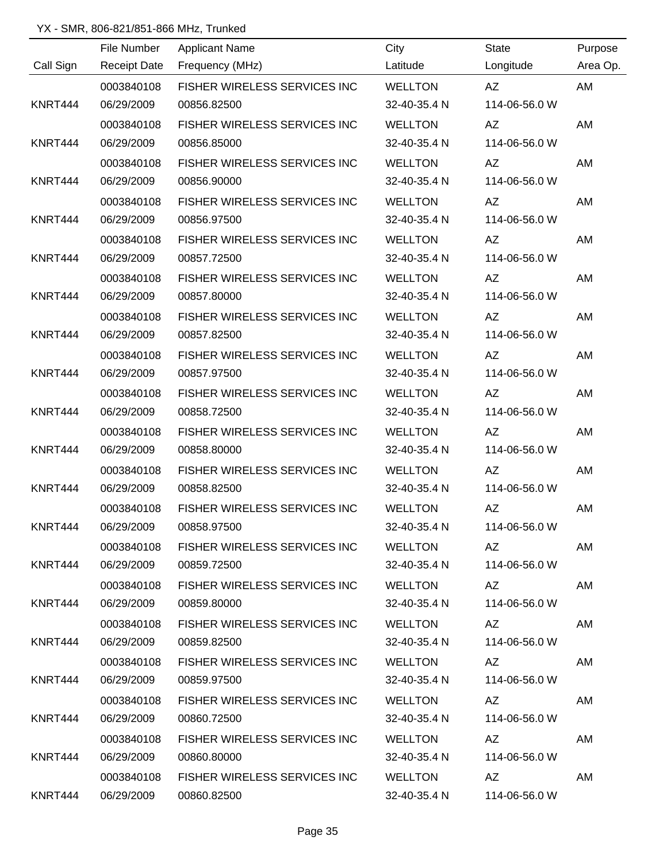|           | File Number         | <b>Applicant Name</b>                | City           | <b>State</b>  | Purpose  |
|-----------|---------------------|--------------------------------------|----------------|---------------|----------|
| Call Sign | <b>Receipt Date</b> | Frequency (MHz)                      | Latitude       | Longitude     | Area Op. |
|           | 0003840108          | FISHER WIRELESS SERVICES INC         | <b>WELLTON</b> | AZ            | AM       |
| KNRT444   | 06/29/2009          | 00856.82500                          | 32-40-35.4 N   | 114-06-56.0 W |          |
|           | 0003840108          | FISHER WIRELESS SERVICES INC         | <b>WELLTON</b> | AZ            | AM       |
| KNRT444   | 06/29/2009          | 00856.85000                          | 32-40-35.4 N   | 114-06-56.0 W |          |
|           | 0003840108          | FISHER WIRELESS SERVICES INC         | <b>WELLTON</b> | AZ            | AM       |
| KNRT444   | 06/29/2009          | 00856.90000                          | 32-40-35.4 N   | 114-06-56.0 W |          |
|           | 0003840108          | FISHER WIRELESS SERVICES INC         | <b>WELLTON</b> | AZ            | AM       |
| KNRT444   | 06/29/2009          | 00856.97500                          | 32-40-35.4 N   | 114-06-56.0 W |          |
|           | 0003840108          | FISHER WIRELESS SERVICES INC         | <b>WELLTON</b> | AZ            | AM       |
| KNRT444   | 06/29/2009          | 00857.72500                          | 32-40-35.4 N   | 114-06-56.0 W |          |
|           | 0003840108          | FISHER WIRELESS SERVICES INC         | <b>WELLTON</b> | AZ            | AM       |
| KNRT444   | 06/29/2009          | 00857.80000                          | 32-40-35.4 N   | 114-06-56.0 W |          |
|           | 0003840108          | FISHER WIRELESS SERVICES INC         | <b>WELLTON</b> | AZ            | AM       |
| KNRT444   | 06/29/2009          | 00857.82500                          | 32-40-35.4 N   | 114-06-56.0 W |          |
|           | 0003840108          | FISHER WIRELESS SERVICES INC         | <b>WELLTON</b> | AZ            | AM       |
| KNRT444   | 06/29/2009          | 00857.97500                          | 32-40-35.4 N   | 114-06-56.0 W |          |
|           | 0003840108          | FISHER WIRELESS SERVICES INC         | <b>WELLTON</b> | AZ            | AM       |
| KNRT444   | 06/29/2009          | 00858.72500                          | 32-40-35.4 N   | 114-06-56.0 W |          |
|           | 0003840108          | FISHER WIRELESS SERVICES INC         | <b>WELLTON</b> | AZ            | AM       |
| KNRT444   | 06/29/2009          | 00858.80000                          | 32-40-35.4 N   | 114-06-56.0 W |          |
|           | 0003840108          | FISHER WIRELESS SERVICES INC         | <b>WELLTON</b> | AZ            | AM       |
| KNRT444   | 06/29/2009          | 00858.82500                          | 32-40-35.4 N   | 114-06-56.0 W |          |
|           | 0003840108          | <b>FISHER WIRELESS SERVICES INC.</b> | <b>WELLTON</b> | AZ            | AM       |
| KNRT444   | 06/29/2009          | 00858.97500                          | 32-40-35.4 N   | 114-06-56.0 W |          |
|           | 0003840108          | FISHER WIRELESS SERVICES INC WELLTON |                | AZ            | AM       |
| KNRT444   | 06/29/2009          | 00859.72500                          | 32-40-35.4 N   | 114-06-56.0 W |          |
|           | 0003840108          | FISHER WIRELESS SERVICES INC         | WELLTON        | AZ            | AM       |
| KNRT444   | 06/29/2009          | 00859.80000                          | 32-40-35.4 N   | 114-06-56.0 W |          |
|           | 0003840108          | FISHER WIRELESS SERVICES INC         | WELLTON        |               | AM       |
| KNRT444   | 06/29/2009          | 00859.82500                          | 32-40-35.4 N   | 114-06-56.0 W |          |
|           | 0003840108          | FISHER WIRELESS SERVICES INC         | WELLTON        | AZ            | AM       |
| KNRT444   | 06/29/2009          | 00859.97500                          | 32-40-35.4 N   | 114-06-56.0 W |          |
|           | 0003840108          | FISHER WIRELESS SERVICES INC         | WELLTON        | AZ            | AM       |
| KNRT444   | 06/29/2009          | 00860.72500                          | 32-40-35.4 N   | 114-06-56.0 W |          |
|           | 0003840108          | FISHER WIRELESS SERVICES INC         | WELLTON        | AZ            | AM       |
| KNRT444   | 06/29/2009          | 00860.80000                          | 32-40-35.4 N   | 114-06-56.0 W |          |
|           | 0003840108          | FISHER WIRELESS SERVICES INC         | WELLTON        | AZ            | AM       |
| KNRT444   | 06/29/2009          | 00860.82500                          | 32-40-35.4 N   | 114-06-56.0 W |          |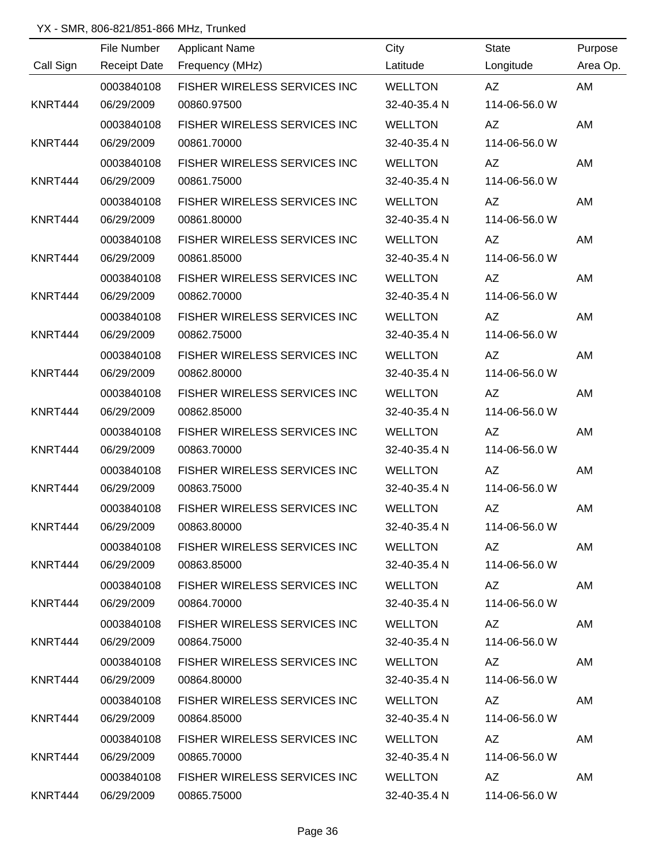|           | File Number         | <b>Applicant Name</b>                | City           | State                      | Purpose  |
|-----------|---------------------|--------------------------------------|----------------|----------------------------|----------|
| Call Sign | <b>Receipt Date</b> | Frequency (MHz)                      | Latitude       | Longitude                  | Area Op. |
|           | 0003840108          | FISHER WIRELESS SERVICES INC         | <b>WELLTON</b> | AZ                         | AM       |
| KNRT444   | 06/29/2009          | 00860.97500                          | 32-40-35.4 N   | 114-06-56.0 W              |          |
|           | 0003840108          | FISHER WIRELESS SERVICES INC         | <b>WELLTON</b> | AZ                         | AM       |
| KNRT444   | 06/29/2009          | 00861.70000                          | 32-40-35.4 N   | 114-06-56.0 W              |          |
|           | 0003840108          | FISHER WIRELESS SERVICES INC         | <b>WELLTON</b> | AZ                         | AM       |
| KNRT444   | 06/29/2009          | 00861.75000                          | 32-40-35.4 N   | 114-06-56.0 W              |          |
|           | 0003840108          | FISHER WIRELESS SERVICES INC         | <b>WELLTON</b> | AZ                         | AM       |
| KNRT444   | 06/29/2009          | 00861.80000                          | 32-40-35.4 N   | 114-06-56.0 W              |          |
|           | 0003840108          | FISHER WIRELESS SERVICES INC         | <b>WELLTON</b> | AZ                         | AM       |
| KNRT444   | 06/29/2009          | 00861.85000                          | 32-40-35.4 N   | 114-06-56.0 W              |          |
|           | 0003840108          | FISHER WIRELESS SERVICES INC         | <b>WELLTON</b> | AZ                         | AM       |
| KNRT444   | 06/29/2009          | 00862.70000                          | 32-40-35.4 N   | 114-06-56.0 W              |          |
|           | 0003840108          | FISHER WIRELESS SERVICES INC         | <b>WELLTON</b> | AZ                         | AM       |
| KNRT444   | 06/29/2009          | 00862.75000                          | 32-40-35.4 N   | 114-06-56.0 W              |          |
|           | 0003840108          | FISHER WIRELESS SERVICES INC         | <b>WELLTON</b> | AZ                         | AM       |
| KNRT444   | 06/29/2009          | 00862.80000                          | 32-40-35.4 N   | 114-06-56.0 W              |          |
|           | 0003840108          | FISHER WIRELESS SERVICES INC         | <b>WELLTON</b> | AZ                         | AM       |
| KNRT444   | 06/29/2009          | 00862.85000                          | 32-40-35.4 N   | 114-06-56.0 W              |          |
|           | 0003840108          | FISHER WIRELESS SERVICES INC         | <b>WELLTON</b> | AZ                         | AM       |
| KNRT444   | 06/29/2009          | 00863.70000                          | 32-40-35.4 N   | 114-06-56.0 W              |          |
|           | 0003840108          | FISHER WIRELESS SERVICES INC         | <b>WELLTON</b> | AZ                         | AM       |
| KNRT444   | 06/29/2009          | 00863.75000                          | 32-40-35.4 N   | 114-06-56.0 W              |          |
|           | 0003840108          | FISHER WIRELESS SERVICES INC         | <b>WELLTON</b> | AZ                         | AM       |
| KNRT444   | 06/29/2009          | 00863.80000                          | 32-40-35.4 N   | 114-06-56.0 W              |          |
|           | 0003840108          | FISHER WIRELESS SERVICES INC WELLTON |                | AZ                         | AM       |
| KNRT444   | 06/29/2009          | 00863.85000                          | 32-40-35.4 N   | 114-06-56.0 W              |          |
|           | 0003840108          | FISHER WIRELESS SERVICES INC WELLTON |                | AZ                         | AM       |
| KNRT444   | 06/29/2009          | 00864.70000                          | 32-40-35.4 N   | 114-06-56.0 W              |          |
|           | 0003840108          | FISHER WIRELESS SERVICES INC WELLTON |                | AZ                         | AM       |
| KNRT444   | 06/29/2009          | 00864.75000                          | 32-40-35.4 N   | 114-06-56.0 W              |          |
|           | 0003840108          | FISHER WIRELESS SERVICES INC         | WELLTON        | AZ                         | AM       |
| KNRT444   | 06/29/2009          | 00864.80000                          | 32-40-35.4 N   | 114-06-56.0 W              |          |
|           | 0003840108          | FISHER WIRELESS SERVICES INC WELLTON |                | AZ DO                      | AM       |
| KNRT444   | 06/29/2009          | 00864.85000                          | 32-40-35.4 N   | 114-06-56.0 W              |          |
|           | 0003840108          | FISHER WIRELESS SERVICES INC         | WELLTON        | AZ                         | AM       |
| KNRT444   | 06/29/2009          | 00865.70000                          | 32-40-35.4 N   | 114-06-56.0 W              |          |
|           | 0003840108          | FISHER WIRELESS SERVICES INC WELLTON |                | AZ                         | AM       |
| KNRT444   | 06/29/2009          | 00865.75000                          |                | 32-40-35.4 N 114-06-56.0 W |          |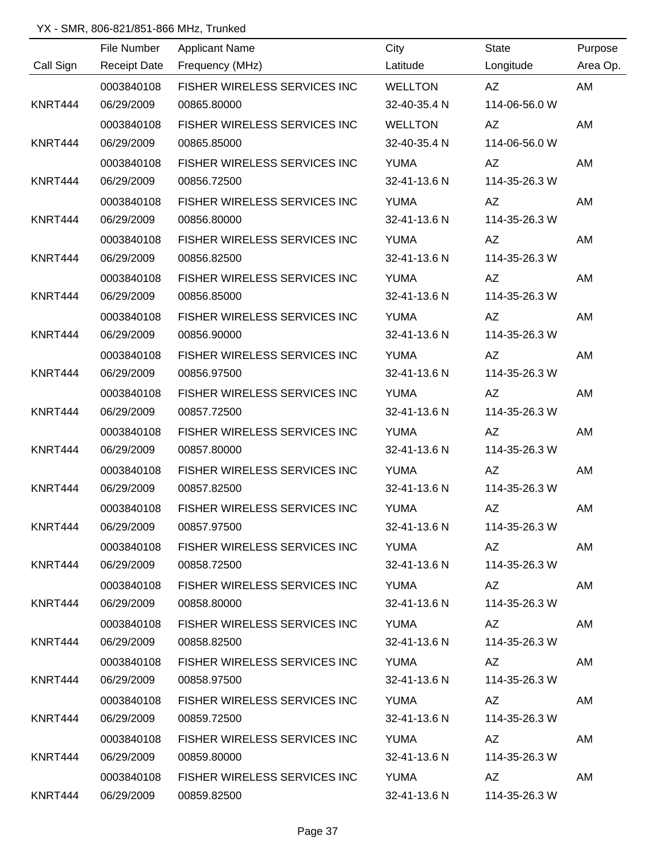|           | File Number         | <b>Applicant Name</b>               | City           | <b>State</b>                                                                                                                                                                                                                   | Purpose  |
|-----------|---------------------|-------------------------------------|----------------|--------------------------------------------------------------------------------------------------------------------------------------------------------------------------------------------------------------------------------|----------|
| Call Sign | <b>Receipt Date</b> | Frequency (MHz)                     | Latitude       | Longitude                                                                                                                                                                                                                      | Area Op. |
|           | 0003840108          | FISHER WIRELESS SERVICES INC        | <b>WELLTON</b> | AZ                                                                                                                                                                                                                             | AM       |
| KNRT444   | 06/29/2009          | 00865.80000                         | 32-40-35.4 N   | 114-06-56.0 W                                                                                                                                                                                                                  |          |
|           | 0003840108          | FISHER WIRELESS SERVICES INC        | <b>WELLTON</b> | AZ                                                                                                                                                                                                                             | AM       |
| KNRT444   | 06/29/2009          | 00865.85000                         | 32-40-35.4 N   | 114-06-56.0 W                                                                                                                                                                                                                  |          |
|           | 0003840108          | FISHER WIRELESS SERVICES INC        | <b>YUMA</b>    | AZ                                                                                                                                                                                                                             | AM       |
| KNRT444   | 06/29/2009          | 00856.72500                         | 32-41-13.6 N   | 114-35-26.3 W                                                                                                                                                                                                                  |          |
|           | 0003840108          | FISHER WIRELESS SERVICES INC        | <b>YUMA</b>    | AZ                                                                                                                                                                                                                             | AM       |
| KNRT444   | 06/29/2009          | 00856.80000                         | 32-41-13.6 N   | 114-35-26.3 W                                                                                                                                                                                                                  |          |
|           | 0003840108          | FISHER WIRELESS SERVICES INC        | <b>YUMA</b>    | AZ                                                                                                                                                                                                                             | AM       |
| KNRT444   | 06/29/2009          | 00856.82500                         | 32-41-13.6 N   | 114-35-26.3 W                                                                                                                                                                                                                  |          |
|           | 0003840108          | FISHER WIRELESS SERVICES INC        | <b>YUMA</b>    | AZ                                                                                                                                                                                                                             | AM       |
| KNRT444   | 06/29/2009          | 00856.85000                         | 32-41-13.6 N   | 114-35-26.3 W                                                                                                                                                                                                                  |          |
|           | 0003840108          | FISHER WIRELESS SERVICES INC        | <b>YUMA</b>    | AZ                                                                                                                                                                                                                             | AM       |
| KNRT444   | 06/29/2009          | 00856.90000                         | 32-41-13.6 N   | 114-35-26.3 W                                                                                                                                                                                                                  |          |
|           | 0003840108          | FISHER WIRELESS SERVICES INC        | <b>YUMA</b>    | AZ                                                                                                                                                                                                                             | AM       |
| KNRT444   | 06/29/2009          | 00856.97500                         | 32-41-13.6 N   | 114-35-26.3 W                                                                                                                                                                                                                  |          |
|           | 0003840108          | FISHER WIRELESS SERVICES INC        | <b>YUMA</b>    | AZ                                                                                                                                                                                                                             | AM       |
| KNRT444   | 06/29/2009          | 00857.72500                         | 32-41-13.6 N   | 114-35-26.3 W                                                                                                                                                                                                                  |          |
|           | 0003840108          | FISHER WIRELESS SERVICES INC        | <b>YUMA</b>    | AZ                                                                                                                                                                                                                             | AM       |
| KNRT444   | 06/29/2009          | 00857.80000                         | 32-41-13.6 N   | 114-35-26.3 W                                                                                                                                                                                                                  |          |
|           | 0003840108          | FISHER WIRELESS SERVICES INC        | <b>YUMA</b>    | AZ                                                                                                                                                                                                                             | AM       |
| KNRT444   | 06/29/2009          | 00857.82500                         | 32-41-13.6 N   | 114-35-26.3 W                                                                                                                                                                                                                  |          |
|           | 0003840108          | <b>FISHER WIRELESS SERVICES INC</b> | <b>YUMA</b>    | AZ                                                                                                                                                                                                                             | AM       |
| KNRT444   | 06/29/2009          | 00857.97500                         | 32-41-13.6 N   | 114-35-26.3 W                                                                                                                                                                                                                  |          |
|           | 0003840108          | FISHER WIRELESS SERVICES INC YUMA   |                | AZ                                                                                                                                                                                                                             | AM       |
| KNRT444   | 06/29/2009          | 00858.72500                         | 32-41-13.6 N   | 114-35-26.3 W                                                                                                                                                                                                                  |          |
|           | 0003840108          | FISHER WIRELESS SERVICES INC YUMA   |                | AZ                                                                                                                                                                                                                             | AM       |
| KNRT444   | 06/29/2009          | 00858.80000                         | 32-41-13.6 N   | 114-35-26.3 W                                                                                                                                                                                                                  |          |
|           | 0003840108          | FISHER WIRELESS SERVICES INC YUMA   |                |                                                                                                                                                                                                                                | AM       |
| KNRT444   | 06/29/2009          | 00858.82500                         | 32-41-13.6 N   | 114-35-26.3 W                                                                                                                                                                                                                  |          |
|           | 0003840108          | FISHER WIRELESS SERVICES INC YUMA   |                | AZ                                                                                                                                                                                                                             | AM       |
| KNRT444   | 06/29/2009          | 00858.97500                         | 32-41-13.6 N   | 114-35-26.3 W                                                                                                                                                                                                                  |          |
|           | 0003840108          | FISHER WIRELESS SERVICES INC        | YUMA           | AZ                                                                                                                                                                                                                             | AM       |
| KNRT444   | 06/29/2009          | 00859.72500                         | 32-41-13.6 N   | 114-35-26.3 W                                                                                                                                                                                                                  |          |
|           | 0003840108          | FISHER WIRELESS SERVICES INC        | YUMA           | AZ                                                                                                                                                                                                                             | AM       |
| KNRT444   | 06/29/2009          | 00859.80000                         | 32-41-13.6 N   | 114-35-26.3 W                                                                                                                                                                                                                  |          |
|           | 0003840108          | FISHER WIRELESS SERVICES INC        | YUMA           | AZ and the set of the set of the set of the set of the set of the set of the set of the set of the set of the set of the set of the set of the set of the set of the set of the set of the set of the set of the set of the se | AM       |
| KNRT444   | 06/29/2009          | 00859.82500                         |                | 32-41-13.6 N 114-35-26.3 W                                                                                                                                                                                                     |          |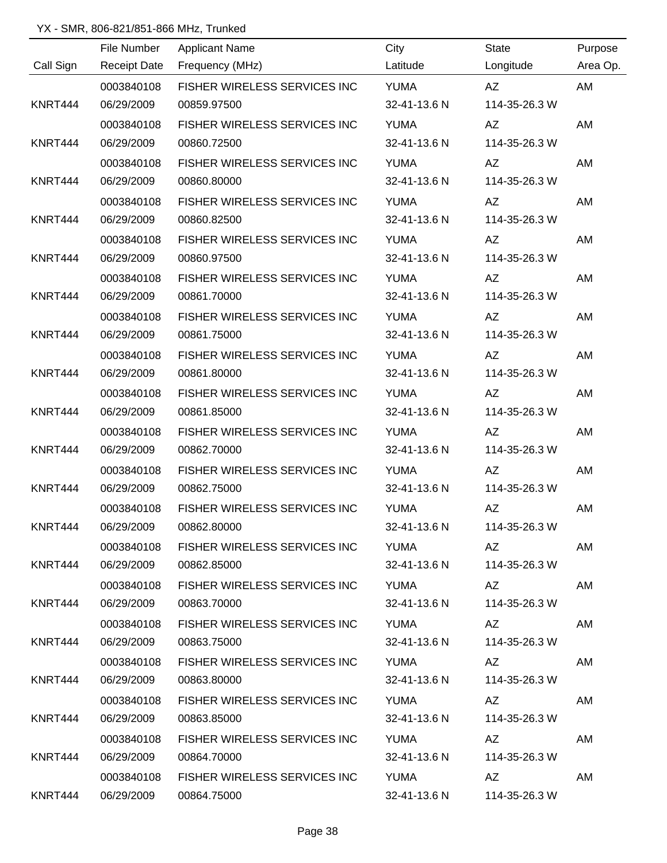|           | File Number         | <b>Applicant Name</b>             | City         | <b>State</b>                                                                                                                                                                                                                   | Purpose  |
|-----------|---------------------|-----------------------------------|--------------|--------------------------------------------------------------------------------------------------------------------------------------------------------------------------------------------------------------------------------|----------|
| Call Sign | <b>Receipt Date</b> | Frequency (MHz)                   | Latitude     | Longitude                                                                                                                                                                                                                      | Area Op. |
|           | 0003840108          | FISHER WIRELESS SERVICES INC      | <b>YUMA</b>  | AZ                                                                                                                                                                                                                             | AM       |
| KNRT444   | 06/29/2009          | 00859.97500                       | 32-41-13.6 N | 114-35-26.3 W                                                                                                                                                                                                                  |          |
|           | 0003840108          | FISHER WIRELESS SERVICES INC      | <b>YUMA</b>  | AZ                                                                                                                                                                                                                             | AM       |
| KNRT444   | 06/29/2009          | 00860.72500                       | 32-41-13.6 N | 114-35-26.3 W                                                                                                                                                                                                                  |          |
|           | 0003840108          | FISHER WIRELESS SERVICES INC      | <b>YUMA</b>  | AZ                                                                                                                                                                                                                             | AM       |
| KNRT444   | 06/29/2009          | 00860.80000                       | 32-41-13.6 N | 114-35-26.3 W                                                                                                                                                                                                                  |          |
|           | 0003840108          | FISHER WIRELESS SERVICES INC      | <b>YUMA</b>  | AZ                                                                                                                                                                                                                             | AM       |
| KNRT444   | 06/29/2009          | 00860.82500                       | 32-41-13.6 N | 114-35-26.3 W                                                                                                                                                                                                                  |          |
|           | 0003840108          | FISHER WIRELESS SERVICES INC      | <b>YUMA</b>  | AZ                                                                                                                                                                                                                             | AM       |
| KNRT444   | 06/29/2009          | 00860.97500                       | 32-41-13.6 N | 114-35-26.3 W                                                                                                                                                                                                                  |          |
|           | 0003840108          | FISHER WIRELESS SERVICES INC      | <b>YUMA</b>  | AZ                                                                                                                                                                                                                             | AM       |
| KNRT444   | 06/29/2009          | 00861.70000                       | 32-41-13.6 N | 114-35-26.3 W                                                                                                                                                                                                                  |          |
|           | 0003840108          | FISHER WIRELESS SERVICES INC      | <b>YUMA</b>  | AZ                                                                                                                                                                                                                             | AM       |
| KNRT444   | 06/29/2009          | 00861.75000                       | 32-41-13.6 N | 114-35-26.3 W                                                                                                                                                                                                                  |          |
|           | 0003840108          | FISHER WIRELESS SERVICES INC      | <b>YUMA</b>  | AZ                                                                                                                                                                                                                             | AM       |
| KNRT444   | 06/29/2009          | 00861.80000                       | 32-41-13.6 N | 114-35-26.3 W                                                                                                                                                                                                                  |          |
|           | 0003840108          | FISHER WIRELESS SERVICES INC      | <b>YUMA</b>  | AZ                                                                                                                                                                                                                             | AM       |
| KNRT444   | 06/29/2009          | 00861.85000                       | 32-41-13.6 N | 114-35-26.3 W                                                                                                                                                                                                                  |          |
|           | 0003840108          | FISHER WIRELESS SERVICES INC      | <b>YUMA</b>  | AZ                                                                                                                                                                                                                             | AM       |
| KNRT444   | 06/29/2009          | 00862.70000                       | 32-41-13.6 N | 114-35-26.3 W                                                                                                                                                                                                                  |          |
|           | 0003840108          | FISHER WIRELESS SERVICES INC      | <b>YUMA</b>  | AZ                                                                                                                                                                                                                             | AM       |
| KNRT444   | 06/29/2009          | 00862.75000                       | 32-41-13.6 N | 114-35-26.3 W                                                                                                                                                                                                                  |          |
|           | 0003840108          | FISHER WIRELESS SERVICES INC      | <b>YUMA</b>  | AZ                                                                                                                                                                                                                             | AM       |
| KNRT444   | 06/29/2009          | 00862.80000                       | 32-41-13.6 N | 114-35-26.3 W                                                                                                                                                                                                                  |          |
|           | 0003840108          | FISHER WIRELESS SERVICES INC YUMA |              | AZ and the set of the set of the set of the set of the set of the set of the set of the set of the set of the set of the set of the set of the set of the set of the set of the set of the set of the set of the set of the se | AM       |
| KNRT444   | 06/29/2009          | 00862.85000                       | 32-41-13.6 N | 114-35-26.3 W                                                                                                                                                                                                                  |          |
|           | 0003840108          | FISHER WIRELESS SERVICES INC YUMA |              |                                                                                                                                                                                                                                | AM       |
| KNRT444   | 06/29/2009          | 00863.70000                       | 32-41-13.6 N | 114-35-26.3 W                                                                                                                                                                                                                  |          |
|           | 0003840108          | FISHER WIRELESS SERVICES INC YUMA |              | AZ                                                                                                                                                                                                                             | AM       |
| KNRT444   | 06/29/2009          | 00863.75000                       | 32-41-13.6 N | 114-35-26.3 W                                                                                                                                                                                                                  |          |
|           | 0003840108          | FISHER WIRELESS SERVICES INC YUMA |              | AZ                                                                                                                                                                                                                             | AM       |
| KNRT444   | 06/29/2009          | 00863.80000                       | 32-41-13.6 N | 114-35-26.3 W                                                                                                                                                                                                                  |          |
|           | 0003840108          | FISHER WIRELESS SERVICES INC      | YUMA         | AZ                                                                                                                                                                                                                             | AM       |
| KNRT444   | 06/29/2009          | 00863.85000                       | 32-41-13.6 N | 114-35-26.3 W                                                                                                                                                                                                                  |          |
|           | 0003840108          | FISHER WIRELESS SERVICES INC      | YUMA         | AZ                                                                                                                                                                                                                             | AM       |
| KNRT444   | 06/29/2009          | 00864.70000                       | 32-41-13.6 N | 114-35-26.3 W                                                                                                                                                                                                                  |          |
|           | 0003840108          | FISHER WIRELESS SERVICES INC      | YUMA         | AZ and the set of the set of the set of the set of the set of the set of the set of the set of the set of the set of the set of the set of the set of the set of the set of the set of the set of the set of the set of the se | AM       |
| KNRT444   | 06/29/2009          | 00864.75000                       | 32-41-13.6 N | 114-35-26.3 W                                                                                                                                                                                                                  |          |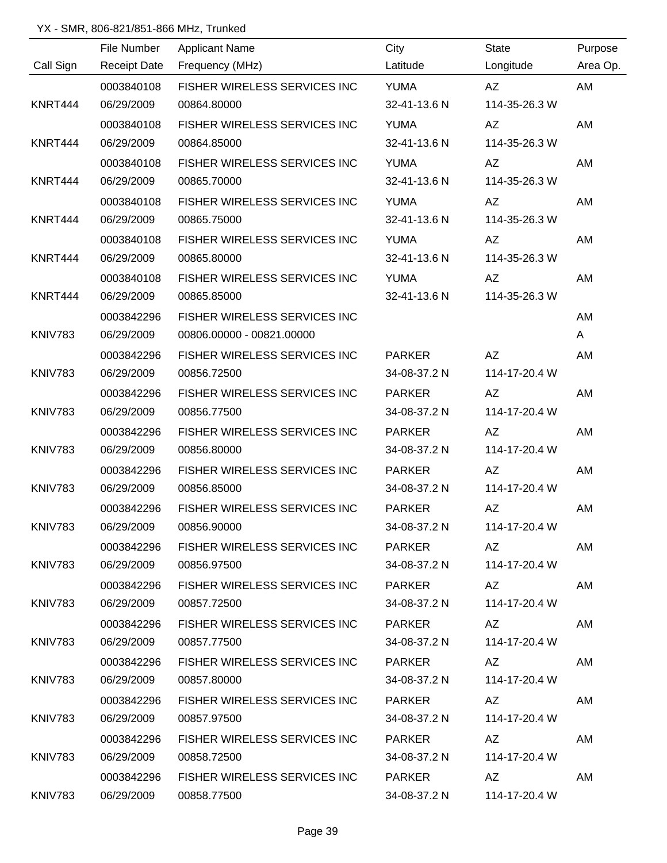|                | File Number         | <b>Applicant Name</b>               | City          | <b>State</b>  | Purpose  |
|----------------|---------------------|-------------------------------------|---------------|---------------|----------|
| Call Sign      | <b>Receipt Date</b> | Frequency (MHz)                     | Latitude      | Longitude     | Area Op. |
|                | 0003840108          | FISHER WIRELESS SERVICES INC        | <b>YUMA</b>   | AZ            | AM       |
| KNRT444        | 06/29/2009          | 00864.80000                         | 32-41-13.6 N  | 114-35-26.3 W |          |
|                | 0003840108          | FISHER WIRELESS SERVICES INC        | <b>YUMA</b>   | AZ            | AM       |
| KNRT444        | 06/29/2009          | 00864.85000                         | 32-41-13.6 N  | 114-35-26.3 W |          |
|                | 0003840108          | FISHER WIRELESS SERVICES INC        | <b>YUMA</b>   | AZ            | AM       |
| KNRT444        | 06/29/2009          | 00865.70000                         | 32-41-13.6 N  | 114-35-26.3 W |          |
|                | 0003840108          | FISHER WIRELESS SERVICES INC        | <b>YUMA</b>   | AZ            | AM       |
| KNRT444        | 06/29/2009          | 00865.75000                         | 32-41-13.6 N  | 114-35-26.3 W |          |
|                | 0003840108          | FISHER WIRELESS SERVICES INC        | <b>YUMA</b>   | AZ            | AM       |
| KNRT444        | 06/29/2009          | 00865.80000                         | 32-41-13.6 N  | 114-35-26.3 W |          |
|                | 0003840108          | FISHER WIRELESS SERVICES INC        | <b>YUMA</b>   | AZ            | AM       |
| KNRT444        | 06/29/2009          | 00865.85000                         | 32-41-13.6 N  | 114-35-26.3 W |          |
|                | 0003842296          | FISHER WIRELESS SERVICES INC        |               |               | AM       |
| <b>KNIV783</b> | 06/29/2009          | 00806.00000 - 00821.00000           |               |               | A        |
|                | 0003842296          | FISHER WIRELESS SERVICES INC        | <b>PARKER</b> | AZ            | AM       |
| <b>KNIV783</b> | 06/29/2009          | 00856.72500                         | 34-08-37.2 N  | 114-17-20.4 W |          |
|                | 0003842296          | FISHER WIRELESS SERVICES INC        | <b>PARKER</b> | AZ            | AM       |
| <b>KNIV783</b> | 06/29/2009          | 00856.77500                         | 34-08-37.2 N  | 114-17-20.4 W |          |
|                | 0003842296          | FISHER WIRELESS SERVICES INC        | <b>PARKER</b> | AZ            | AM       |
| KNIV783        | 06/29/2009          | 00856.80000                         | 34-08-37.2 N  | 114-17-20.4 W |          |
|                | 0003842296          | FISHER WIRELESS SERVICES INC        | <b>PARKER</b> | AZ            | AM       |
| <b>KNIV783</b> | 06/29/2009          | 00856.85000                         | 34-08-37.2 N  | 114-17-20.4 W |          |
|                | 0003842296          | FISHER WIRELESS SERVICES INC        | <b>PARKER</b> | AZ            | AM       |
| KNIV783        | 06/29/2009          | 00856.90000                         | 34-08-37.2 N  | 114-17-20.4 W |          |
|                | 0003842296          | FISHER WIRELESS SERVICES INC PARKER |               | AZ            | AM       |
| KNIV783        | 06/29/2009          | 00856.97500                         | 34-08-37.2 N  | 114-17-20.4 W |          |
|                | 0003842296          | FISHER WIRELESS SERVICES INC PARKER |               |               | AM       |
| KNIV783        | 06/29/2009          | 00857.72500                         | 34-08-37.2 N  | 114-17-20.4 W |          |
|                | 0003842296          | FISHER WIRELESS SERVICES INC        | PARKER        | AZ.           | AM       |
| <b>KNIV783</b> | 06/29/2009          | 00857.77500                         | 34-08-37.2 N  | 114-17-20.4 W |          |
|                | 0003842296          | FISHER WIRELESS SERVICES INC        | PARKER        | AZ            | AM       |
| KNIV783        | 06/29/2009          | 00857.80000                         | 34-08-37.2 N  | 114-17-20.4 W |          |
|                | 0003842296          | FISHER WIRELESS SERVICES INC        | PARKER        | AZ            | AM       |
| KNIV783        | 06/29/2009          | 00857.97500                         | 34-08-37.2 N  | 114-17-20.4 W |          |
|                | 0003842296          | FISHER WIRELESS SERVICES INC        | PARKER        | AZ            | AM       |
| KNIV783        | 06/29/2009          | 00858.72500                         | 34-08-37.2 N  | 114-17-20.4 W |          |
|                | 0003842296          | FISHER WIRELESS SERVICES INC        | PARKER        | AZ            | AM       |
| KNIV783        | 06/29/2009          | 00858.77500                         | 34-08-37.2 N  | 114-17-20.4 W |          |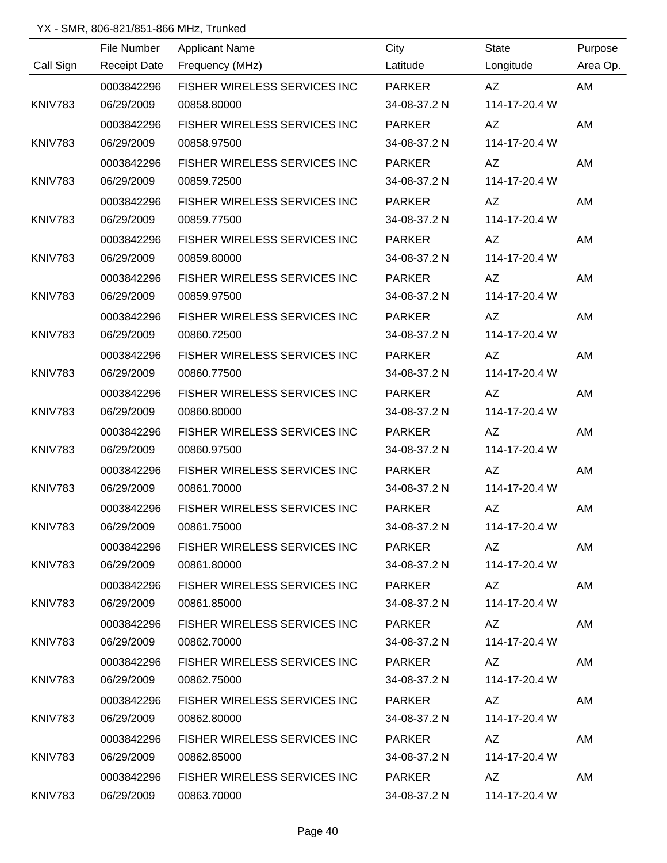|                | File Number         | <b>Applicant Name</b>               | City          | <b>State</b>  | Purpose  |
|----------------|---------------------|-------------------------------------|---------------|---------------|----------|
| Call Sign      | <b>Receipt Date</b> | Frequency (MHz)                     | Latitude      | Longitude     | Area Op. |
|                | 0003842296          | FISHER WIRELESS SERVICES INC        | <b>PARKER</b> | AZ            | AM       |
| <b>KNIV783</b> | 06/29/2009          | 00858.80000                         | 34-08-37.2 N  | 114-17-20.4 W |          |
|                | 0003842296          | FISHER WIRELESS SERVICES INC        | <b>PARKER</b> | AZ            | AM       |
| <b>KNIV783</b> | 06/29/2009          | 00858.97500                         | 34-08-37.2 N  | 114-17-20.4 W |          |
|                | 0003842296          | FISHER WIRELESS SERVICES INC        | <b>PARKER</b> | AZ            | AM       |
| <b>KNIV783</b> | 06/29/2009          | 00859.72500                         | 34-08-37.2 N  | 114-17-20.4 W |          |
|                | 0003842296          | FISHER WIRELESS SERVICES INC        | <b>PARKER</b> | AZ            | AM       |
| <b>KNIV783</b> | 06/29/2009          | 00859.77500                         | 34-08-37.2 N  | 114-17-20.4 W |          |
|                | 0003842296          | FISHER WIRELESS SERVICES INC        | <b>PARKER</b> | AZ            | AM       |
| <b>KNIV783</b> | 06/29/2009          | 00859.80000                         | 34-08-37.2 N  | 114-17-20.4 W |          |
|                | 0003842296          | FISHER WIRELESS SERVICES INC        | <b>PARKER</b> | AZ            | AM       |
| <b>KNIV783</b> | 06/29/2009          | 00859.97500                         | 34-08-37.2 N  | 114-17-20.4 W |          |
|                | 0003842296          | FISHER WIRELESS SERVICES INC        | <b>PARKER</b> | AZ            | AM       |
| <b>KNIV783</b> | 06/29/2009          | 00860.72500                         | 34-08-37.2 N  | 114-17-20.4 W |          |
|                | 0003842296          | FISHER WIRELESS SERVICES INC        | <b>PARKER</b> | <b>AZ</b>     | AM       |
| <b>KNIV783</b> | 06/29/2009          | 00860.77500                         | 34-08-37.2 N  | 114-17-20.4 W |          |
|                | 0003842296          | FISHER WIRELESS SERVICES INC        | <b>PARKER</b> | <b>AZ</b>     | AM       |
| <b>KNIV783</b> | 06/29/2009          | 00860.80000                         | 34-08-37.2 N  | 114-17-20.4 W |          |
|                | 0003842296          | FISHER WIRELESS SERVICES INC        | <b>PARKER</b> | <b>AZ</b>     | AM       |
| <b>KNIV783</b> | 06/29/2009          | 00860.97500                         | 34-08-37.2 N  | 114-17-20.4 W |          |
|                | 0003842296          | FISHER WIRELESS SERVICES INC        | <b>PARKER</b> | <b>AZ</b>     | AM       |
| <b>KNIV783</b> | 06/29/2009          | 00861.70000                         | 34-08-37.2 N  | 114-17-20.4 W |          |
|                | 0003842296          | FISHER WIRELESS SERVICES INC        | <b>PARKER</b> | <b>AZ</b>     | AM       |
| KNIV783        | 06/29/2009          | 00861.75000                         | 34-08-37.2 N  | 114-17-20.4 W |          |
|                | 0003842296          | FISHER WIRELESS SERVICES INC PARKER |               | AZ            | AM       |
| KNIV783        | 06/29/2009          | 00861.80000                         | 34-08-37.2 N  | 114-17-20.4 W |          |
|                | 0003842296          | FISHER WIRELESS SERVICES INC PARKER |               | AZ            | AM       |
| KNIV783        | 06/29/2009          | 00861.85000                         | 34-08-37.2 N  | 114-17-20.4 W |          |
|                | 0003842296          | FISHER WIRELESS SERVICES INC PARKER |               | AZ.           | AM       |
| KNIV783        | 06/29/2009          | 00862.70000                         | 34-08-37.2 N  | 114-17-20.4 W |          |
|                | 0003842296          | FISHER WIRELESS SERVICES INC PARKER |               | AZ.           | AM       |
| KNIV783        | 06/29/2009          | 00862.75000                         | 34-08-37.2 N  | 114-17-20.4 W |          |
|                | 0003842296          | FISHER WIRELESS SERVICES INC PARKER |               | AZ            | AM       |
| KNIV783        | 06/29/2009          | 00862.80000                         | 34-08-37.2 N  | 114-17-20.4 W |          |
|                | 0003842296          | FISHER WIRELESS SERVICES INC PARKER |               | AZ.           | AM       |
| KNIV783        | 06/29/2009          | 00862.85000                         | 34-08-37.2 N  | 114-17-20.4 W |          |
|                | 0003842296          | FISHER WIRELESS SERVICES INC PARKER |               | AZ.           | AM       |
| KNIV783        | 06/29/2009          | 00863.70000                         | 34-08-37.2 N  | 114-17-20.4 W |          |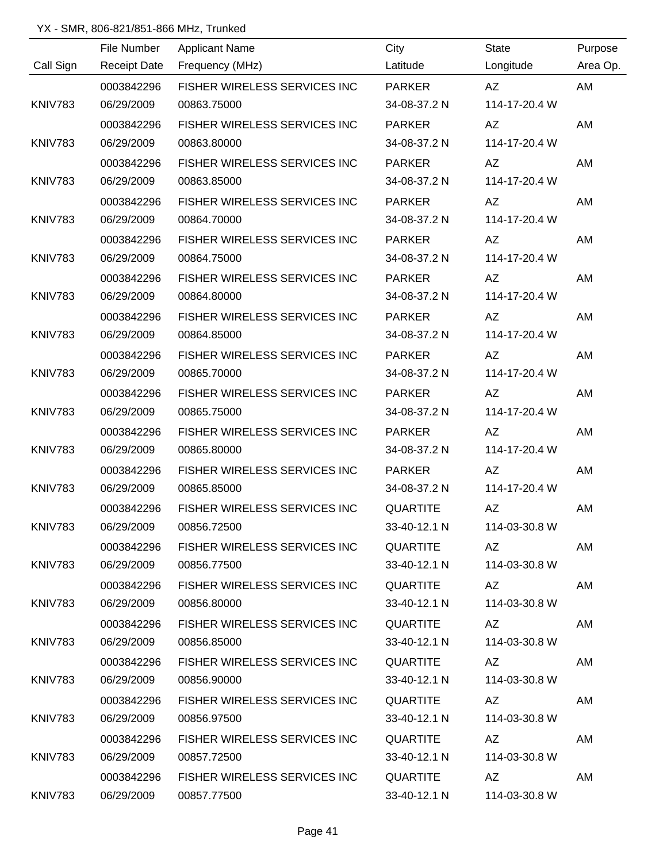|                | File Number         | <b>Applicant Name</b>                 | City            | State                                                                                                                                                                                                                          | Purpose  |
|----------------|---------------------|---------------------------------------|-----------------|--------------------------------------------------------------------------------------------------------------------------------------------------------------------------------------------------------------------------------|----------|
| Call Sign      | <b>Receipt Date</b> | Frequency (MHz)                       | Latitude        | Longitude                                                                                                                                                                                                                      | Area Op. |
|                | 0003842296          | FISHER WIRELESS SERVICES INC          | <b>PARKER</b>   | AZ                                                                                                                                                                                                                             | AM       |
| <b>KNIV783</b> | 06/29/2009          | 00863.75000                           | 34-08-37.2 N    | 114-17-20.4 W                                                                                                                                                                                                                  |          |
|                | 0003842296          | FISHER WIRELESS SERVICES INC          | <b>PARKER</b>   | AZ                                                                                                                                                                                                                             | AM       |
| <b>KNIV783</b> | 06/29/2009          | 00863.80000                           | 34-08-37.2 N    | 114-17-20.4 W                                                                                                                                                                                                                  |          |
|                | 0003842296          | FISHER WIRELESS SERVICES INC          | <b>PARKER</b>   | AZ                                                                                                                                                                                                                             | AM       |
| KNIV783        | 06/29/2009          | 00863.85000                           | 34-08-37.2 N    | 114-17-20.4 W                                                                                                                                                                                                                  |          |
|                | 0003842296          | FISHER WIRELESS SERVICES INC          | <b>PARKER</b>   | AZ                                                                                                                                                                                                                             | AM       |
| <b>KNIV783</b> | 06/29/2009          | 00864.70000                           | 34-08-37.2 N    | 114-17-20.4 W                                                                                                                                                                                                                  |          |
|                | 0003842296          | FISHER WIRELESS SERVICES INC          | <b>PARKER</b>   | AZ                                                                                                                                                                                                                             | AM       |
| <b>KNIV783</b> | 06/29/2009          | 00864.75000                           | 34-08-37.2 N    | 114-17-20.4 W                                                                                                                                                                                                                  |          |
|                | 0003842296          | <b>FISHER WIRELESS SERVICES INC.</b>  | <b>PARKER</b>   | AZ                                                                                                                                                                                                                             | AM       |
| KNIV783        | 06/29/2009          | 00864.80000                           | 34-08-37.2 N    | 114-17-20.4 W                                                                                                                                                                                                                  |          |
|                | 0003842296          | FISHER WIRELESS SERVICES INC          | <b>PARKER</b>   | AZ                                                                                                                                                                                                                             | AM       |
| <b>KNIV783</b> | 06/29/2009          | 00864.85000                           | 34-08-37.2 N    | 114-17-20.4 W                                                                                                                                                                                                                  |          |
|                | 0003842296          | FISHER WIRELESS SERVICES INC          | <b>PARKER</b>   | AZ                                                                                                                                                                                                                             | AM       |
| KNIV783        | 06/29/2009          | 00865.70000                           | 34-08-37.2 N    | 114-17-20.4 W                                                                                                                                                                                                                  |          |
|                | 0003842296          | FISHER WIRELESS SERVICES INC          | <b>PARKER</b>   | AZ                                                                                                                                                                                                                             | AM       |
| <b>KNIV783</b> | 06/29/2009          | 00865.75000                           | 34-08-37.2 N    | 114-17-20.4 W                                                                                                                                                                                                                  |          |
|                | 0003842296          | FISHER WIRELESS SERVICES INC          | <b>PARKER</b>   | AZ                                                                                                                                                                                                                             | AM       |
| KNIV783        | 06/29/2009          | 00865.80000                           | 34-08-37.2 N    | 114-17-20.4 W                                                                                                                                                                                                                  |          |
|                | 0003842296          | FISHER WIRELESS SERVICES INC          | <b>PARKER</b>   | AZ                                                                                                                                                                                                                             | AM       |
| KNIV783        | 06/29/2009          | 00865.85000                           | 34-08-37.2 N    | 114-17-20.4 W                                                                                                                                                                                                                  |          |
|                | 0003842296          | FISHER WIRELESS SERVICES INC          | <b>QUARTITE</b> | AZ                                                                                                                                                                                                                             | AM       |
| KNIV783        | 06/29/2009          | 00856.72500                           | 33-40-12.1 N    | 114-03-30.8 W                                                                                                                                                                                                                  |          |
|                | 0003842296          | FISHER WIRELESS SERVICES INC QUARTITE |                 | AZ                                                                                                                                                                                                                             | AM       |
| KNIV783        | 06/29/2009          | 00856.77500                           | 33-40-12.1 N    | 114-03-30.8 W                                                                                                                                                                                                                  |          |
|                | 0003842296          | FISHER WIRELESS SERVICES INC          | QUARTITE        |                                                                                                                                                                                                                                | AM       |
| KNIV783        | 06/29/2009          | 00856.80000                           | 33-40-12.1 N    | 114-03-30.8 W                                                                                                                                                                                                                  |          |
|                | 0003842296          | FISHER WIRELESS SERVICES INC          | QUARTITE        |                                                                                                                                                                                                                                | AM       |
| KNIV783        | 06/29/2009          | 00856.85000                           | 33-40-12.1 N    | 114-03-30.8 W                                                                                                                                                                                                                  |          |
|                | 0003842296          | FISHER WIRELESS SERVICES INC          | QUARTITE        | AZ                                                                                                                                                                                                                             | AM       |
| KNIV783        | 06/29/2009          | 00856.90000                           | 33-40-12.1 N    | 114-03-30.8 W                                                                                                                                                                                                                  |          |
|                | 0003842296          | FISHER WIRELESS SERVICES INC          | QUARTITE        | AZ and the set of the set of the set of the set of the set of the set of the set of the set of the set of the set of the set of the set of the set of the set of the set of the set of the set of the set of the set of the se | AM       |
| KNIV783        | 06/29/2009          | 00856.97500                           | 33-40-12.1 N    | 114-03-30.8 W                                                                                                                                                                                                                  |          |
|                | 0003842296          | FISHER WIRELESS SERVICES INC          | QUARTITE        | AZ                                                                                                                                                                                                                             | AM       |
| KNIV783        | 06/29/2009          | 00857.72500                           | 33-40-12.1 N    | 114-03-30.8 W                                                                                                                                                                                                                  |          |
|                | 0003842296          | FISHER WIRELESS SERVICES INC          | QUARTITE        | AZ <b>National</b>                                                                                                                                                                                                             | AM       |
| KNIV783        | 06/29/2009          | 00857.77500                           |                 | 33-40-12.1 N 114-03-30.8 W                                                                                                                                                                                                     |          |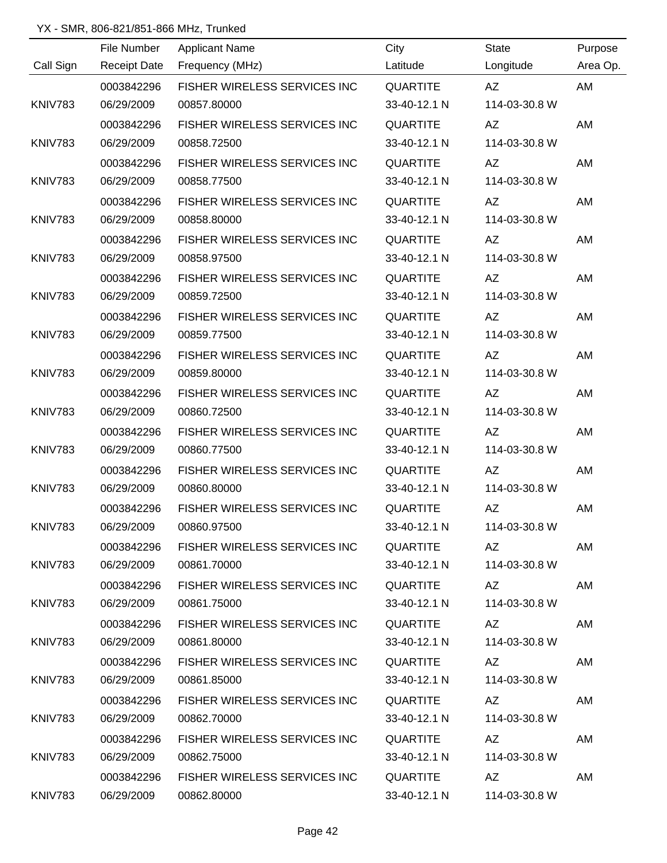|                |             | the control of the control of the control of the control of |                 |               |          |
|----------------|-------------|-------------------------------------------------------------|-----------------|---------------|----------|
|                | File Number | <b>Applicant Name</b>                                       | City            | State         | Purpose  |
| Call Sign      |             | Receipt Date Frequency (MHz)                                | Latitude        | Longitude     | Area Op. |
|                | 0003842296  | FISHER WIRELESS SERVICES INC                                | QUARTITE        | AZ            | AM       |
| <b>KNIV783</b> | 06/29/2009  | 00857.80000                                                 | 33-40-12.1 N    | 114-03-30.8 W |          |
|                | 0003842296  | FISHER WIRELESS SERVICES INC                                | <b>QUARTITE</b> | AZ            | AM       |
| KNIV783        | 06/29/2009  | 00858.72500                                                 | 33-40-12.1 N    | 114-03-30.8 W |          |
|                | 0003842296  | FISHER WIRELESS SERVICES INC                                | QUARTITE        | AZ            | AM       |
| KNIV783        | 06/29/2009  | 00858.77500                                                 | 33-40-12.1 N    | 114-03-30.8 W |          |
|                | 0003842296  | FISHER WIRELESS SERVICES INC                                | <b>QUARTITE</b> | AZ            | AM       |
| <b>KNIV783</b> | 06/29/2009  | 00858.80000                                                 | 33-40-12.1 N    | 114-03-30.8 W |          |
|                | 0003842296  | FISHER WIRELESS SERVICES INC                                | QUARTITE        | AZ            | AM       |
| <b>KNIV783</b> | 06/29/2009  | 00858.97500                                                 | 33-40-12.1 N    | 114-03-30.8 W |          |
|                | 0003842296  | FISHER WIRELESS SERVICES INC                                | QUARTITE        | AZ            | AM       |
| KNIV783        | 06/29/2009  | 00859.72500                                                 | 33-40-12.1 N    | 114-03-30.8 W |          |
|                | 0003842296  | FISHER WIRELESS SERVICES INC                                | <b>QUARTITE</b> | AZ            | AM       |
| <b>KNIV783</b> | 06/29/2009  | 00859.77500                                                 | 33-40-12.1 N    | 114-03-30.8 W |          |
|                | 0003842296  | FISHER WIRELESS SERVICES INC                                | <b>QUARTITE</b> | AZ            | AM       |
| <b>KNIV783</b> | 06/29/2009  | 00859.80000                                                 | 33-40-12.1 N    | 114-03-30.8 W |          |
|                | 0003842296  | FISHER WIRELESS SERVICES INC                                | QUARTITE        | AZ            | AM       |
| <b>KNIV783</b> | 06/29/2009  | 00860.72500                                                 | 33-40-12.1 N    | 114-03-30.8 W |          |
|                | 0003842296  | FISHER WIRELESS SERVICES INC                                | QUARTITE        | AZ            | AM       |
| KNIV783        | 06/29/2009  | 00860.77500                                                 | 33-40-12.1 N    | 114-03-30.8 W |          |
|                | 0003842296  | FISHER WIRELESS SERVICES INC                                | QUARTITE        | AZ            | AM       |
| KNIV783        | 06/29/2009  | 00860.80000                                                 | 33-40-12.1 N    | 114-03-30.8 W |          |
|                | 0003842296  | FISHER WIRELESS SERVICES INC                                | <b>QUARTITE</b> | AZ            | AM       |
| KNIV783        | 06/29/2009  | 00860.97500                                                 | 33-40-12.1 N    | 114-03-30.8 W |          |
|                | 0003842296  | FISHER WIRELESS SERVICES INC QUARTITE                       |                 | AZ            | AM       |
| KNIV783        | 06/29/2009  | 00861.70000                                                 | 33-40-12.1 N    | 114-03-30.8 W |          |
|                | 0003842296  | FISHER WIRELESS SERVICES INC QUARTITE                       |                 | AZ            | AM       |
| KNIV783        | 06/29/2009  | 00861.75000                                                 | 33-40-12.1 N    | 114-03-30.8 W |          |
|                | 0003842296  | FISHER WIRELESS SERVICES INC                                | QUARTITE        | AZ            | AM       |
| KNIV783        | 06/29/2009  | 00861.80000                                                 | 33-40-12.1 N    | 114-03-30.8 W |          |
|                | 0003842296  | FISHER WIRELESS SERVICES INC                                | QUARTITE        | AZ            | AM       |
| KNIV783        | 06/29/2009  | 00861.85000                                                 | 33-40-12.1 N    | 114-03-30.8 W |          |
|                | 0003842296  | FISHER WIRELESS SERVICES INC                                | QUARTITE        | AZ            | AM       |
| KNIV783        | 06/29/2009  | 00862.70000                                                 | 33-40-12.1 N    | 114-03-30.8 W |          |
|                | 0003842296  | FISHER WIRELESS SERVICES INC                                | QUARTITE        | AZ            | AM       |
| KNIV783        | 06/29/2009  | 00862.75000                                                 | 33-40-12.1 N    | 114-03-30.8 W |          |
|                | 0003842296  | FISHER WIRELESS SERVICES INC                                | QUARTITE        | AZ            | AM       |
| KNIV783        | 06/29/2009  | 00862.80000                                                 | 33-40-12.1 N    | 114-03-30.8 W |          |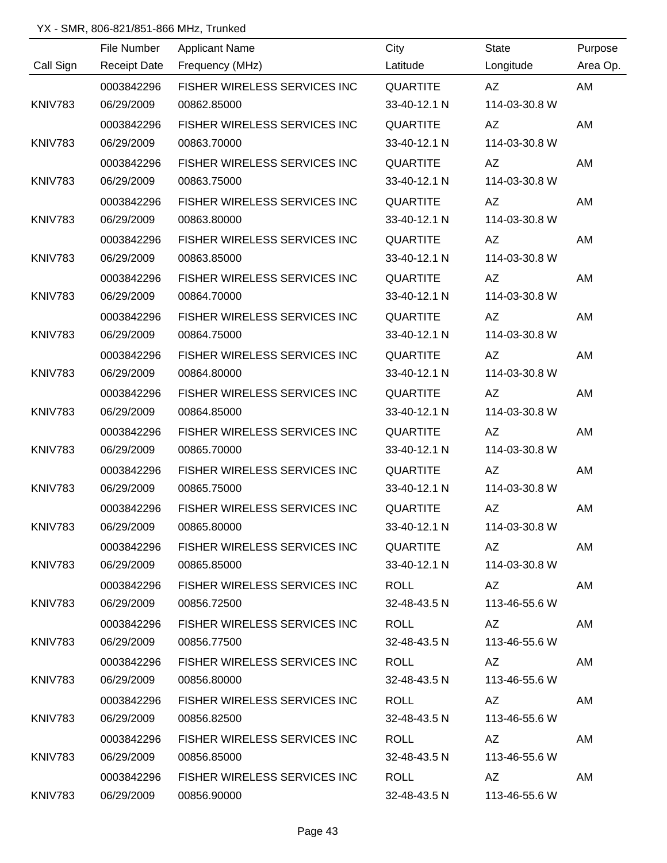|                | File Number         | <b>Applicant Name</b>                 | City            | <b>State</b>  | Purpose  |
|----------------|---------------------|---------------------------------------|-----------------|---------------|----------|
| Call Sign      | <b>Receipt Date</b> | Frequency (MHz)                       | Latitude        | Longitude     | Area Op. |
|                | 0003842296          | FISHER WIRELESS SERVICES INC          | <b>QUARTITE</b> | AZ            | AM       |
| KNIV783        | 06/29/2009          | 00862.85000                           | 33-40-12.1 N    | 114-03-30.8 W |          |
|                | 0003842296          | FISHER WIRELESS SERVICES INC          | <b>QUARTITE</b> | AZ            | AM       |
| <b>KNIV783</b> | 06/29/2009          | 00863.70000                           | 33-40-12.1 N    | 114-03-30.8 W |          |
|                | 0003842296          | FISHER WIRELESS SERVICES INC          | <b>QUARTITE</b> | AZ            | AM       |
| <b>KNIV783</b> | 06/29/2009          | 00863.75000                           | 33-40-12.1 N    | 114-03-30.8 W |          |
|                | 0003842296          | FISHER WIRELESS SERVICES INC          | <b>QUARTITE</b> | AZ            | AM       |
| <b>KNIV783</b> | 06/29/2009          | 00863.80000                           | 33-40-12.1 N    | 114-03-30.8 W |          |
|                | 0003842296          | FISHER WIRELESS SERVICES INC          | <b>QUARTITE</b> | AZ            | AM       |
| <b>KNIV783</b> | 06/29/2009          | 00863.85000                           | 33-40-12.1 N    | 114-03-30.8 W |          |
|                | 0003842296          | FISHER WIRELESS SERVICES INC          | <b>QUARTITE</b> | AZ            | AM       |
| <b>KNIV783</b> | 06/29/2009          | 00864.70000                           | 33-40-12.1 N    | 114-03-30.8 W |          |
|                | 0003842296          | FISHER WIRELESS SERVICES INC          | <b>QUARTITE</b> | AZ            | AM       |
| <b>KNIV783</b> | 06/29/2009          | 00864.75000                           | 33-40-12.1 N    | 114-03-30.8 W |          |
|                | 0003842296          | FISHER WIRELESS SERVICES INC          | <b>QUARTITE</b> | AZ            | AM       |
| KNIV783        | 06/29/2009          | 00864.80000                           | 33-40-12.1 N    | 114-03-30.8 W |          |
|                | 0003842296          | FISHER WIRELESS SERVICES INC          | <b>QUARTITE</b> | AZ            | AM       |
| <b>KNIV783</b> | 06/29/2009          | 00864.85000                           | 33-40-12.1 N    | 114-03-30.8 W |          |
|                | 0003842296          | FISHER WIRELESS SERVICES INC          | <b>QUARTITE</b> | <b>AZ</b>     | AM       |
| <b>KNIV783</b> | 06/29/2009          | 00865.70000                           | 33-40-12.1 N    | 114-03-30.8 W |          |
|                | 0003842296          | FISHER WIRELESS SERVICES INC          | <b>QUARTITE</b> | <b>AZ</b>     | AM       |
| <b>KNIV783</b> | 06/29/2009          | 00865.75000                           | 33-40-12.1 N    | 114-03-30.8 W |          |
|                | 0003842296          | FISHER WIRELESS SERVICES INC          | QUARTITE        | AZ            | AM       |
| KNIV783        | 06/29/2009          | 00865.80000                           | 33-40-12.1 N    | 114-03-30.8 W |          |
|                | 0003842296          | FISHER WIRELESS SERVICES INC QUARTITE |                 | AZ —          | AM       |
| KNIV783        | 06/29/2009          | 00865.85000                           | 33-40-12.1 N    | 114-03-30.8 W |          |
|                | 0003842296          | FISHER WIRELESS SERVICES INC          | ROLL            | AZ            | AM       |
| <b>KNIV783</b> | 06/29/2009          | 00856.72500                           | 32-48-43.5 N    | 113-46-55.6 W |          |
|                | 0003842296          | FISHER WIRELESS SERVICES INC          | ROLL            | AZ.           | AM       |
| KNIV783        | 06/29/2009          | 00856.77500                           | 32-48-43.5 N    | 113-46-55.6 W |          |
|                | 0003842296          | FISHER WIRELESS SERVICES INC          | ROLL            | AZ            | AM       |
| KNIV783        | 06/29/2009          | 00856.80000                           | 32-48-43.5 N    | 113-46-55.6 W |          |
|                | 0003842296          | FISHER WIRELESS SERVICES INC          | ROLL            | AZ.           | AM       |
| KNIV783        | 06/29/2009          | 00856.82500                           | 32-48-43.5 N    | 113-46-55.6 W |          |
|                | 0003842296          | FISHER WIRELESS SERVICES INC          | ROLL            | AZ            | AM       |
| KNIV783        | 06/29/2009          | 00856.85000                           | 32-48-43.5 N    | 113-46-55.6 W |          |
|                | 0003842296          | <b>FISHER WIRELESS SERVICES INC</b>   | ROLL            | AZ.           | AM       |
| KNIV783        | 06/29/2009          | 00856.90000                           | 32-48-43.5 N    | 113-46-55.6 W |          |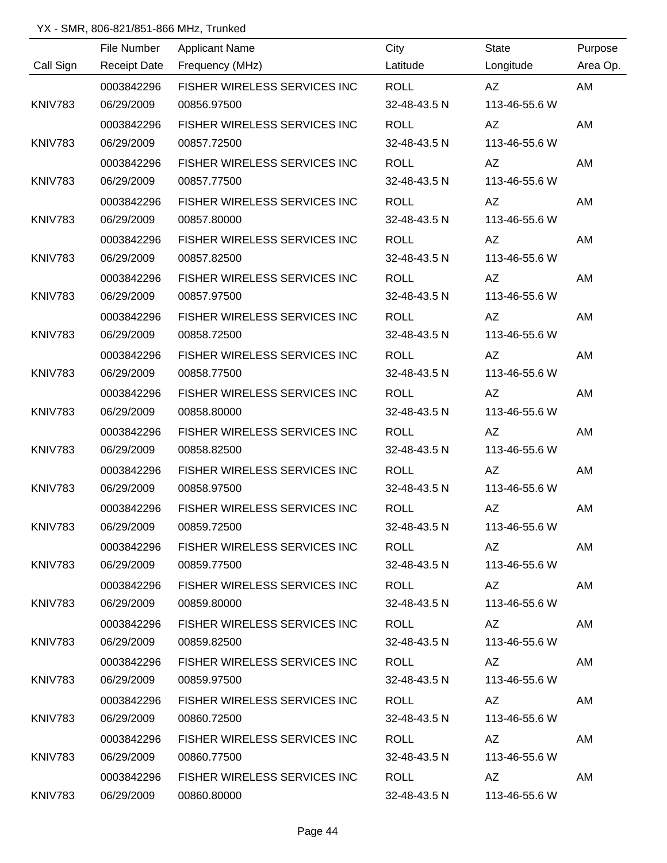|                | File Number         | <b>Applicant Name</b>               | City         | <b>State</b>                                                                                                                                                                                                                   | Purpose  |
|----------------|---------------------|-------------------------------------|--------------|--------------------------------------------------------------------------------------------------------------------------------------------------------------------------------------------------------------------------------|----------|
| Call Sign      | <b>Receipt Date</b> | Frequency (MHz)                     | Latitude     | Longitude                                                                                                                                                                                                                      | Area Op. |
|                | 0003842296          | FISHER WIRELESS SERVICES INC        | <b>ROLL</b>  | AZ                                                                                                                                                                                                                             | AM       |
| <b>KNIV783</b> | 06/29/2009          | 00856.97500                         | 32-48-43.5 N | 113-46-55.6 W                                                                                                                                                                                                                  |          |
|                | 0003842296          | FISHER WIRELESS SERVICES INC        | <b>ROLL</b>  | AZ                                                                                                                                                                                                                             | AM       |
| <b>KNIV783</b> | 06/29/2009          | 00857.72500                         | 32-48-43.5 N | 113-46-55.6 W                                                                                                                                                                                                                  |          |
|                | 0003842296          | FISHER WIRELESS SERVICES INC        | <b>ROLL</b>  | AZ                                                                                                                                                                                                                             | AM       |
| <b>KNIV783</b> | 06/29/2009          | 00857.77500                         | 32-48-43.5 N | 113-46-55.6 W                                                                                                                                                                                                                  |          |
|                | 0003842296          | FISHER WIRELESS SERVICES INC        | <b>ROLL</b>  | AZ                                                                                                                                                                                                                             | AM       |
| <b>KNIV783</b> | 06/29/2009          | 00857.80000                         | 32-48-43.5 N | 113-46-55.6 W                                                                                                                                                                                                                  |          |
|                | 0003842296          | FISHER WIRELESS SERVICES INC        | <b>ROLL</b>  | AZ                                                                                                                                                                                                                             | AM       |
| <b>KNIV783</b> | 06/29/2009          | 00857.82500                         | 32-48-43.5 N | 113-46-55.6 W                                                                                                                                                                                                                  |          |
|                | 0003842296          | FISHER WIRELESS SERVICES INC        | <b>ROLL</b>  | AZ                                                                                                                                                                                                                             | AM       |
| <b>KNIV783</b> | 06/29/2009          | 00857.97500                         | 32-48-43.5 N | 113-46-55.6 W                                                                                                                                                                                                                  |          |
|                | 0003842296          | FISHER WIRELESS SERVICES INC        | <b>ROLL</b>  | AZ                                                                                                                                                                                                                             | AM       |
| <b>KNIV783</b> | 06/29/2009          | 00858.72500                         | 32-48-43.5 N | 113-46-55.6 W                                                                                                                                                                                                                  |          |
|                | 0003842296          | FISHER WIRELESS SERVICES INC        | <b>ROLL</b>  | AZ                                                                                                                                                                                                                             | AM       |
| KNIV783        | 06/29/2009          | 00858.77500                         | 32-48-43.5 N | 113-46-55.6 W                                                                                                                                                                                                                  |          |
|                | 0003842296          | FISHER WIRELESS SERVICES INC        | <b>ROLL</b>  | <b>AZ</b>                                                                                                                                                                                                                      | AM       |
| KNIV783        | 06/29/2009          | 00858.80000                         | 32-48-43.5 N | 113-46-55.6 W                                                                                                                                                                                                                  |          |
|                | 0003842296          | FISHER WIRELESS SERVICES INC        | <b>ROLL</b>  | <b>AZ</b>                                                                                                                                                                                                                      | AM       |
| KNIV783        | 06/29/2009          | 00858.82500                         | 32-48-43.5 N | 113-46-55.6 W                                                                                                                                                                                                                  |          |
|                | 0003842296          | FISHER WIRELESS SERVICES INC        | <b>ROLL</b>  | AZ                                                                                                                                                                                                                             | AM       |
| KNIV783        | 06/29/2009          | 00858.97500                         | 32-48-43.5 N | 113-46-55.6 W                                                                                                                                                                                                                  |          |
|                | 0003842296          | FISHER WIRELESS SERVICES INC        | <b>ROLL</b>  | <b>AZ</b>                                                                                                                                                                                                                      | AM       |
| KNIV783        | 06/29/2009          | 00859.72500                         | 32-48-43.5 N | 113-46-55.6 W                                                                                                                                                                                                                  |          |
|                | 0003842296          | FISHER WIRELESS SERVICES INC        | <b>ROLL</b>  | AZ and the set of the set of the set of the set of the set of the set of the set of the set of the set of the set of the set of the set of the set of the set of the set of the set of the set of the set of the set of the se | AM       |
| KNIV783        | 06/29/2009          | 00859.77500                         | 32-48-43.5 N | 113-46-55.6 W                                                                                                                                                                                                                  |          |
|                | 0003842296          | FISHER WIRELESS SERVICES INC        | ROLL         | AZ                                                                                                                                                                                                                             | AM       |
| KNIV783        | 06/29/2009          | 00859.80000                         | 32-48-43.5 N | 113-46-55.6 W                                                                                                                                                                                                                  |          |
|                | 0003842296          | FISHER WIRELESS SERVICES INC        | <b>ROLL</b>  | AZ                                                                                                                                                                                                                             | AM       |
| KNIV783        | 06/29/2009          | 00859.82500                         | 32-48-43.5 N | 113-46-55.6 W                                                                                                                                                                                                                  |          |
|                | 0003842296          | FISHER WIRELESS SERVICES INC        | <b>ROLL</b>  | AZ DO                                                                                                                                                                                                                          | AM       |
| KNIV783        | 06/29/2009          | 00859.97500                         | 32-48-43.5 N | 113-46-55.6 W                                                                                                                                                                                                                  |          |
|                | 0003842296          | FISHER WIRELESS SERVICES INC        | <b>ROLL</b>  | AZ.                                                                                                                                                                                                                            | AM       |
| KNIV783        | 06/29/2009          | 00860.72500                         | 32-48-43.5 N | 113-46-55.6 W                                                                                                                                                                                                                  |          |
|                | 0003842296          | <b>FISHER WIRELESS SERVICES INC</b> | ROLL         | AZ.                                                                                                                                                                                                                            | AM       |
| KNIV783        | 06/29/2009          | 00860.77500                         | 32-48-43.5 N | 113-46-55.6 W                                                                                                                                                                                                                  |          |
|                | 0003842296          | <b>FISHER WIRELESS SERVICES INC</b> | ROLL         | AZ.                                                                                                                                                                                                                            | AM       |
| KNIV783        | 06/29/2009          | 00860.80000                         | 32-48-43.5 N | 113-46-55.6 W                                                                                                                                                                                                                  |          |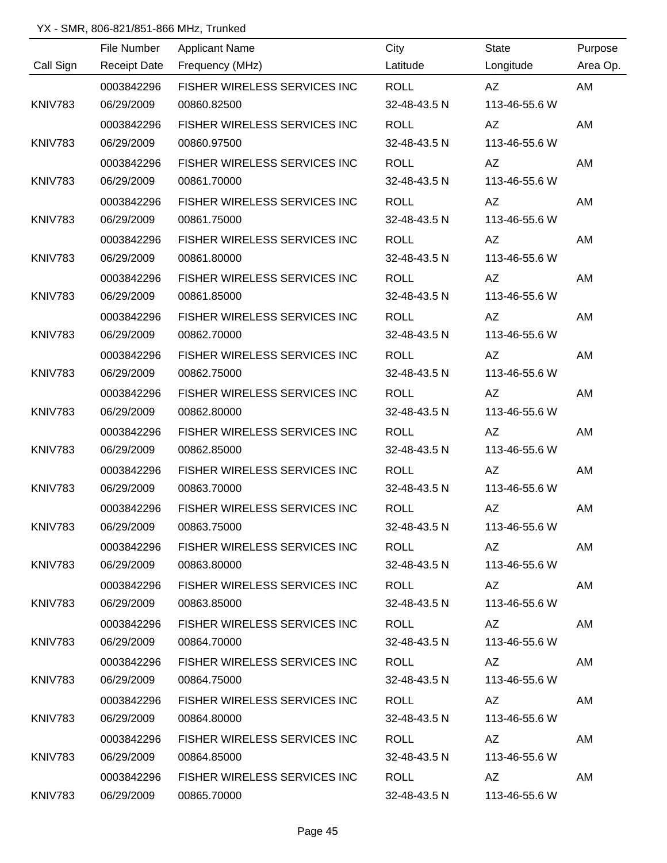|                | File Number         | <b>Applicant Name</b>               | City         | <b>State</b>                                                                                                                                                                                                                   | Purpose  |
|----------------|---------------------|-------------------------------------|--------------|--------------------------------------------------------------------------------------------------------------------------------------------------------------------------------------------------------------------------------|----------|
| Call Sign      | <b>Receipt Date</b> | Frequency (MHz)                     | Latitude     | Longitude                                                                                                                                                                                                                      | Area Op. |
|                | 0003842296          | FISHER WIRELESS SERVICES INC        | <b>ROLL</b>  | AZ                                                                                                                                                                                                                             | AM       |
| <b>KNIV783</b> | 06/29/2009          | 00860.82500                         | 32-48-43.5 N | 113-46-55.6 W                                                                                                                                                                                                                  |          |
|                | 0003842296          | FISHER WIRELESS SERVICES INC        | <b>ROLL</b>  | AZ                                                                                                                                                                                                                             | AM       |
| <b>KNIV783</b> | 06/29/2009          | 00860.97500                         | 32-48-43.5 N | 113-46-55.6 W                                                                                                                                                                                                                  |          |
|                | 0003842296          | FISHER WIRELESS SERVICES INC        | <b>ROLL</b>  | AZ                                                                                                                                                                                                                             | AM       |
| <b>KNIV783</b> | 06/29/2009          | 00861.70000                         | 32-48-43.5 N | 113-46-55.6 W                                                                                                                                                                                                                  |          |
|                | 0003842296          | FISHER WIRELESS SERVICES INC        | <b>ROLL</b>  | AZ                                                                                                                                                                                                                             | AM       |
| <b>KNIV783</b> | 06/29/2009          | 00861.75000                         | 32-48-43.5 N | 113-46-55.6 W                                                                                                                                                                                                                  |          |
|                | 0003842296          | FISHER WIRELESS SERVICES INC        | <b>ROLL</b>  | AZ                                                                                                                                                                                                                             | AM       |
| <b>KNIV783</b> | 06/29/2009          | 00861.80000                         | 32-48-43.5 N | 113-46-55.6 W                                                                                                                                                                                                                  |          |
|                | 0003842296          | FISHER WIRELESS SERVICES INC        | <b>ROLL</b>  | AZ                                                                                                                                                                                                                             | AM       |
| <b>KNIV783</b> | 06/29/2009          | 00861.85000                         | 32-48-43.5 N | 113-46-55.6 W                                                                                                                                                                                                                  |          |
|                | 0003842296          | FISHER WIRELESS SERVICES INC        | <b>ROLL</b>  | AZ                                                                                                                                                                                                                             | AM       |
| <b>KNIV783</b> | 06/29/2009          | 00862.70000                         | 32-48-43.5 N | 113-46-55.6 W                                                                                                                                                                                                                  |          |
|                | 0003842296          | FISHER WIRELESS SERVICES INC        | <b>ROLL</b>  | AZ                                                                                                                                                                                                                             | AM       |
| KNIV783        | 06/29/2009          | 00862.75000                         | 32-48-43.5 N | 113-46-55.6 W                                                                                                                                                                                                                  |          |
|                | 0003842296          | FISHER WIRELESS SERVICES INC        | <b>ROLL</b>  | <b>AZ</b>                                                                                                                                                                                                                      | AM       |
| KNIV783        | 06/29/2009          | 00862.80000                         | 32-48-43.5 N | 113-46-55.6 W                                                                                                                                                                                                                  |          |
|                | 0003842296          | FISHER WIRELESS SERVICES INC        | <b>ROLL</b>  | <b>AZ</b>                                                                                                                                                                                                                      | AM       |
| KNIV783        | 06/29/2009          | 00862.85000                         | 32-48-43.5 N | 113-46-55.6 W                                                                                                                                                                                                                  |          |
|                | 0003842296          | FISHER WIRELESS SERVICES INC        | <b>ROLL</b>  | AZ                                                                                                                                                                                                                             | AM       |
| KNIV783        | 06/29/2009          | 00863.70000                         | 32-48-43.5 N | 113-46-55.6 W                                                                                                                                                                                                                  |          |
|                | 0003842296          | FISHER WIRELESS SERVICES INC        | <b>ROLL</b>  | <b>AZ</b>                                                                                                                                                                                                                      | AM       |
| KNIV783        | 06/29/2009          | 00863.75000                         | 32-48-43.5 N | 113-46-55.6 W                                                                                                                                                                                                                  |          |
|                | 0003842296          | FISHER WIRELESS SERVICES INC        | <b>ROLL</b>  | AZ and the set of the set of the set of the set of the set of the set of the set of the set of the set of the set of the set of the set of the set of the set of the set of the set of the set of the set of the set of the se | AM       |
| KNIV783        | 06/29/2009          | 00863.80000                         | 32-48-43.5 N | 113-46-55.6 W                                                                                                                                                                                                                  |          |
|                | 0003842296          | FISHER WIRELESS SERVICES INC        | ROLL         | AZ                                                                                                                                                                                                                             | AM       |
| KNIV783        | 06/29/2009          | 00863.85000                         | 32-48-43.5 N | 113-46-55.6 W                                                                                                                                                                                                                  |          |
|                | 0003842296          | FISHER WIRELESS SERVICES INC        | <b>ROLL</b>  |                                                                                                                                                                                                                                | AM       |
| KNIV783        | 06/29/2009          | 00864.70000                         | 32-48-43.5 N | 113-46-55.6 W                                                                                                                                                                                                                  |          |
|                | 0003842296          | FISHER WIRELESS SERVICES INC        | ROLL         | AZ DO                                                                                                                                                                                                                          | AM       |
| KNIV783        | 06/29/2009          | 00864.75000                         | 32-48-43.5 N | 113-46-55.6 W                                                                                                                                                                                                                  |          |
|                | 0003842296          | FISHER WIRELESS SERVICES INC        | ROLL         | AZ.                                                                                                                                                                                                                            | AM       |
| KNIV783        | 06/29/2009          | 00864.80000                         | 32-48-43.5 N | 113-46-55.6 W                                                                                                                                                                                                                  |          |
|                | 0003842296          | <b>FISHER WIRELESS SERVICES INC</b> | ROLL         | AZ.                                                                                                                                                                                                                            | AM       |
| KNIV783        | 06/29/2009          | 00864.85000                         | 32-48-43.5 N | 113-46-55.6 W                                                                                                                                                                                                                  |          |
|                | 0003842296          | <b>FISHER WIRELESS SERVICES INC</b> | ROLL         | AZ.                                                                                                                                                                                                                            | AM       |
| KNIV783        | 06/29/2009          | 00865.70000                         | 32-48-43.5 N | 113-46-55.6 W                                                                                                                                                                                                                  |          |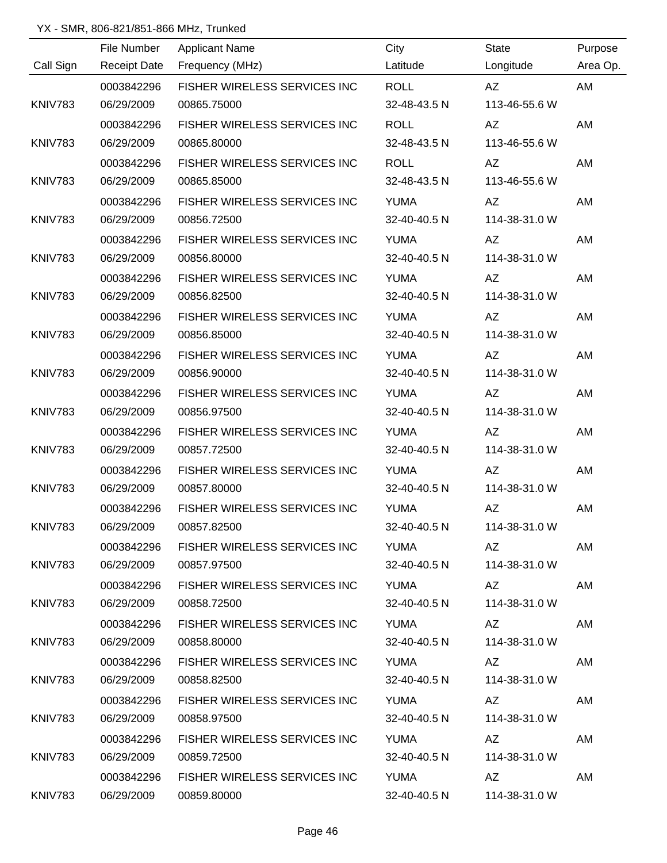|                | File Number         | <b>Applicant Name</b>             | City         | <b>State</b>                                                                                                                                                                                                                   | Purpose  |
|----------------|---------------------|-----------------------------------|--------------|--------------------------------------------------------------------------------------------------------------------------------------------------------------------------------------------------------------------------------|----------|
| Call Sign      | <b>Receipt Date</b> | Frequency (MHz)                   | Latitude     | Longitude                                                                                                                                                                                                                      | Area Op. |
|                | 0003842296          | FISHER WIRELESS SERVICES INC      | <b>ROLL</b>  | AZ                                                                                                                                                                                                                             | AM       |
| <b>KNIV783</b> | 06/29/2009          | 00865.75000                       | 32-48-43.5 N | 113-46-55.6 W                                                                                                                                                                                                                  |          |
|                | 0003842296          | FISHER WIRELESS SERVICES INC      | <b>ROLL</b>  | AZ                                                                                                                                                                                                                             | AM       |
| <b>KNIV783</b> | 06/29/2009          | 00865.80000                       | 32-48-43.5 N | 113-46-55.6 W                                                                                                                                                                                                                  |          |
|                | 0003842296          | FISHER WIRELESS SERVICES INC      | <b>ROLL</b>  | AZ                                                                                                                                                                                                                             | AM       |
| <b>KNIV783</b> | 06/29/2009          | 00865.85000                       | 32-48-43.5 N | 113-46-55.6 W                                                                                                                                                                                                                  |          |
|                | 0003842296          | FISHER WIRELESS SERVICES INC      | <b>YUMA</b>  | <b>AZ</b>                                                                                                                                                                                                                      | AM       |
| <b>KNIV783</b> | 06/29/2009          | 00856.72500                       | 32-40-40.5 N | 114-38-31.0 W                                                                                                                                                                                                                  |          |
|                | 0003842296          | FISHER WIRELESS SERVICES INC      | <b>YUMA</b>  | AZ                                                                                                                                                                                                                             | AM       |
| <b>KNIV783</b> | 06/29/2009          | 00856.80000                       | 32-40-40.5 N | 114-38-31.0 W                                                                                                                                                                                                                  |          |
|                | 0003842296          | FISHER WIRELESS SERVICES INC      | <b>YUMA</b>  | <b>AZ</b>                                                                                                                                                                                                                      | AM       |
| <b>KNIV783</b> | 06/29/2009          | 00856.82500                       | 32-40-40.5 N | 114-38-31.0 W                                                                                                                                                                                                                  |          |
|                | 0003842296          | FISHER WIRELESS SERVICES INC      | <b>YUMA</b>  | AZ                                                                                                                                                                                                                             | AM       |
| <b>KNIV783</b> | 06/29/2009          | 00856.85000                       | 32-40-40.5 N | 114-38-31.0 W                                                                                                                                                                                                                  |          |
|                | 0003842296          | FISHER WIRELESS SERVICES INC      | <b>YUMA</b>  | AZ                                                                                                                                                                                                                             | AM       |
| KNIV783        | 06/29/2009          | 00856.90000                       | 32-40-40.5 N | 114-38-31.0 W                                                                                                                                                                                                                  |          |
|                | 0003842296          | FISHER WIRELESS SERVICES INC      | <b>YUMA</b>  | AZ                                                                                                                                                                                                                             | AM       |
| KNIV783        | 06/29/2009          | 00856.97500                       | 32-40-40.5 N | 114-38-31.0 W                                                                                                                                                                                                                  |          |
|                | 0003842296          | FISHER WIRELESS SERVICES INC      | <b>YUMA</b>  | AZ                                                                                                                                                                                                                             | AM       |
| KNIV783        | 06/29/2009          | 00857.72500                       | 32-40-40.5 N | 114-38-31.0 W                                                                                                                                                                                                                  |          |
|                | 0003842296          | FISHER WIRELESS SERVICES INC      | <b>YUMA</b>  | AZ                                                                                                                                                                                                                             | AM       |
| KNIV783        | 06/29/2009          | 00857.80000                       | 32-40-40.5 N | 114-38-31.0 W                                                                                                                                                                                                                  |          |
|                | 0003842296          | FISHER WIRELESS SERVICES INC      | <b>YUMA</b>  | AZ                                                                                                                                                                                                                             | AM       |
| KNIV783        | 06/29/2009          | 00857.82500                       | 32-40-40.5 N | 114-38-31.0 W                                                                                                                                                                                                                  |          |
|                | 0003842296          | FISHER WIRELESS SERVICES INC YUMA |              | AZ L                                                                                                                                                                                                                           | AM       |
| KNIV783        | 06/29/2009          | 00857.97500                       | 32-40-40.5 N | 114-38-31.0 W                                                                                                                                                                                                                  |          |
|                | 0003842296          | FISHER WIRELESS SERVICES INC      | YUMA         | AZ                                                                                                                                                                                                                             | AM       |
| KNIV783        | 06/29/2009          | 00858.72500                       | 32-40-40.5 N | 114-38-31.0 W                                                                                                                                                                                                                  |          |
|                | 0003842296          | FISHER WIRELESS SERVICES INC      | YUMA         | AZ                                                                                                                                                                                                                             | AM       |
| KNIV783        | 06/29/2009          | 00858.80000                       | 32-40-40.5 N | 114-38-31.0 W                                                                                                                                                                                                                  |          |
|                | 0003842296          | FISHER WIRELESS SERVICES INC      | YUMA         | AZ and the set of the set of the set of the set of the set of the set of the set of the set of the set of the set of the set of the set of the set of the set of the set of the set of the set of the set of the set of the se | AM       |
| KNIV783        | 06/29/2009          | 00858.82500                       | 32-40-40.5 N | 114-38-31.0 W                                                                                                                                                                                                                  |          |
|                | 0003842296          | FISHER WIRELESS SERVICES INC      | YUMA         | AZ                                                                                                                                                                                                                             | AM       |
| KNIV783        | 06/29/2009          | 00858.97500                       | 32-40-40.5 N | 114-38-31.0 W                                                                                                                                                                                                                  |          |
|                | 0003842296          | FISHER WIRELESS SERVICES INC      | YUMA         | AZ.                                                                                                                                                                                                                            | AM       |
| KNIV783        | 06/29/2009          | 00859.72500                       | 32-40-40.5 N | 114-38-31.0 W                                                                                                                                                                                                                  |          |
|                | 0003842296          | FISHER WIRELESS SERVICES INC      | YUMA         | AZ                                                                                                                                                                                                                             | AM       |
| KNIV783        | 06/29/2009          | 00859.80000                       |              | 32-40-40.5 N 114-38-31.0 W                                                                                                                                                                                                     |          |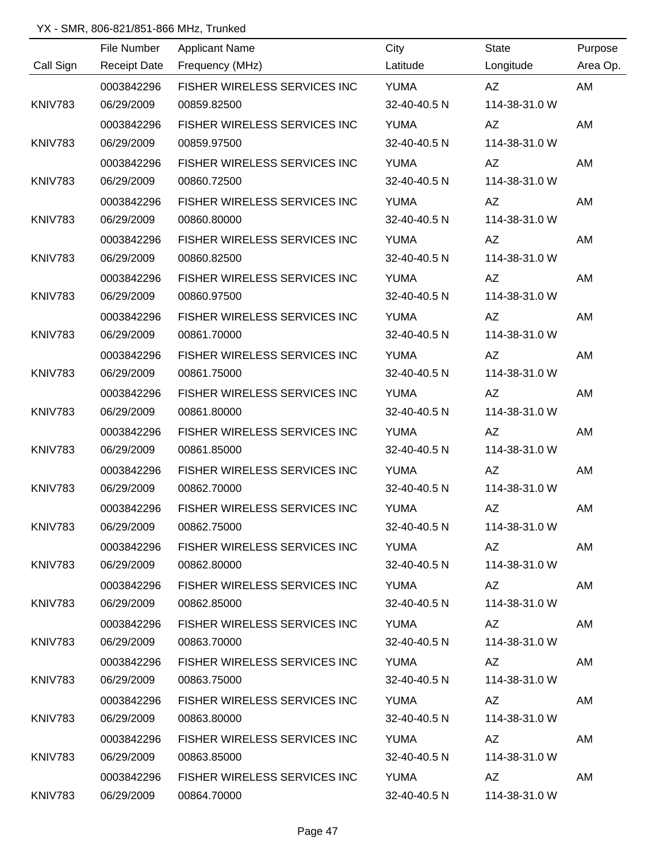|                | File Number         | <b>Applicant Name</b>             | City         | <b>State</b>  | Purpose  |
|----------------|---------------------|-----------------------------------|--------------|---------------|----------|
| Call Sign      | <b>Receipt Date</b> | Frequency (MHz)                   | Latitude     | Longitude     | Area Op. |
|                | 0003842296          | FISHER WIRELESS SERVICES INC      | <b>YUMA</b>  | AZ            | AM       |
| <b>KNIV783</b> | 06/29/2009          | 00859.82500                       | 32-40-40.5 N | 114-38-31.0 W |          |
|                | 0003842296          | FISHER WIRELESS SERVICES INC      | <b>YUMA</b>  | AZ            | AM       |
| <b>KNIV783</b> | 06/29/2009          | 00859.97500                       | 32-40-40.5 N | 114-38-31.0 W |          |
|                | 0003842296          | FISHER WIRELESS SERVICES INC      | <b>YUMA</b>  | AZ            | AM       |
| <b>KNIV783</b> | 06/29/2009          | 00860.72500                       | 32-40-40.5 N | 114-38-31.0 W |          |
|                | 0003842296          | FISHER WIRELESS SERVICES INC      | <b>YUMA</b>  | AZ            | AM       |
| <b>KNIV783</b> | 06/29/2009          | 00860.80000                       | 32-40-40.5 N | 114-38-31.0 W |          |
|                | 0003842296          | FISHER WIRELESS SERVICES INC      | <b>YUMA</b>  | AZ            | AM       |
| <b>KNIV783</b> | 06/29/2009          | 00860.82500                       | 32-40-40.5 N | 114-38-31.0 W |          |
|                | 0003842296          | FISHER WIRELESS SERVICES INC      | <b>YUMA</b>  | AZ            | AM       |
| <b>KNIV783</b> | 06/29/2009          | 00860.97500                       | 32-40-40.5 N | 114-38-31.0 W |          |
|                | 0003842296          | FISHER WIRELESS SERVICES INC      | <b>YUMA</b>  | AZ            | AM       |
| <b>KNIV783</b> | 06/29/2009          | 00861.70000                       | 32-40-40.5 N | 114-38-31.0 W |          |
|                | 0003842296          | FISHER WIRELESS SERVICES INC      | <b>YUMA</b>  | AZ            | AM       |
| <b>KNIV783</b> | 06/29/2009          | 00861.75000                       | 32-40-40.5 N | 114-38-31.0 W |          |
|                | 0003842296          | FISHER WIRELESS SERVICES INC      | <b>YUMA</b>  | AZ            | AM       |
| <b>KNIV783</b> | 06/29/2009          | 00861.80000                       | 32-40-40.5 N | 114-38-31.0 W |          |
|                | 0003842296          | FISHER WIRELESS SERVICES INC      | <b>YUMA</b>  | AZ            | AM       |
| KNIV783        | 06/29/2009          | 00861.85000                       | 32-40-40.5 N | 114-38-31.0 W |          |
|                | 0003842296          | FISHER WIRELESS SERVICES INC      | <b>YUMA</b>  | AZ            | AM       |
| <b>KNIV783</b> | 06/29/2009          | 00862.70000                       | 32-40-40.5 N | 114-38-31.0 W |          |
|                | 0003842296          | FISHER WIRELESS SERVICES INC      | <b>YUMA</b>  | AZ            | AM       |
| KNIV783        | 06/29/2009          | 00862.75000                       | 32-40-40.5 N | 114-38-31.0 W |          |
|                | 0003842296          | FISHER WIRELESS SERVICES INC YUMA |              | AZ DO         | AM       |
| KNIV783        | 06/29/2009          | 00862.80000                       | 32-40-40.5 N | 114-38-31.0 W |          |
|                | 0003842296          | FISHER WIRELESS SERVICES INC YUMA |              | AZ            | AM       |
| KNIV783        | 06/29/2009          | 00862.85000                       | 32-40-40.5 N | 114-38-31.0 W |          |
|                | 0003842296          | FISHER WIRELESS SERVICES INC      | YUMA         | AZ            | AM       |
| KNIV783        | 06/29/2009          | 00863.70000                       | 32-40-40.5 N | 114-38-31.0 W |          |
|                | 0003842296          | FISHER WIRELESS SERVICES INC      | YUMA         | AZ            | AM       |
| KNIV783        | 06/29/2009          | 00863.75000                       | 32-40-40.5 N | 114-38-31.0 W |          |
|                | 0003842296          | FISHER WIRELESS SERVICES INC      | YUMA         | AZ            | AM       |
| KNIV783        | 06/29/2009          | 00863.80000                       | 32-40-40.5 N | 114-38-31.0 W |          |
|                | 0003842296          | FISHER WIRELESS SERVICES INC      | YUMA         | AZ            | AM       |
| KNIV783        | 06/29/2009          | 00863.85000                       | 32-40-40.5 N | 114-38-31.0 W |          |
|                | 0003842296          | FISHER WIRELESS SERVICES INC      | YUMA         | AZ            | AM       |
| KNIV783        | 06/29/2009          | 00864.70000                       | 32-40-40.5 N | 114-38-31.0 W |          |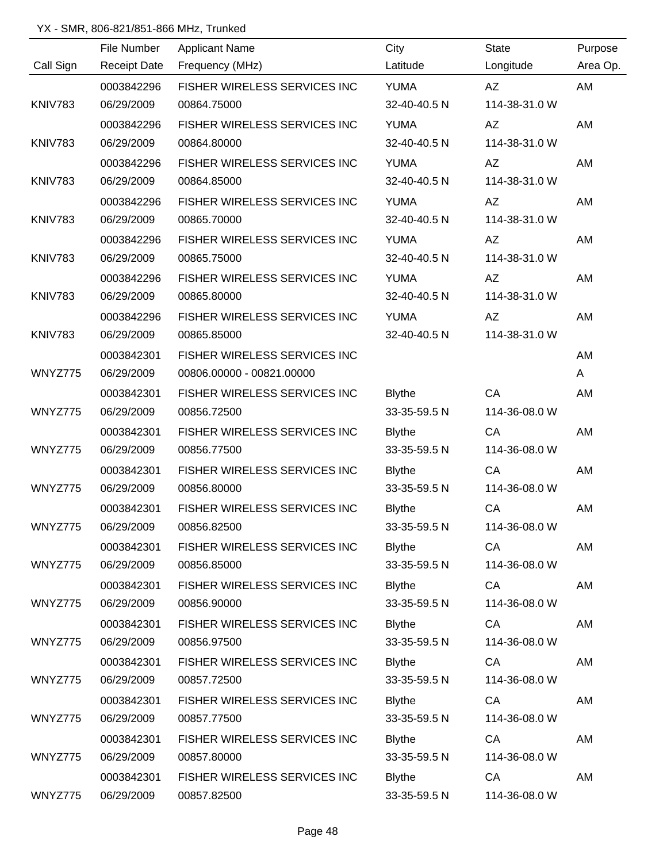|                | File Number         | <b>Applicant Name</b>        | City          | <b>State</b>  | Purpose  |
|----------------|---------------------|------------------------------|---------------|---------------|----------|
| Call Sign      | <b>Receipt Date</b> | Frequency (MHz)              | Latitude      | Longitude     | Area Op. |
|                | 0003842296          | FISHER WIRELESS SERVICES INC | <b>YUMA</b>   | AZ            | AM       |
| <b>KNIV783</b> | 06/29/2009          | 00864.75000                  | 32-40-40.5 N  | 114-38-31.0 W |          |
|                | 0003842296          | FISHER WIRELESS SERVICES INC | <b>YUMA</b>   | AZ            | AM       |
| <b>KNIV783</b> | 06/29/2009          | 00864.80000                  | 32-40-40.5 N  | 114-38-31.0 W |          |
|                | 0003842296          | FISHER WIRELESS SERVICES INC | <b>YUMA</b>   | AZ            | AM       |
| <b>KNIV783</b> | 06/29/2009          | 00864.85000                  | 32-40-40.5 N  | 114-38-31.0 W |          |
|                | 0003842296          | FISHER WIRELESS SERVICES INC | <b>YUMA</b>   | <b>AZ</b>     | AM       |
| <b>KNIV783</b> | 06/29/2009          | 00865.70000                  | 32-40-40.5 N  | 114-38-31.0 W |          |
|                | 0003842296          | FISHER WIRELESS SERVICES INC | <b>YUMA</b>   | <b>AZ</b>     | AM       |
| <b>KNIV783</b> | 06/29/2009          | 00865.75000                  | 32-40-40.5 N  | 114-38-31.0 W |          |
|                | 0003842296          | FISHER WIRELESS SERVICES INC | <b>YUMA</b>   | <b>AZ</b>     | AM       |
| <b>KNIV783</b> | 06/29/2009          | 00865.80000                  | 32-40-40.5 N  | 114-38-31.0 W |          |
|                | 0003842296          | FISHER WIRELESS SERVICES INC | <b>YUMA</b>   | AZ            | AM       |
| <b>KNIV783</b> | 06/29/2009          | 00865.85000                  | 32-40-40.5 N  | 114-38-31.0 W |          |
|                | 0003842301          | FISHER WIRELESS SERVICES INC |               |               | AM       |
| WNYZ775        | 06/29/2009          | 00806.00000 - 00821.00000    |               |               | A        |
|                | 0003842301          | FISHER WIRELESS SERVICES INC | <b>Blythe</b> | CA            | AM       |
| WNYZ775        | 06/29/2009          | 00856.72500                  | 33-35-59.5 N  | 114-36-08.0 W |          |
|                | 0003842301          | FISHER WIRELESS SERVICES INC | <b>Blythe</b> | CA            | AM       |
| WNYZ775        | 06/29/2009          | 00856.77500                  | 33-35-59.5 N  | 114-36-08.0 W |          |
|                | 0003842301          | FISHER WIRELESS SERVICES INC | <b>Blythe</b> | CA            | AM       |
| WNYZ775        | 06/29/2009          | 00856.80000                  | 33-35-59.5 N  | 114-36-08.0 W |          |
|                | 0003842301          | FISHER WIRELESS SERVICES INC | <b>Blythe</b> | CA            | AM       |
| WNYZ775        | 06/29/2009          | 00856.82500                  | 33-35-59.5 N  | 114-36-08.0 W |          |
|                | 0003842301          | FISHER WIRELESS SERVICES INC | <b>Blythe</b> | CA            | AM       |
| WNYZ775        | 06/29/2009          | 00856.85000                  | 33-35-59.5 N  | 114-36-08.0 W |          |
|                | 0003842301          | FISHER WIRELESS SERVICES INC | <b>Blythe</b> | CA            | AM       |
| WNYZ775        | 06/29/2009          | 00856.90000                  | 33-35-59.5 N  | 114-36-08.0 W |          |
|                | 0003842301          | FISHER WIRELESS SERVICES INC | <b>Blythe</b> | CA            | AM       |
| WNYZ775        | 06/29/2009          | 00856.97500                  | 33-35-59.5 N  | 114-36-08.0 W |          |
|                | 0003842301          | FISHER WIRELESS SERVICES INC | <b>Blythe</b> | CA            | AM       |
| WNYZ775        | 06/29/2009          | 00857.72500                  | 33-35-59.5 N  | 114-36-08.0 W |          |
|                | 0003842301          | FISHER WIRELESS SERVICES INC | <b>Blythe</b> | CA            | AM       |
| WNYZ775        | 06/29/2009          | 00857.77500                  | 33-35-59.5 N  | 114-36-08.0 W |          |
|                | 0003842301          | FISHER WIRELESS SERVICES INC | <b>Blythe</b> | CA            | AM       |
| WNYZ775        | 06/29/2009          | 00857.80000                  | 33-35-59.5 N  | 114-36-08.0 W |          |
|                | 0003842301          | FISHER WIRELESS SERVICES INC | <b>Blythe</b> | CA            | AM       |
| WNYZ775        | 06/29/2009          | 00857.82500                  | 33-35-59.5 N  | 114-36-08.0 W |          |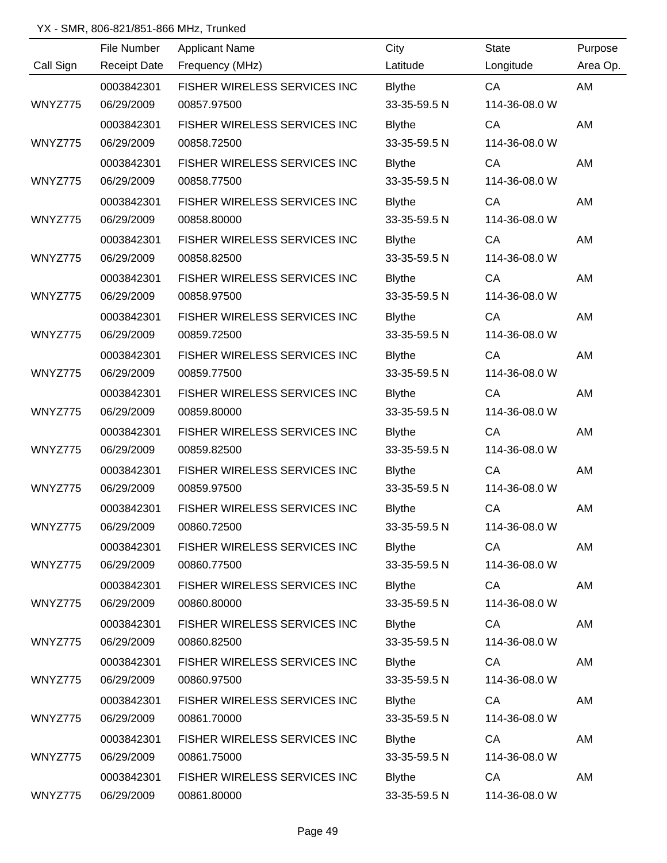|           | File Number         | <b>Applicant Name</b>        | City          | <b>State</b>  | Purpose   |
|-----------|---------------------|------------------------------|---------------|---------------|-----------|
| Call Sign | <b>Receipt Date</b> | Frequency (MHz)              | Latitude      | Longitude     | Area Op.  |
|           | 0003842301          | FISHER WIRELESS SERVICES INC | <b>Blythe</b> | CA            | AM        |
| WNYZ775   | 06/29/2009          | 00857.97500                  | 33-35-59.5 N  | 114-36-08.0 W |           |
|           | 0003842301          | FISHER WIRELESS SERVICES INC | <b>Blythe</b> | CA            | AM        |
| WNYZ775   | 06/29/2009          | 00858.72500                  | 33-35-59.5 N  | 114-36-08.0 W |           |
|           | 0003842301          | FISHER WIRELESS SERVICES INC | <b>Blythe</b> | CA            | AM        |
| WNYZ775   | 06/29/2009          | 00858.77500                  | 33-35-59.5 N  | 114-36-08.0 W |           |
|           | 0003842301          | FISHER WIRELESS SERVICES INC | <b>Blythe</b> | CA            | AM        |
| WNYZ775   | 06/29/2009          | 00858.80000                  | 33-35-59.5 N  | 114-36-08.0 W |           |
|           | 0003842301          | FISHER WIRELESS SERVICES INC | <b>Blythe</b> | CA            | AM        |
| WNYZ775   | 06/29/2009          | 00858.82500                  | 33-35-59.5 N  | 114-36-08.0 W |           |
|           | 0003842301          | FISHER WIRELESS SERVICES INC | <b>Blythe</b> | CA            | AM        |
| WNYZ775   | 06/29/2009          | 00858.97500                  | 33-35-59.5 N  | 114-36-08.0 W |           |
|           | 0003842301          | FISHER WIRELESS SERVICES INC | <b>Blythe</b> | CA            | AM        |
| WNYZ775   | 06/29/2009          | 00859.72500                  | 33-35-59.5 N  | 114-36-08.0 W |           |
|           | 0003842301          | FISHER WIRELESS SERVICES INC | <b>Blythe</b> | CA            | AM        |
| WNYZ775   | 06/29/2009          | 00859.77500                  | 33-35-59.5 N  | 114-36-08.0 W |           |
|           | 0003842301          | FISHER WIRELESS SERVICES INC | <b>Blythe</b> | CA            | AM        |
| WNYZ775   | 06/29/2009          | 00859.80000                  | 33-35-59.5 N  | 114-36-08.0 W |           |
|           | 0003842301          | FISHER WIRELESS SERVICES INC | <b>Blythe</b> | CA            | AM        |
| WNYZ775   | 06/29/2009          | 00859.82500                  | 33-35-59.5 N  | 114-36-08.0 W |           |
|           | 0003842301          | FISHER WIRELESS SERVICES INC | <b>Blythe</b> | CA            | AM        |
| WNYZ775   | 06/29/2009          | 00859.97500                  | 33-35-59.5 N  | 114-36-08.0 W |           |
|           | 0003842301          | FISHER WIRELESS SERVICES INC | <b>Blythe</b> | CA            | <b>AM</b> |
| WNYZ775   | 06/29/2009          | 00860.72500                  | 33-35-59.5 N  | 114-36-08.0 W |           |
|           | 0003842301          | FISHER WIRELESS SERVICES INC | <b>Blythe</b> | CA            | AM        |
| WNYZ775   | 06/29/2009          | 00860.77500                  | 33-35-59.5 N  | 114-36-08.0 W |           |
|           | 0003842301          | FISHER WIRELESS SERVICES INC | <b>Blythe</b> | CA            | AM        |
| WNYZ775   | 06/29/2009          | 00860.80000                  | 33-35-59.5 N  | 114-36-08.0 W |           |
|           | 0003842301          | FISHER WIRELESS SERVICES INC | <b>Blythe</b> | CA            | AM        |
| WNYZ775   | 06/29/2009          | 00860.82500                  | 33-35-59.5 N  | 114-36-08.0 W |           |
|           | 0003842301          | FISHER WIRELESS SERVICES INC | <b>Blythe</b> | CA            | AM        |
| WNYZ775   | 06/29/2009          | 00860.97500                  | 33-35-59.5 N  | 114-36-08.0 W |           |
|           | 0003842301          | FISHER WIRELESS SERVICES INC | <b>Blythe</b> | CA            | AM        |
| WNYZ775   | 06/29/2009          | 00861.70000                  | 33-35-59.5 N  | 114-36-08.0 W |           |
|           | 0003842301          | FISHER WIRELESS SERVICES INC | <b>Blythe</b> | CA            | AM        |
| WNYZ775   | 06/29/2009          | 00861.75000                  | 33-35-59.5 N  | 114-36-08.0 W |           |
|           | 0003842301          | FISHER WIRELESS SERVICES INC | <b>Blythe</b> | CA            | AM        |
| WNYZ775   | 06/29/2009          | 00861.80000                  | 33-35-59.5 N  | 114-36-08.0 W |           |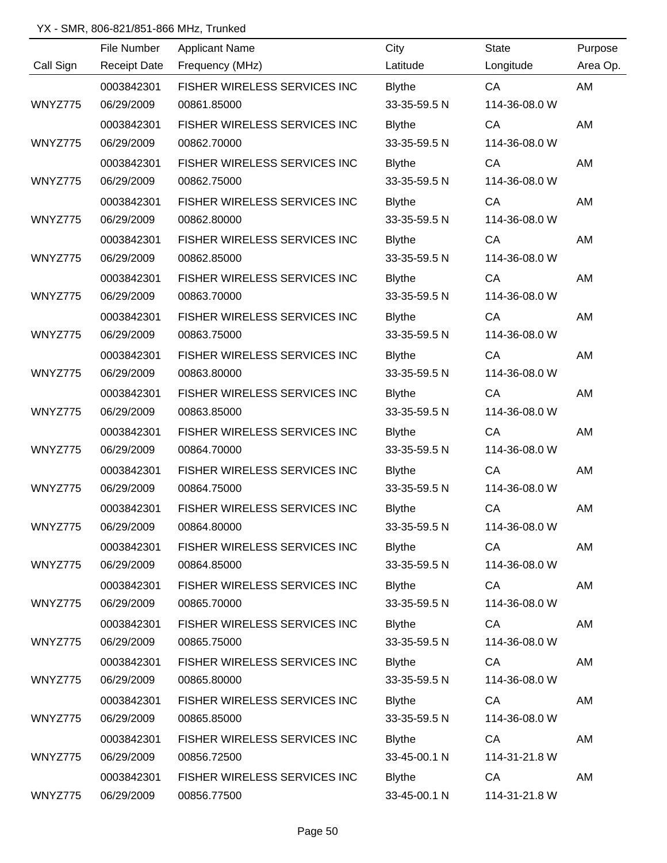|           | File Number         | <b>Applicant Name</b>        | City          | <b>State</b>  | Purpose   |
|-----------|---------------------|------------------------------|---------------|---------------|-----------|
| Call Sign | <b>Receipt Date</b> | Frequency (MHz)              | Latitude      | Longitude     | Area Op.  |
|           | 0003842301          | FISHER WIRELESS SERVICES INC | <b>Blythe</b> | CA            | AM        |
| WNYZ775   | 06/29/2009          | 00861.85000                  | 33-35-59.5 N  | 114-36-08.0 W |           |
|           | 0003842301          | FISHER WIRELESS SERVICES INC | <b>Blythe</b> | CA            | AM        |
| WNYZ775   | 06/29/2009          | 00862.70000                  | 33-35-59.5 N  | 114-36-08.0 W |           |
|           | 0003842301          | FISHER WIRELESS SERVICES INC | <b>Blythe</b> | CA            | AM        |
| WNYZ775   | 06/29/2009          | 00862.75000                  | 33-35-59.5 N  | 114-36-08.0 W |           |
|           | 0003842301          | FISHER WIRELESS SERVICES INC | <b>Blythe</b> | CA            | AM        |
| WNYZ775   | 06/29/2009          | 00862.80000                  | 33-35-59.5 N  | 114-36-08.0 W |           |
|           | 0003842301          | FISHER WIRELESS SERVICES INC | <b>Blythe</b> | CA            | AM        |
| WNYZ775   | 06/29/2009          | 00862.85000                  | 33-35-59.5 N  | 114-36-08.0 W |           |
|           | 0003842301          | FISHER WIRELESS SERVICES INC | <b>Blythe</b> | CA            | AM        |
| WNYZ775   | 06/29/2009          | 00863.70000                  | 33-35-59.5 N  | 114-36-08.0 W |           |
|           | 0003842301          | FISHER WIRELESS SERVICES INC | <b>Blythe</b> | CA            | AM        |
| WNYZ775   | 06/29/2009          | 00863.75000                  | 33-35-59.5 N  | 114-36-08.0 W |           |
|           | 0003842301          | FISHER WIRELESS SERVICES INC | <b>Blythe</b> | CA            | AM        |
| WNYZ775   | 06/29/2009          | 00863.80000                  | 33-35-59.5 N  | 114-36-08.0 W |           |
|           | 0003842301          | FISHER WIRELESS SERVICES INC | <b>Blythe</b> | CA            | AM        |
| WNYZ775   | 06/29/2009          | 00863.85000                  | 33-35-59.5 N  | 114-36-08.0 W |           |
|           | 0003842301          | FISHER WIRELESS SERVICES INC | <b>Blythe</b> | CA            | AM        |
| WNYZ775   | 06/29/2009          | 00864.70000                  | 33-35-59.5 N  | 114-36-08.0 W |           |
|           | 0003842301          | FISHER WIRELESS SERVICES INC | <b>Blythe</b> | CA            | AM        |
| WNYZ775   | 06/29/2009          | 00864.75000                  | 33-35-59.5 N  | 114-36-08.0 W |           |
|           | 0003842301          | FISHER WIRELESS SERVICES INC | <b>Blythe</b> | CA            | <b>AM</b> |
| WNYZ775   | 06/29/2009          | 00864.80000                  | 33-35-59.5 N  | 114-36-08.0 W |           |
|           | 0003842301          | FISHER WIRELESS SERVICES INC | <b>Blythe</b> | CA            | AM        |
| WNYZ775   | 06/29/2009          | 00864.85000                  | 33-35-59.5 N  | 114-36-08.0 W |           |
|           | 0003842301          | FISHER WIRELESS SERVICES INC | <b>Blythe</b> | CA            | AM        |
| WNYZ775   | 06/29/2009          | 00865.70000                  | 33-35-59.5 N  | 114-36-08.0 W |           |
|           | 0003842301          | FISHER WIRELESS SERVICES INC | <b>Blythe</b> | CA            | AM        |
| WNYZ775   | 06/29/2009          | 00865.75000                  | 33-35-59.5 N  | 114-36-08.0 W |           |
|           | 0003842301          | FISHER WIRELESS SERVICES INC | <b>Blythe</b> | CA            | AM        |
| WNYZ775   | 06/29/2009          | 00865.80000                  | 33-35-59.5 N  | 114-36-08.0 W |           |
|           | 0003842301          | FISHER WIRELESS SERVICES INC | <b>Blythe</b> | CA            | AM        |
| WNYZ775   | 06/29/2009          | 00865.85000                  | 33-35-59.5 N  | 114-36-08.0 W |           |
|           | 0003842301          | FISHER WIRELESS SERVICES INC | <b>Blythe</b> | CA            | AM        |
| WNYZ775   | 06/29/2009          | 00856.72500                  | 33-45-00.1 N  | 114-31-21.8 W |           |
|           | 0003842301          | FISHER WIRELESS SERVICES INC | <b>Blythe</b> | CA            | AM        |
| WNYZ775   | 06/29/2009          | 00856.77500                  | 33-45-00.1 N  | 114-31-21.8 W |           |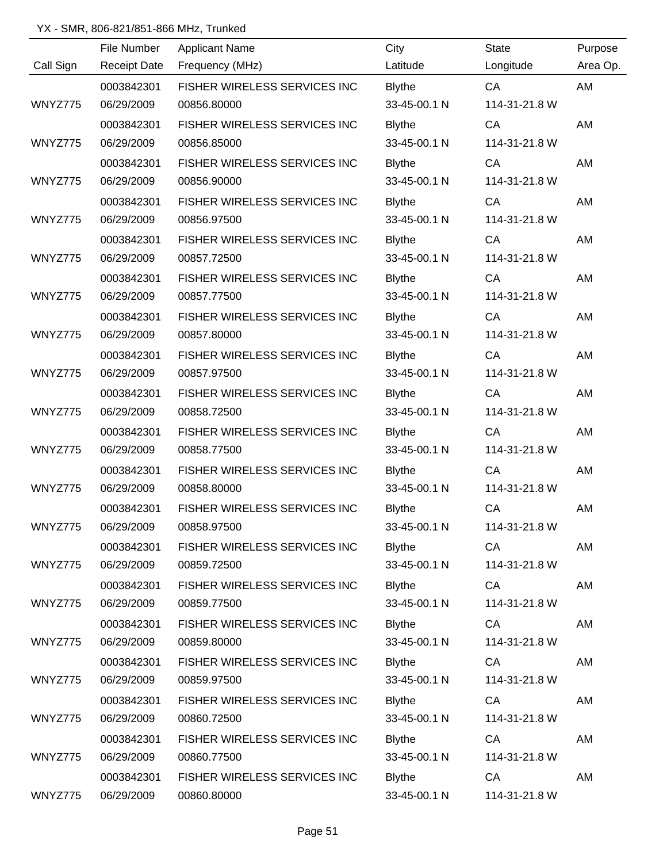|           | File Number         | <b>Applicant Name</b>        | City          | <b>State</b>  | Purpose   |
|-----------|---------------------|------------------------------|---------------|---------------|-----------|
| Call Sign | <b>Receipt Date</b> | Frequency (MHz)              | Latitude      | Longitude     | Area Op.  |
|           | 0003842301          | FISHER WIRELESS SERVICES INC | <b>Blythe</b> | CA            | AM        |
| WNYZ775   | 06/29/2009          | 00856.80000                  | 33-45-00.1 N  | 114-31-21.8 W |           |
|           | 0003842301          | FISHER WIRELESS SERVICES INC | <b>Blythe</b> | CA            | AM        |
| WNYZ775   | 06/29/2009          | 00856.85000                  | 33-45-00.1 N  | 114-31-21.8 W |           |
|           | 0003842301          | FISHER WIRELESS SERVICES INC | <b>Blythe</b> | CA            | AM        |
| WNYZ775   | 06/29/2009          | 00856.90000                  | 33-45-00.1 N  | 114-31-21.8 W |           |
|           | 0003842301          | FISHER WIRELESS SERVICES INC | <b>Blythe</b> | CA            | AM        |
| WNYZ775   | 06/29/2009          | 00856.97500                  | 33-45-00.1 N  | 114-31-21.8 W |           |
|           | 0003842301          | FISHER WIRELESS SERVICES INC | <b>Blythe</b> | CA            | AM        |
| WNYZ775   | 06/29/2009          | 00857.72500                  | 33-45-00.1 N  | 114-31-21.8 W |           |
|           | 0003842301          | FISHER WIRELESS SERVICES INC | <b>Blythe</b> | CA            | AM        |
| WNYZ775   | 06/29/2009          | 00857.77500                  | 33-45-00.1 N  | 114-31-21.8 W |           |
|           | 0003842301          | FISHER WIRELESS SERVICES INC | <b>Blythe</b> | CA            | AM        |
| WNYZ775   | 06/29/2009          | 00857.80000                  | 33-45-00.1 N  | 114-31-21.8 W |           |
|           | 0003842301          | FISHER WIRELESS SERVICES INC | <b>Blythe</b> | CA            | AM        |
| WNYZ775   | 06/29/2009          | 00857.97500                  | 33-45-00.1 N  | 114-31-21.8 W |           |
|           | 0003842301          | FISHER WIRELESS SERVICES INC | <b>Blythe</b> | CA            | AM        |
| WNYZ775   | 06/29/2009          | 00858.72500                  | 33-45-00.1 N  | 114-31-21.8 W |           |
|           | 0003842301          | FISHER WIRELESS SERVICES INC | <b>Blythe</b> | CA            | AM        |
| WNYZ775   | 06/29/2009          | 00858.77500                  | 33-45-00.1 N  | 114-31-21.8 W |           |
|           | 0003842301          | FISHER WIRELESS SERVICES INC | <b>Blythe</b> | CA            | AM        |
| WNYZ775   | 06/29/2009          | 00858.80000                  | 33-45-00.1 N  | 114-31-21.8 W |           |
|           | 0003842301          | FISHER WIRELESS SERVICES INC | <b>Blythe</b> | CA            | <b>AM</b> |
| WNYZ775   | 06/29/2009          | 00858.97500                  | 33-45-00.1 N  | 114-31-21.8 W |           |
|           | 0003842301          | FISHER WIRELESS SERVICES INC | <b>Blythe</b> | CA            | AM        |
| WNYZ775   | 06/29/2009          | 00859.72500                  | 33-45-00.1 N  | 114-31-21.8 W |           |
|           | 0003842301          | FISHER WIRELESS SERVICES INC | <b>Blythe</b> | CA            | AM        |
| WNYZ775   | 06/29/2009          | 00859.77500                  | 33-45-00.1 N  | 114-31-21.8 W |           |
|           | 0003842301          | FISHER WIRELESS SERVICES INC | <b>Blythe</b> | CA            | AM        |
| WNYZ775   | 06/29/2009          | 00859.80000                  | 33-45-00.1 N  | 114-31-21.8 W |           |
|           | 0003842301          | FISHER WIRELESS SERVICES INC | <b>Blythe</b> | CA            | AM        |
| WNYZ775   | 06/29/2009          | 00859.97500                  | 33-45-00.1 N  | 114-31-21.8 W |           |
|           | 0003842301          | FISHER WIRELESS SERVICES INC | <b>Blythe</b> | CA            | AM        |
| WNYZ775   | 06/29/2009          | 00860.72500                  | 33-45-00.1 N  | 114-31-21.8 W |           |
|           | 0003842301          | FISHER WIRELESS SERVICES INC | <b>Blythe</b> | CA            | AM        |
| WNYZ775   | 06/29/2009          | 00860.77500                  | 33-45-00.1 N  | 114-31-21.8 W |           |
|           | 0003842301          | FISHER WIRELESS SERVICES INC | <b>Blythe</b> | CA            | AM        |
| WNYZ775   | 06/29/2009          | 00860.80000                  | 33-45-00.1 N  | 114-31-21.8 W |           |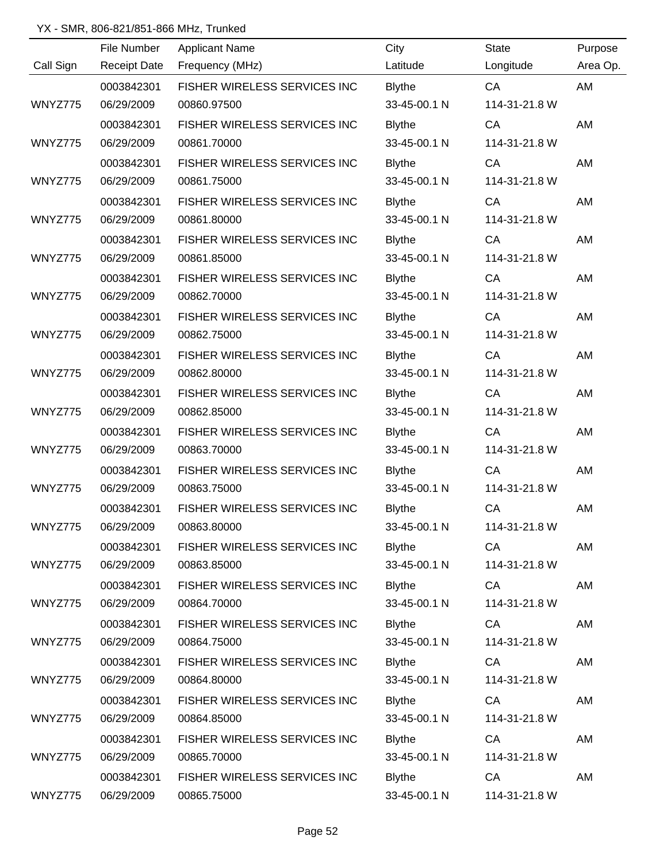|           | File Number         | <b>Applicant Name</b>        | City          | <b>State</b>  | Purpose  |
|-----------|---------------------|------------------------------|---------------|---------------|----------|
| Call Sign | <b>Receipt Date</b> | Frequency (MHz)              | Latitude      | Longitude     | Area Op. |
|           | 0003842301          | FISHER WIRELESS SERVICES INC | <b>Blythe</b> | CA            | AM       |
| WNYZ775   | 06/29/2009          | 00860.97500                  | 33-45-00.1 N  | 114-31-21.8 W |          |
|           | 0003842301          | FISHER WIRELESS SERVICES INC | <b>Blythe</b> | CA            | AM       |
| WNYZ775   | 06/29/2009          | 00861.70000                  | 33-45-00.1 N  | 114-31-21.8 W |          |
|           | 0003842301          | FISHER WIRELESS SERVICES INC | <b>Blythe</b> | CA            | AM       |
| WNYZ775   | 06/29/2009          | 00861.75000                  | 33-45-00.1 N  | 114-31-21.8 W |          |
|           | 0003842301          | FISHER WIRELESS SERVICES INC | <b>Blythe</b> | CA            | AM       |
| WNYZ775   | 06/29/2009          | 00861.80000                  | 33-45-00.1 N  | 114-31-21.8 W |          |
|           | 0003842301          | FISHER WIRELESS SERVICES INC | <b>Blythe</b> | CA            | AM       |
| WNYZ775   | 06/29/2009          | 00861.85000                  | 33-45-00.1 N  | 114-31-21.8 W |          |
|           | 0003842301          | FISHER WIRELESS SERVICES INC | <b>Blythe</b> | CA            | AM       |
| WNYZ775   | 06/29/2009          | 00862.70000                  | 33-45-00.1 N  | 114-31-21.8 W |          |
|           | 0003842301          | FISHER WIRELESS SERVICES INC | <b>Blythe</b> | CA            | AM       |
| WNYZ775   | 06/29/2009          | 00862.75000                  | 33-45-00.1 N  | 114-31-21.8 W |          |
|           | 0003842301          | FISHER WIRELESS SERVICES INC | <b>Blythe</b> | CA            | AM       |
| WNYZ775   | 06/29/2009          | 00862.80000                  | 33-45-00.1 N  | 114-31-21.8 W |          |
|           | 0003842301          | FISHER WIRELESS SERVICES INC | <b>Blythe</b> | CA            | AM       |
| WNYZ775   | 06/29/2009          | 00862.85000                  | 33-45-00.1 N  | 114-31-21.8 W |          |
|           | 0003842301          | FISHER WIRELESS SERVICES INC | <b>Blythe</b> | CA            | AM       |
| WNYZ775   | 06/29/2009          | 00863.70000                  | 33-45-00.1 N  | 114-31-21.8 W |          |
|           | 0003842301          | FISHER WIRELESS SERVICES INC | <b>Blythe</b> | CA            | AM       |
| WNYZ775   | 06/29/2009          | 00863.75000                  | 33-45-00.1 N  | 114-31-21.8 W |          |
|           | 0003842301          | FISHER WIRELESS SERVICES INC | <b>Blythe</b> | CA            | AM       |
| WNYZ775   | 06/29/2009          | 00863.80000                  | 33-45-00.1 N  | 114-31-21.8 W |          |
|           | 0003842301          | FISHER WIRELESS SERVICES INC | <b>Blythe</b> | CA            | AM       |
| WNYZ775   | 06/29/2009          | 00863.85000                  | 33-45-00.1 N  | 114-31-21.8 W |          |
|           | 0003842301          | FISHER WIRELESS SERVICES INC | <b>Blythe</b> | CA            | AM       |
| WNYZ775   | 06/29/2009          | 00864.70000                  | 33-45-00.1 N  | 114-31-21.8 W |          |
|           | 0003842301          | FISHER WIRELESS SERVICES INC | <b>Blythe</b> | CA            | AM       |
| WNYZ775   | 06/29/2009          | 00864.75000                  | 33-45-00.1 N  | 114-31-21.8 W |          |
|           | 0003842301          | FISHER WIRELESS SERVICES INC | <b>Blythe</b> | CA            | AM       |
| WNYZ775   | 06/29/2009          | 00864.80000                  | 33-45-00.1 N  | 114-31-21.8 W |          |
|           | 0003842301          | FISHER WIRELESS SERVICES INC | <b>Blythe</b> | CA            | AM       |
| WNYZ775   | 06/29/2009          | 00864.85000                  | 33-45-00.1 N  | 114-31-21.8 W |          |
|           | 0003842301          | FISHER WIRELESS SERVICES INC | <b>Blythe</b> | CA            | AM       |
| WNYZ775   | 06/29/2009          | 00865.70000                  | 33-45-00.1 N  | 114-31-21.8 W |          |
|           | 0003842301          | FISHER WIRELESS SERVICES INC | <b>Blythe</b> | CA            | AM       |
| WNYZ775   | 06/29/2009          | 00865.75000                  | 33-45-00.1 N  | 114-31-21.8 W |          |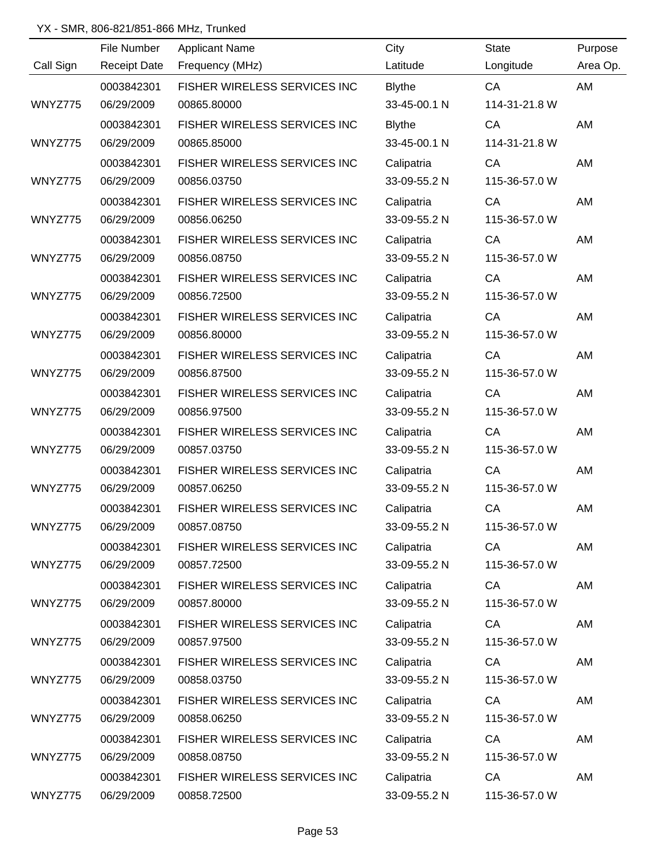|           | File Number         | <b>Applicant Name</b>        | City          | <b>State</b>  | Purpose   |
|-----------|---------------------|------------------------------|---------------|---------------|-----------|
| Call Sign | <b>Receipt Date</b> | Frequency (MHz)              | Latitude      | Longitude     | Area Op.  |
|           | 0003842301          | FISHER WIRELESS SERVICES INC | <b>Blythe</b> | CA            | AM        |
| WNYZ775   | 06/29/2009          | 00865.80000                  | 33-45-00.1 N  | 114-31-21.8 W |           |
|           | 0003842301          | FISHER WIRELESS SERVICES INC | <b>Blythe</b> | CA            | AM        |
| WNYZ775   | 06/29/2009          | 00865.85000                  | 33-45-00.1 N  | 114-31-21.8 W |           |
|           | 0003842301          | FISHER WIRELESS SERVICES INC | Calipatria    | CA            | AM        |
| WNYZ775   | 06/29/2009          | 00856.03750                  | 33-09-55.2 N  | 115-36-57.0 W |           |
|           | 0003842301          | FISHER WIRELESS SERVICES INC | Calipatria    | CA            | AM        |
| WNYZ775   | 06/29/2009          | 00856.06250                  | 33-09-55.2 N  | 115-36-57.0 W |           |
|           | 0003842301          | FISHER WIRELESS SERVICES INC | Calipatria    | CA            | AM        |
| WNYZ775   | 06/29/2009          | 00856.08750                  | 33-09-55.2 N  | 115-36-57.0 W |           |
|           | 0003842301          | FISHER WIRELESS SERVICES INC | Calipatria    | CA            | AM        |
| WNYZ775   | 06/29/2009          | 00856.72500                  | 33-09-55.2 N  | 115-36-57.0 W |           |
|           | 0003842301          | FISHER WIRELESS SERVICES INC | Calipatria    | CA            | AM        |
| WNYZ775   | 06/29/2009          | 00856.80000                  | 33-09-55.2 N  | 115-36-57.0 W |           |
|           | 0003842301          | FISHER WIRELESS SERVICES INC | Calipatria    | CA            | AM        |
| WNYZ775   | 06/29/2009          | 00856.87500                  | 33-09-55.2 N  | 115-36-57.0 W |           |
|           | 0003842301          | FISHER WIRELESS SERVICES INC | Calipatria    | CA            | AM        |
| WNYZ775   | 06/29/2009          | 00856.97500                  | 33-09-55.2 N  | 115-36-57.0 W |           |
|           | 0003842301          | FISHER WIRELESS SERVICES INC | Calipatria    | CA            | AM        |
| WNYZ775   | 06/29/2009          | 00857.03750                  | 33-09-55.2 N  | 115-36-57.0 W |           |
|           | 0003842301          | FISHER WIRELESS SERVICES INC | Calipatria    | CA            | AM        |
| WNYZ775   | 06/29/2009          | 00857.06250                  | 33-09-55.2 N  | 115-36-57.0 W |           |
|           | 0003842301          | FISHER WIRELESS SERVICES INC | Calipatria    | CA            | <b>AM</b> |
| WNYZ775   | 06/29/2009          | 00857.08750                  | 33-09-55.2 N  | 115-36-57.0 W |           |
|           | 0003842301          | FISHER WIRELESS SERVICES INC | Calipatria    | CA            | AM        |
| WNYZ775   | 06/29/2009          | 00857.72500                  | 33-09-55.2 N  | 115-36-57.0 W |           |
|           | 0003842301          | FISHER WIRELESS SERVICES INC | Calipatria    | CA            | AM        |
| WNYZ775   | 06/29/2009          | 00857.80000                  | 33-09-55.2 N  | 115-36-57.0 W |           |
|           | 0003842301          | FISHER WIRELESS SERVICES INC | Calipatria    | CA            | AM        |
| WNYZ775   | 06/29/2009          | 00857.97500                  | 33-09-55.2 N  | 115-36-57.0 W |           |
|           | 0003842301          | FISHER WIRELESS SERVICES INC | Calipatria    | CA            | AM        |
| WNYZ775   | 06/29/2009          | 00858.03750                  | 33-09-55.2 N  | 115-36-57.0 W |           |
|           | 0003842301          | FISHER WIRELESS SERVICES INC | Calipatria    | CA            | AM        |
| WNYZ775   | 06/29/2009          | 00858.06250                  | 33-09-55.2 N  | 115-36-57.0 W |           |
|           | 0003842301          | FISHER WIRELESS SERVICES INC | Calipatria    | CA            | AM        |
| WNYZ775   | 06/29/2009          | 00858.08750                  | 33-09-55.2 N  | 115-36-57.0 W |           |
|           | 0003842301          | FISHER WIRELESS SERVICES INC | Calipatria    | CA            | AM        |
| WNYZ775   | 06/29/2009          | 00858.72500                  | 33-09-55.2 N  | 115-36-57.0 W |           |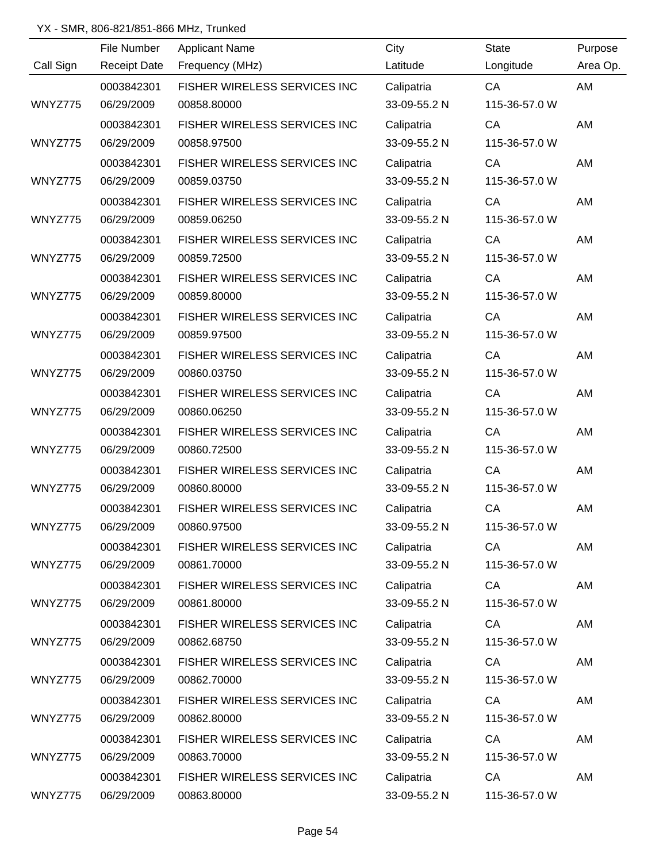|           | File Number         | <b>Applicant Name</b>        | City         | <b>State</b>  | Purpose   |
|-----------|---------------------|------------------------------|--------------|---------------|-----------|
| Call Sign | <b>Receipt Date</b> | Frequency (MHz)              | Latitude     | Longitude     | Area Op.  |
|           | 0003842301          | FISHER WIRELESS SERVICES INC | Calipatria   | CA            | AM        |
| WNYZ775   | 06/29/2009          | 00858.80000                  | 33-09-55.2 N | 115-36-57.0 W |           |
|           | 0003842301          | FISHER WIRELESS SERVICES INC | Calipatria   | CA            | AM        |
| WNYZ775   | 06/29/2009          | 00858.97500                  | 33-09-55.2 N | 115-36-57.0 W |           |
|           | 0003842301          | FISHER WIRELESS SERVICES INC | Calipatria   | CA            | AM        |
| WNYZ775   | 06/29/2009          | 00859.03750                  | 33-09-55.2 N | 115-36-57.0 W |           |
|           | 0003842301          | FISHER WIRELESS SERVICES INC | Calipatria   | CA            | AM        |
| WNYZ775   | 06/29/2009          | 00859.06250                  | 33-09-55.2 N | 115-36-57.0 W |           |
|           | 0003842301          | FISHER WIRELESS SERVICES INC | Calipatria   | CA            | AM        |
| WNYZ775   | 06/29/2009          | 00859.72500                  | 33-09-55.2 N | 115-36-57.0 W |           |
|           | 0003842301          | FISHER WIRELESS SERVICES INC | Calipatria   | CA            | AM        |
| WNYZ775   | 06/29/2009          | 00859.80000                  | 33-09-55.2 N | 115-36-57.0 W |           |
|           | 0003842301          | FISHER WIRELESS SERVICES INC | Calipatria   | CA            | AM        |
| WNYZ775   | 06/29/2009          | 00859.97500                  | 33-09-55.2 N | 115-36-57.0 W |           |
|           | 0003842301          | FISHER WIRELESS SERVICES INC | Calipatria   | CA            | AM        |
| WNYZ775   | 06/29/2009          | 00860.03750                  | 33-09-55.2 N | 115-36-57.0 W |           |
|           | 0003842301          | FISHER WIRELESS SERVICES INC | Calipatria   | CA            | AM        |
| WNYZ775   | 06/29/2009          | 00860.06250                  | 33-09-55.2 N | 115-36-57.0 W |           |
|           | 0003842301          | FISHER WIRELESS SERVICES INC | Calipatria   | CA            | AM        |
| WNYZ775   | 06/29/2009          | 00860.72500                  | 33-09-55.2 N | 115-36-57.0 W |           |
|           | 0003842301          | FISHER WIRELESS SERVICES INC | Calipatria   | CA            | AM        |
| WNYZ775   | 06/29/2009          | 00860.80000                  | 33-09-55.2 N | 115-36-57.0 W |           |
|           | 0003842301          | FISHER WIRELESS SERVICES INC | Calipatria   | CA            | <b>AM</b> |
| WNYZ775   | 06/29/2009          | 00860.97500                  | 33-09-55.2 N | 115-36-57.0 W |           |
|           | 0003842301          | FISHER WIRELESS SERVICES INC | Calipatria   | CA            | AM        |
| WNYZ775   | 06/29/2009          | 00861.70000                  | 33-09-55.2 N | 115-36-57.0 W |           |
|           | 0003842301          | FISHER WIRELESS SERVICES INC | Calipatria   | CA            | AM        |
| WNYZ775   | 06/29/2009          | 00861.80000                  | 33-09-55.2 N | 115-36-57.0 W |           |
|           | 0003842301          | FISHER WIRELESS SERVICES INC | Calipatria   | CA            | AM        |
| WNYZ775   | 06/29/2009          | 00862.68750                  | 33-09-55.2 N | 115-36-57.0 W |           |
|           | 0003842301          | FISHER WIRELESS SERVICES INC | Calipatria   | CA            | AM        |
| WNYZ775   | 06/29/2009          | 00862.70000                  | 33-09-55.2 N | 115-36-57.0 W |           |
|           | 0003842301          | FISHER WIRELESS SERVICES INC | Calipatria   | CA            | AM        |
| WNYZ775   | 06/29/2009          | 00862.80000                  | 33-09-55.2 N | 115-36-57.0 W |           |
|           | 0003842301          | FISHER WIRELESS SERVICES INC | Calipatria   | CA            | AM        |
| WNYZ775   | 06/29/2009          | 00863.70000                  | 33-09-55.2 N | 115-36-57.0 W |           |
|           | 0003842301          | FISHER WIRELESS SERVICES INC | Calipatria   | CA            | AM        |
| WNYZ775   | 06/29/2009          | 00863.80000                  | 33-09-55.2 N | 115-36-57.0 W |           |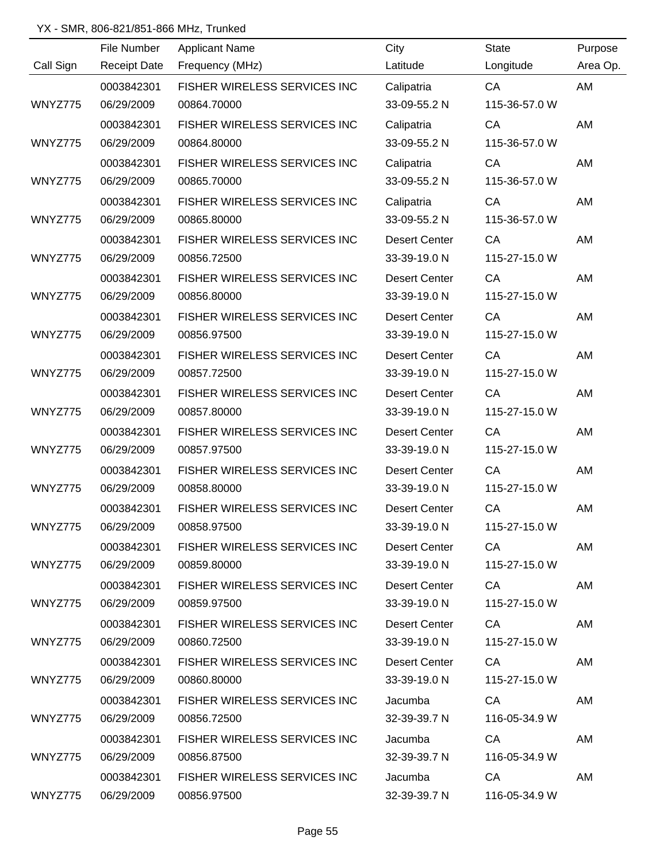|           | File Number         | <b>Applicant Name</b>        | City                 | <b>State</b>                                                                                                                                                                                                                   | Purpose  |
|-----------|---------------------|------------------------------|----------------------|--------------------------------------------------------------------------------------------------------------------------------------------------------------------------------------------------------------------------------|----------|
| Call Sign | <b>Receipt Date</b> | Frequency (MHz)              | Latitude             | Longitude                                                                                                                                                                                                                      | Area Op. |
|           | 0003842301          | FISHER WIRELESS SERVICES INC | Calipatria           | CA                                                                                                                                                                                                                             | AM       |
| WNYZ775   | 06/29/2009          | 00864.70000                  | 33-09-55.2 N         | 115-36-57.0 W                                                                                                                                                                                                                  |          |
|           | 0003842301          | FISHER WIRELESS SERVICES INC | Calipatria           | CA                                                                                                                                                                                                                             | AM       |
| WNYZ775   | 06/29/2009          | 00864.80000                  | 33-09-55.2 N         | 115-36-57.0 W                                                                                                                                                                                                                  |          |
|           | 0003842301          | FISHER WIRELESS SERVICES INC | Calipatria           | CA                                                                                                                                                                                                                             | AM       |
| WNYZ775   | 06/29/2009          | 00865.70000                  | 33-09-55.2 N         | 115-36-57.0 W                                                                                                                                                                                                                  |          |
|           | 0003842301          | FISHER WIRELESS SERVICES INC | Calipatria           | CA                                                                                                                                                                                                                             | AM       |
| WNYZ775   | 06/29/2009          | 00865.80000                  | 33-09-55.2 N         | 115-36-57.0 W                                                                                                                                                                                                                  |          |
|           | 0003842301          | FISHER WIRELESS SERVICES INC | <b>Desert Center</b> | CA                                                                                                                                                                                                                             | AM       |
| WNYZ775   | 06/29/2009          | 00856.72500                  | 33-39-19.0 N         | 115-27-15.0 W                                                                                                                                                                                                                  |          |
|           | 0003842301          | FISHER WIRELESS SERVICES INC | <b>Desert Center</b> | CA                                                                                                                                                                                                                             | AM       |
| WNYZ775   | 06/29/2009          | 00856.80000                  | 33-39-19.0 N         | 115-27-15.0 W                                                                                                                                                                                                                  |          |
|           | 0003842301          | FISHER WIRELESS SERVICES INC | <b>Desert Center</b> | CA                                                                                                                                                                                                                             | AM       |
| WNYZ775   | 06/29/2009          | 00856.97500                  | 33-39-19.0 N         | 115-27-15.0 W                                                                                                                                                                                                                  |          |
|           | 0003842301          | FISHER WIRELESS SERVICES INC | <b>Desert Center</b> | CA                                                                                                                                                                                                                             | AM       |
| WNYZ775   | 06/29/2009          | 00857.72500                  | 33-39-19.0 N         | 115-27-15.0 W                                                                                                                                                                                                                  |          |
|           | 0003842301          | FISHER WIRELESS SERVICES INC | <b>Desert Center</b> | CA                                                                                                                                                                                                                             | AM       |
| WNYZ775   | 06/29/2009          | 00857.80000                  | 33-39-19.0 N         | 115-27-15.0 W                                                                                                                                                                                                                  |          |
|           | 0003842301          | FISHER WIRELESS SERVICES INC | <b>Desert Center</b> | CA                                                                                                                                                                                                                             | AM       |
| WNYZ775   | 06/29/2009          | 00857.97500                  | 33-39-19.0 N         | 115-27-15.0 W                                                                                                                                                                                                                  |          |
|           | 0003842301          | FISHER WIRELESS SERVICES INC | <b>Desert Center</b> | CA                                                                                                                                                                                                                             | AM       |
| WNYZ775   | 06/29/2009          | 00858.80000                  | 33-39-19.0 N         | 115-27-15.0 W                                                                                                                                                                                                                  |          |
|           | 0003842301          | FISHER WIRELESS SERVICES INC | <b>Desert Center</b> | CA                                                                                                                                                                                                                             | AM       |
| WNYZ775   | 06/29/2009          | 00858.97500                  | 33-39-19.0 N         | 115-27-15.0 W                                                                                                                                                                                                                  |          |
|           | 0003842301          | FISHER WIRELESS SERVICES INC | <b>Desert Center</b> | CA                                                                                                                                                                                                                             | AM       |
| WNYZ775   | 06/29/2009          | 00859.80000                  | 33-39-19.0 N         | 115-27-15.0 W                                                                                                                                                                                                                  |          |
|           | 0003842301          | FISHER WIRELESS SERVICES INC | Desert Center        | CA and the control of the control of the control of the control of the control of the control of the control of the control of the control of the control of the control of the control of the control of the control of the c | AM       |
| WNYZ775   | 06/29/2009          | 00859.97500                  | 33-39-19.0 N         | 115-27-15.0 W                                                                                                                                                                                                                  |          |
|           | 0003842301          | FISHER WIRELESS SERVICES INC | Desert Center        | <b>CA</b>                                                                                                                                                                                                                      | AM       |
| WNYZ775   | 06/29/2009          | 00860.72500                  | 33-39-19.0 N         | 115-27-15.0 W                                                                                                                                                                                                                  |          |
|           | 0003842301          | FISHER WIRELESS SERVICES INC | <b>Desert Center</b> | CA                                                                                                                                                                                                                             | AM       |
| WNYZ775   | 06/29/2009          | 00860.80000                  | 33-39-19.0 N         | 115-27-15.0 W                                                                                                                                                                                                                  |          |
|           | 0003842301          | FISHER WIRELESS SERVICES INC | Jacumba              | CA                                                                                                                                                                                                                             | AM       |
| WNYZ775   | 06/29/2009          | 00856.72500                  | 32-39-39.7 N         | 116-05-34.9 W                                                                                                                                                                                                                  |          |
|           | 0003842301          | FISHER WIRELESS SERVICES INC | Jacumba              | CA                                                                                                                                                                                                                             | AM       |
| WNYZ775   | 06/29/2009          | 00856.87500                  | 32-39-39.7 N         | 116-05-34.9 W                                                                                                                                                                                                                  |          |
|           | 0003842301          | FISHER WIRELESS SERVICES INC | Jacumba              | CA                                                                                                                                                                                                                             | AM       |
| WNYZ775   | 06/29/2009          | 00856.97500                  | 32-39-39.7 N         | 116-05-34.9 W                                                                                                                                                                                                                  |          |